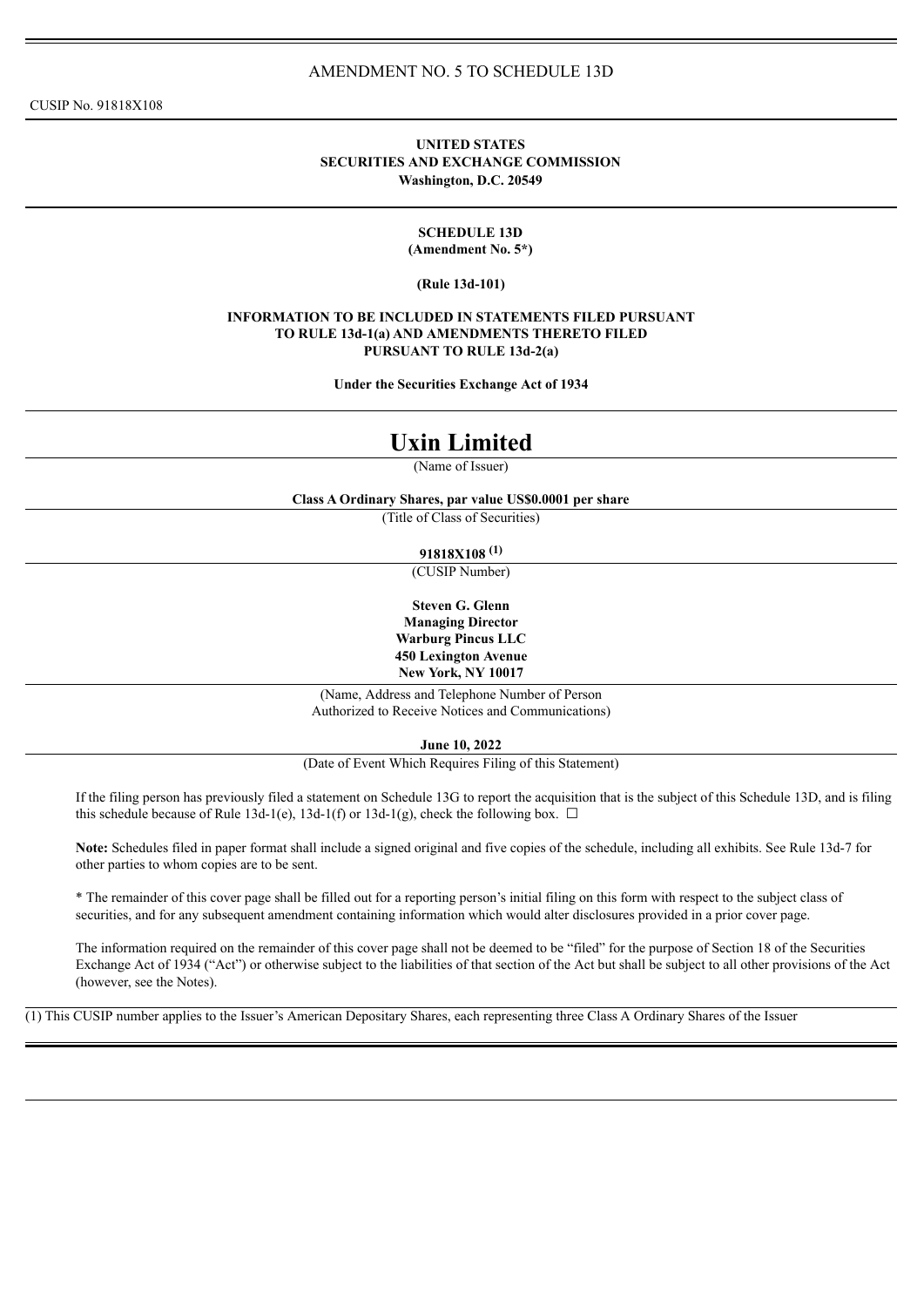CUSIP No. 91818X108

## **UNITED STATES SECURITIES AND EXCHANGE COMMISSION Washington, D.C. 20549**

#### **SCHEDULE 13D (Amendment No. 5\*)**

#### **(Rule 13d-101)**

#### **INFORMATION TO BE INCLUDED IN STATEMENTS FILED PURSUANT TO RULE 13d-1(a) AND AMENDMENTS THERETO FILED PURSUANT TO RULE 13d-2(a)**

**Under the Securities Exchange Act of 1934**

# **Uxin Limited**

(Name of Issuer)

**Class A Ordinary Shares, par value US\$0.0001 per share**

(Title of Class of Securities)

**91818X108 (1)**

(CUSIP Number)

**Steven G. Glenn Managing Director Warburg Pincus LLC 450 Lexington Avenue New York, NY 10017**

(Name, Address and Telephone Number of Person Authorized to Receive Notices and Communications)

**June 10, 2022**

(Date of Event Which Requires Filing of this Statement)

If the filing person has previously filed a statement on Schedule 13G to report the acquisition that is the subject of this Schedule 13D, and is filing this schedule because of Rule 13d-1(e), 13d-1(f) or 13d-1(g), check the following box.  $\Box$ 

**Note:** Schedules filed in paper format shall include a signed original and five copies of the schedule, including all exhibits. See Rule 13d-7 for other parties to whom copies are to be sent.

\* The remainder of this cover page shall be filled out for a reporting person's initial filing on this form with respect to the subject class of securities, and for any subsequent amendment containing information which would alter disclosures provided in a prior cover page.

The information required on the remainder of this cover page shall not be deemed to be "filed" for the purpose of Section 18 of the Securities Exchange Act of 1934 ("Act") or otherwise subject to the liabilities of that section of the Act but shall be subject to all other provisions of the Act (however, see the Notes).

(1) This CUSIP number applies to the Issuer's American Depositary Shares, each representing three Class A Ordinary Shares of the Issuer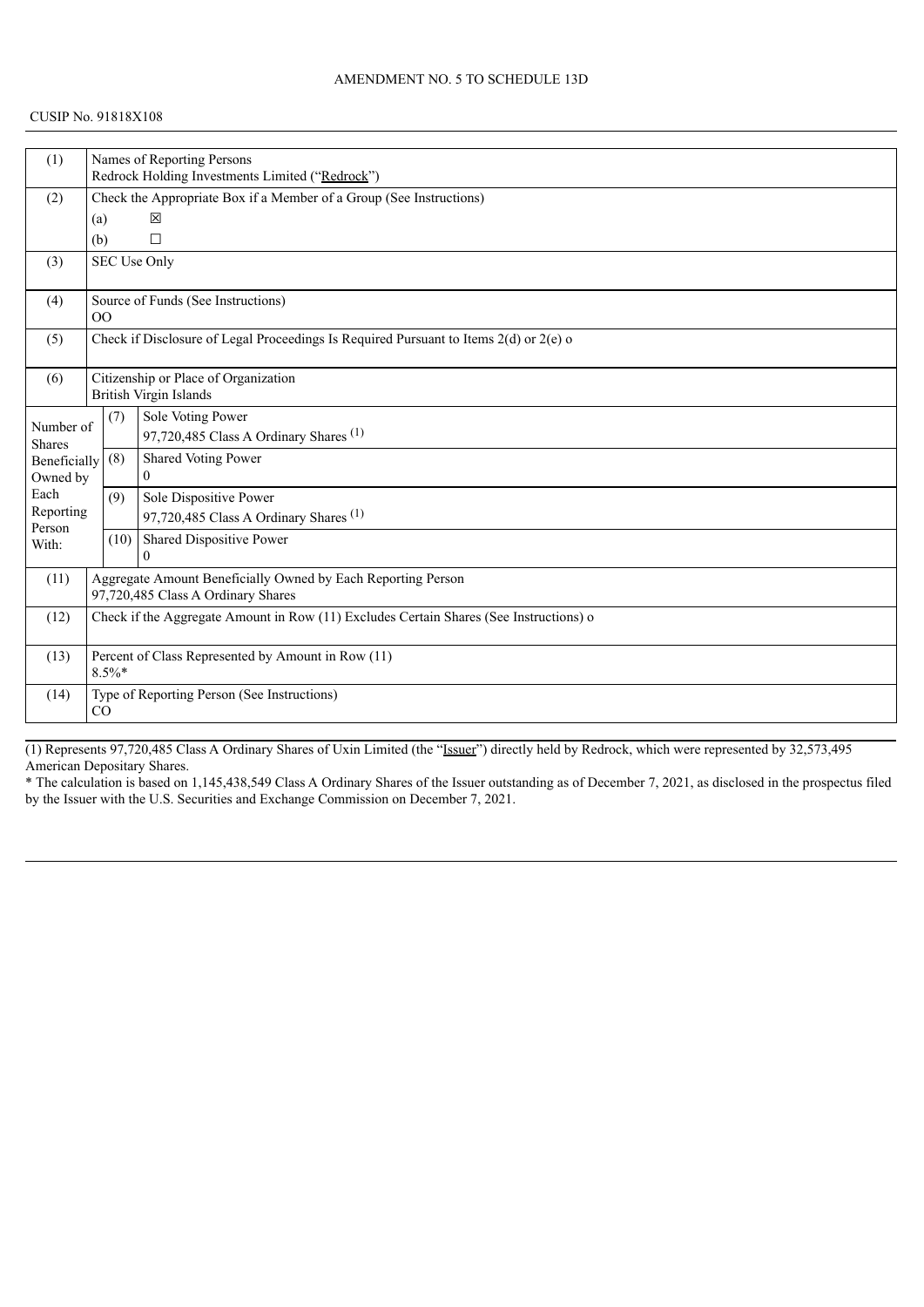#### CUSIP No. 91818X108

| (1)                        |                |                                                                     | Names of Reporting Persons<br>Redrock Holding Investments Limited ("Redrock")          |  |  |  |
|----------------------------|----------------|---------------------------------------------------------------------|----------------------------------------------------------------------------------------|--|--|--|
| (2)                        |                | Check the Appropriate Box if a Member of a Group (See Instructions) |                                                                                        |  |  |  |
|                            |                |                                                                     | 冈                                                                                      |  |  |  |
|                            | (a)            |                                                                     |                                                                                        |  |  |  |
|                            | (b)            |                                                                     | $\Box$                                                                                 |  |  |  |
| (3)                        |                |                                                                     | <b>SEC Use Only</b>                                                                    |  |  |  |
| (4)                        |                |                                                                     | Source of Funds (See Instructions)                                                     |  |  |  |
|                            | O <sub>O</sub> |                                                                     |                                                                                        |  |  |  |
| (5)                        |                |                                                                     | Check if Disclosure of Legal Proceedings Is Required Pursuant to Items 2(d) or 2(e) o  |  |  |  |
| (6)                        |                |                                                                     | Citizenship or Place of Organization                                                   |  |  |  |
|                            |                |                                                                     | <b>British Virgin Islands</b>                                                          |  |  |  |
|                            |                | (7)                                                                 | Sole Voting Power                                                                      |  |  |  |
| Number of<br><b>Shares</b> |                |                                                                     | 97,720,485 Class A Ordinary Shares <sup>(1)</sup>                                      |  |  |  |
| <b>Beneficially</b>        |                | (8)                                                                 | Shared Voting Power                                                                    |  |  |  |
| Owned by                   |                |                                                                     | $\Omega$                                                                               |  |  |  |
| Each                       |                | (9)                                                                 | Sole Dispositive Power                                                                 |  |  |  |
| Reporting                  |                |                                                                     | 97,720,485 Class A Ordinary Shares <sup>(1)</sup>                                      |  |  |  |
| Person<br>With:            |                | (10)                                                                | Shared Dispositive Power                                                               |  |  |  |
|                            |                |                                                                     | $\Omega$                                                                               |  |  |  |
| (11)                       |                |                                                                     | Aggregate Amount Beneficially Owned by Each Reporting Person                           |  |  |  |
|                            |                |                                                                     | 97,720,485 Class A Ordinary Shares                                                     |  |  |  |
| (12)                       |                |                                                                     | Check if the Aggregate Amount in Row (11) Excludes Certain Shares (See Instructions) o |  |  |  |
|                            |                |                                                                     |                                                                                        |  |  |  |
| (13)                       |                | $8.5\%$ *                                                           | Percent of Class Represented by Amount in Row (11)                                     |  |  |  |
|                            |                |                                                                     |                                                                                        |  |  |  |
| (14)                       | CO             |                                                                     | Type of Reporting Person (See Instructions)                                            |  |  |  |
|                            |                |                                                                     |                                                                                        |  |  |  |

(1) Represents 97,720,485 Class A Ordinary Shares of Uxin Limited (the "Issuer") directly held by Redrock, which were represented by 32,573,495 American Depositary Shares.

\* The calculation is based on 1,145,438,549 Class A Ordinary Shares of the Issuer outstanding as of December 7, 2021, as disclosed in the prospectus filed by the Issuer with the U.S. Securities and Exchange Commission on December 7, 2021.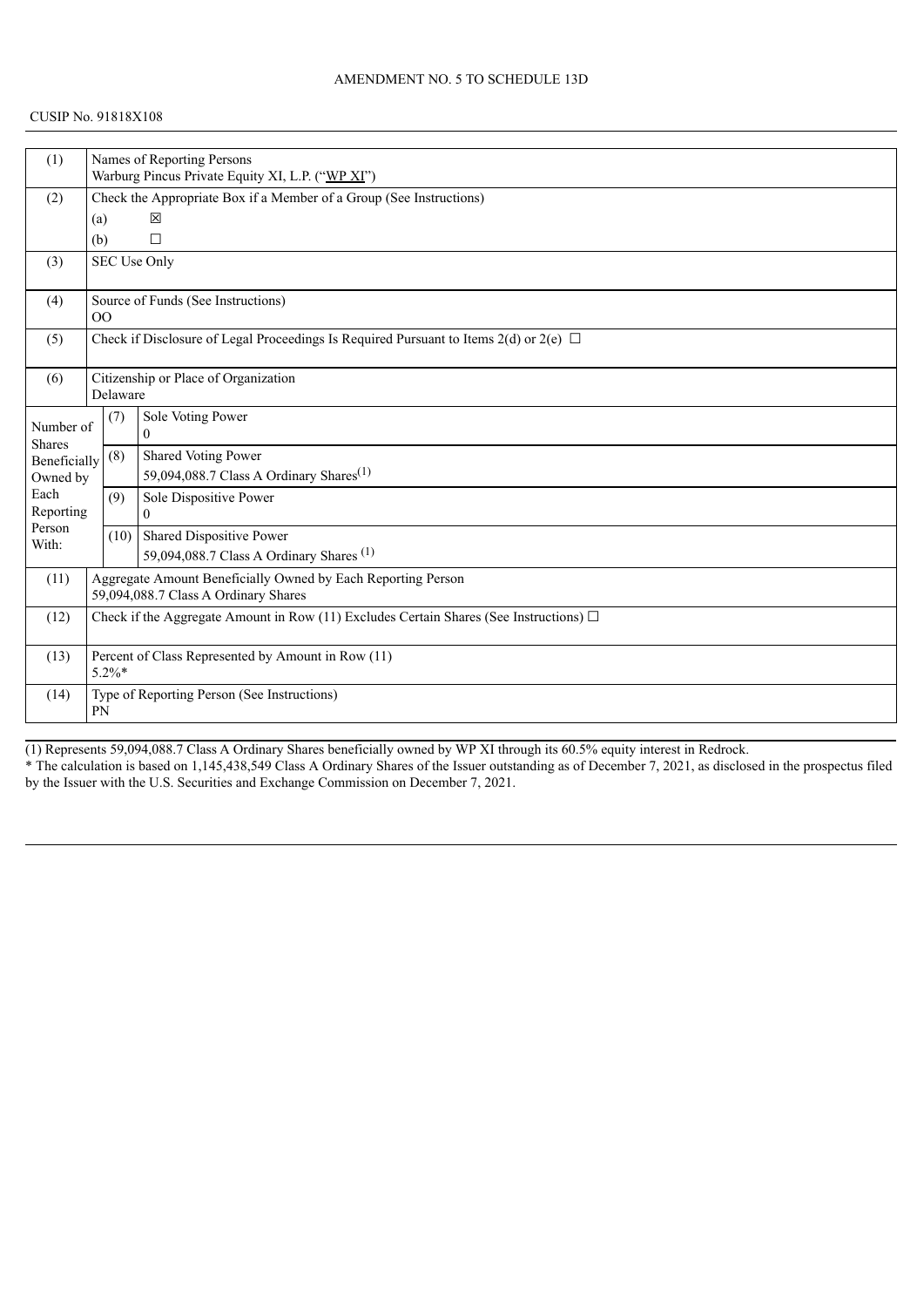| (1)                        |                                                                                             |                                                                     | Names of Reporting Persons                                                                 |  |  |  |
|----------------------------|---------------------------------------------------------------------------------------------|---------------------------------------------------------------------|--------------------------------------------------------------------------------------------|--|--|--|
|                            |                                                                                             | Warburg Pincus Private Equity XI, L.P. ("WP XI")                    |                                                                                            |  |  |  |
| (2)                        |                                                                                             | Check the Appropriate Box if a Member of a Group (See Instructions) |                                                                                            |  |  |  |
|                            | (a)                                                                                         |                                                                     | 区                                                                                          |  |  |  |
|                            | (b)                                                                                         |                                                                     | $\Box$                                                                                     |  |  |  |
| (3)                        |                                                                                             |                                                                     | SEC Use Only                                                                               |  |  |  |
| (4)                        | OO                                                                                          |                                                                     | Source of Funds (See Instructions)                                                         |  |  |  |
| (5)                        |                                                                                             |                                                                     | Check if Disclosure of Legal Proceedings Is Required Pursuant to Items 2(d) or 2(e) $\Box$ |  |  |  |
| (6)                        |                                                                                             | Delaware                                                            | Citizenship or Place of Organization                                                       |  |  |  |
| Number of<br><b>Shares</b> |                                                                                             | (7)                                                                 | Sole Voting Power<br>$\theta$                                                              |  |  |  |
| Beneficially               |                                                                                             | (8)                                                                 | <b>Shared Voting Power</b>                                                                 |  |  |  |
| Owned by                   |                                                                                             |                                                                     | 59,094,088.7 Class A Ordinary Shares <sup>(1)</sup>                                        |  |  |  |
| Each                       |                                                                                             | (9)                                                                 | Sole Dispositive Power                                                                     |  |  |  |
| Reporting                  |                                                                                             |                                                                     | $\theta$                                                                                   |  |  |  |
| Person<br>With:            |                                                                                             |                                                                     | $(10)$ Shared Dispositive Power                                                            |  |  |  |
|                            |                                                                                             |                                                                     | 59,094,088.7 Class A Ordinary Shares <sup>(1)</sup>                                        |  |  |  |
| (11)                       |                                                                                             |                                                                     | Aggregate Amount Beneficially Owned by Each Reporting Person                               |  |  |  |
|                            |                                                                                             |                                                                     | 59,094,088.7 Class A Ordinary Shares                                                       |  |  |  |
| (12)                       | Check if the Aggregate Amount in Row (11) Excludes Certain Shares (See Instructions) $\Box$ |                                                                     |                                                                                            |  |  |  |
| (13)                       | Percent of Class Represented by Amount in Row (11)<br>$5.2\%$ *                             |                                                                     |                                                                                            |  |  |  |
| (14)                       | <b>PN</b>                                                                                   |                                                                     | Type of Reporting Person (See Instructions)                                                |  |  |  |

(1) Represents 59,094,088.7 Class A Ordinary Shares beneficially owned by WP XI through its 60.5% equity interest in Redrock. \* The calculation is based on 1,145,438,549 Class A Ordinary Shares of the Issuer outstanding as of December 7, 2021, as disclosed in the prospectus filed by the Issuer with the U.S. Securities and Exchange Commission on December 7, 2021.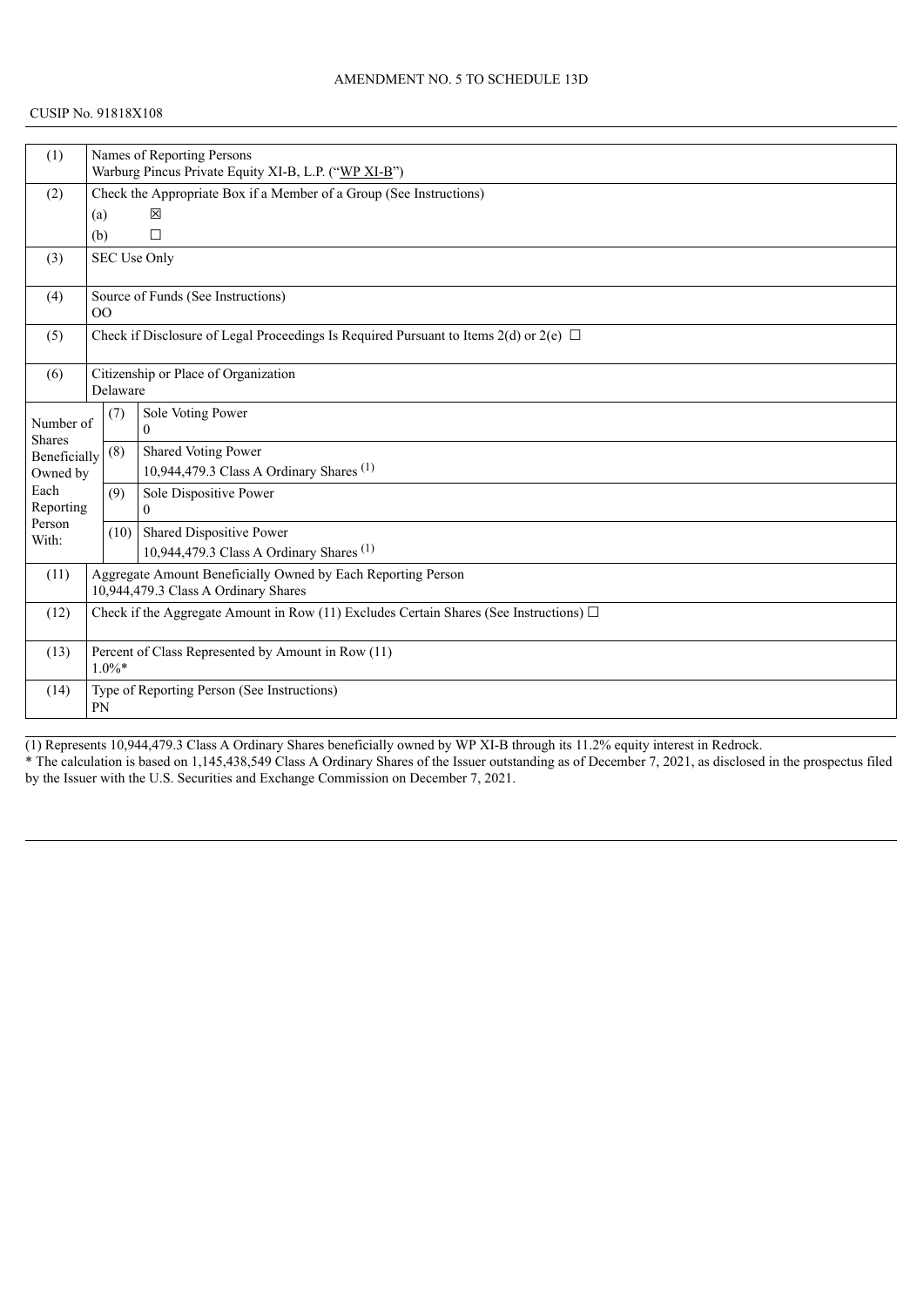| (1)                        |                                                                                                      | Names of Reporting Persons                                          |                                                                                            |  |  |  |
|----------------------------|------------------------------------------------------------------------------------------------------|---------------------------------------------------------------------|--------------------------------------------------------------------------------------------|--|--|--|
|                            |                                                                                                      | Warburg Pincus Private Equity XI-B, L.P. ("WP XI-B")                |                                                                                            |  |  |  |
| (2)                        |                                                                                                      | Check the Appropriate Box if a Member of a Group (See Instructions) |                                                                                            |  |  |  |
|                            | (a)                                                                                                  |                                                                     | 区                                                                                          |  |  |  |
|                            | (b)                                                                                                  |                                                                     | $\Box$                                                                                     |  |  |  |
| (3)                        |                                                                                                      |                                                                     | SEC Use Only                                                                               |  |  |  |
| (4)                        | 0 <sup>0</sup>                                                                                       |                                                                     | Source of Funds (See Instructions)                                                         |  |  |  |
| (5)                        |                                                                                                      |                                                                     | Check if Disclosure of Legal Proceedings Is Required Pursuant to Items 2(d) or 2(e) $\Box$ |  |  |  |
| (6)                        |                                                                                                      | Delaware                                                            | Citizenship or Place of Organization                                                       |  |  |  |
| Number of<br><b>Shares</b> |                                                                                                      | (7)                                                                 | Sole Voting Power<br>$\Omega$                                                              |  |  |  |
| Beneficially               |                                                                                                      | (8)                                                                 | <b>Shared Voting Power</b>                                                                 |  |  |  |
| Owned by                   |                                                                                                      |                                                                     | 10,944,479.3 Class A Ordinary Shares <sup>(1)</sup>                                        |  |  |  |
| Each                       |                                                                                                      | (9)                                                                 | Sole Dispositive Power                                                                     |  |  |  |
| Reporting<br>Person        |                                                                                                      |                                                                     | $\Omega$                                                                                   |  |  |  |
| With:                      |                                                                                                      |                                                                     | $(10)$ Shared Dispositive Power                                                            |  |  |  |
|                            |                                                                                                      |                                                                     | 10,944,479.3 Class A Ordinary Shares <sup>(1)</sup>                                        |  |  |  |
| (11)                       | Aggregate Amount Beneficially Owned by Each Reporting Person<br>10,944,479.3 Class A Ordinary Shares |                                                                     |                                                                                            |  |  |  |
| (12)                       | Check if the Aggregate Amount in Row (11) Excludes Certain Shares (See Instructions) $\Box$          |                                                                     |                                                                                            |  |  |  |
|                            |                                                                                                      |                                                                     |                                                                                            |  |  |  |
| (13)                       | Percent of Class Represented by Amount in Row (11)<br>$1.0\%*$                                       |                                                                     |                                                                                            |  |  |  |
| (14)                       | <b>PN</b>                                                                                            |                                                                     | Type of Reporting Person (See Instructions)                                                |  |  |  |

(1) Represents 10,944,479.3 Class A Ordinary Shares beneficially owned by WP XI-B through its 11.2% equity interest in Redrock.

\* The calculation is based on 1,145,438,549 Class A Ordinary Shares of the Issuer outstanding as of December 7, 2021, as disclosed in the prospectus filed by the Issuer with the U.S. Securities and Exchange Commission on December 7, 2021.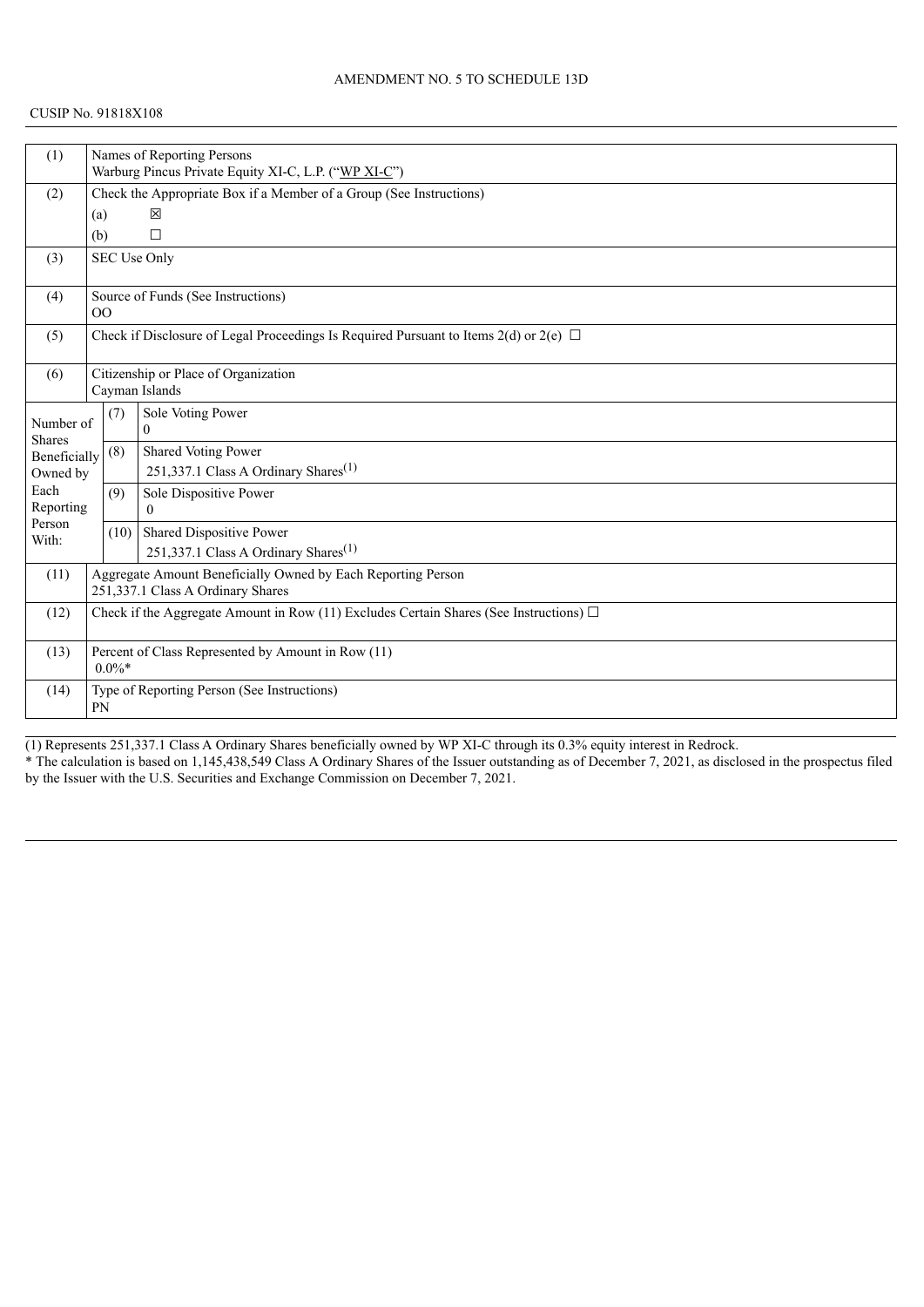| (1)                        |                                                                                                   | Names of Reporting Persons                               |                                                                                            |  |  |  |
|----------------------------|---------------------------------------------------------------------------------------------------|----------------------------------------------------------|--------------------------------------------------------------------------------------------|--|--|--|
|                            |                                                                                                   | Warburg Pincus Private Equity XI-C, L.P. ("WP XI-C")     |                                                                                            |  |  |  |
| (2)                        |                                                                                                   |                                                          | Check the Appropriate Box if a Member of a Group (See Instructions)                        |  |  |  |
|                            | (a)                                                                                               |                                                          | 区                                                                                          |  |  |  |
|                            | (b)                                                                                               |                                                          | $\Box$                                                                                     |  |  |  |
| (3)                        |                                                                                                   |                                                          | SEC Use Only                                                                               |  |  |  |
| (4)                        | 0 <sup>0</sup>                                                                                    |                                                          | Source of Funds (See Instructions)                                                         |  |  |  |
| (5)                        |                                                                                                   |                                                          | Check if Disclosure of Legal Proceedings Is Required Pursuant to Items 2(d) or 2(e) $\Box$ |  |  |  |
| (6)                        |                                                                                                   |                                                          | Citizenship or Place of Organization<br>Cayman Islands                                     |  |  |  |
| Number of<br><b>Shares</b> |                                                                                                   | (7)                                                      | Sole Voting Power<br>$\Omega$                                                              |  |  |  |
| Beneficially               |                                                                                                   | (8)                                                      | <b>Shared Voting Power</b>                                                                 |  |  |  |
| Owned by                   |                                                                                                   |                                                          | 251,337.1 Class A Ordinary Shares <sup>(1)</sup>                                           |  |  |  |
| Each<br>Reporting          |                                                                                                   | (9)                                                      | Sole Dispositive Power                                                                     |  |  |  |
| Person                     |                                                                                                   |                                                          | $\Omega$                                                                                   |  |  |  |
| With:                      |                                                                                                   | (10)                                                     | Shared Dispositive Power                                                                   |  |  |  |
|                            |                                                                                                   |                                                          | 251,337.1 Class A Ordinary Shares <sup>(1)</sup>                                           |  |  |  |
| (11)                       | Aggregate Amount Beneficially Owned by Each Reporting Person<br>251,337.1 Class A Ordinary Shares |                                                          |                                                                                            |  |  |  |
| (12)                       | Check if the Aggregate Amount in Row (11) Excludes Certain Shares (See Instructions) $\Box$       |                                                          |                                                                                            |  |  |  |
| (13)                       | Percent of Class Represented by Amount in Row (11)<br>$0.0\%*$                                    |                                                          |                                                                                            |  |  |  |
| (14)                       |                                                                                                   | Type of Reporting Person (See Instructions)<br><b>PN</b> |                                                                                            |  |  |  |

(1) Represents 251,337.1 Class A Ordinary Shares beneficially owned by WP XI-C through its 0.3% equity interest in Redrock.

\* The calculation is based on 1,145,438,549 Class A Ordinary Shares of the Issuer outstanding as of December 7, 2021, as disclosed in the prospectus filed by the Issuer with the U.S. Securities and Exchange Commission on December 7, 2021.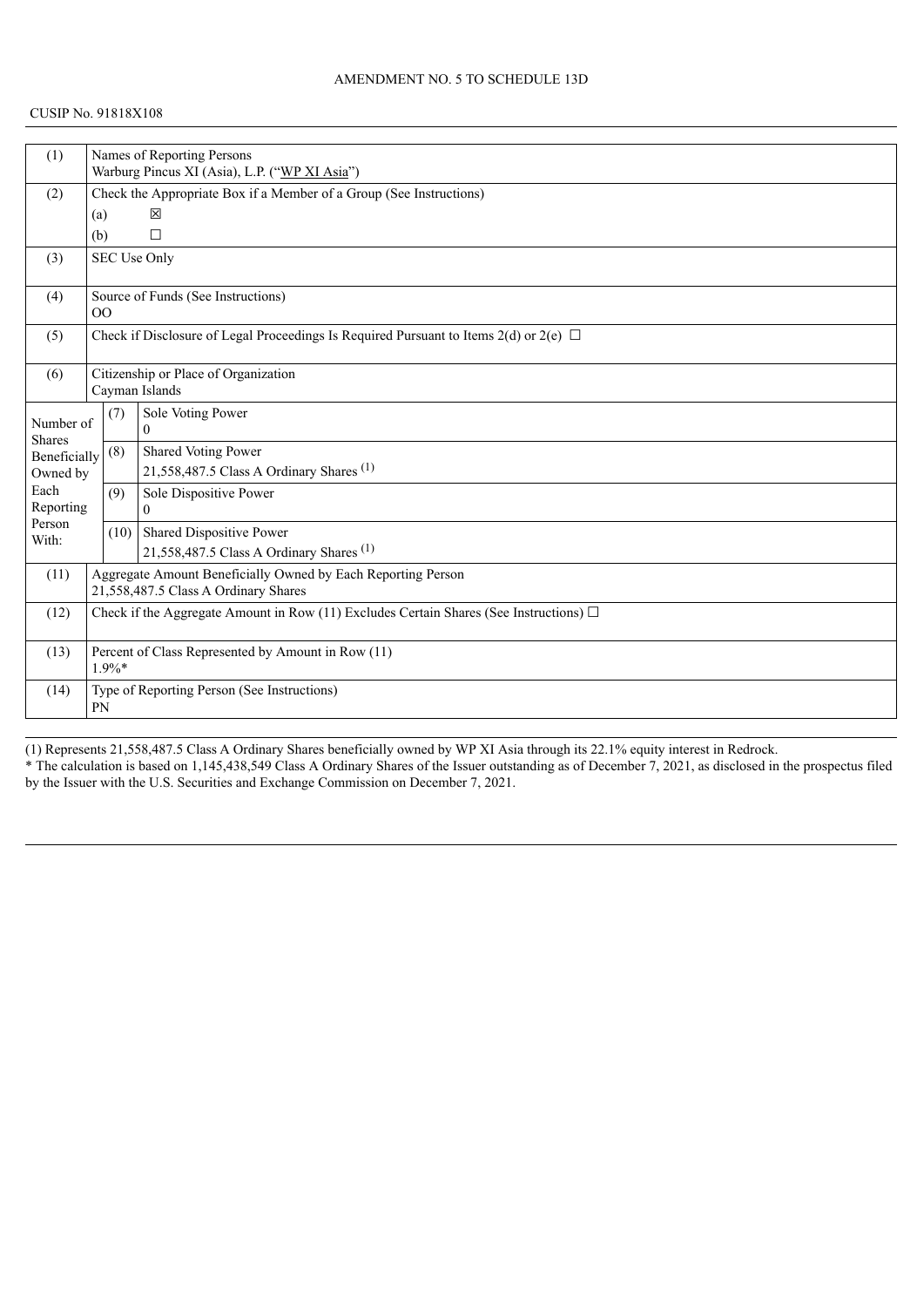| (1)                      |                                                                                             |                                                          | Names of Reporting Persons                                                                 |  |  |  |
|--------------------------|---------------------------------------------------------------------------------------------|----------------------------------------------------------|--------------------------------------------------------------------------------------------|--|--|--|
|                          |                                                                                             | Warburg Pincus XI (Asia), L.P. ("WP XI Asia")            |                                                                                            |  |  |  |
| (2)                      |                                                                                             |                                                          | Check the Appropriate Box if a Member of a Group (See Instructions)                        |  |  |  |
|                          | (a)                                                                                         |                                                          | 区                                                                                          |  |  |  |
|                          | (b)                                                                                         |                                                          | $\Box$                                                                                     |  |  |  |
| (3)                      |                                                                                             |                                                          | <b>SEC Use Only</b>                                                                        |  |  |  |
| (4)                      | 0 <sup>0</sup>                                                                              |                                                          | Source of Funds (See Instructions)                                                         |  |  |  |
| (5)                      |                                                                                             |                                                          | Check if Disclosure of Legal Proceedings Is Required Pursuant to Items 2(d) or 2(e) $\Box$ |  |  |  |
| (6)                      |                                                                                             |                                                          | Citizenship or Place of Organization<br>Cayman Islands                                     |  |  |  |
|                          |                                                                                             |                                                          | Sole Voting Power                                                                          |  |  |  |
| Number of                |                                                                                             | (7)                                                      | $\theta$                                                                                   |  |  |  |
| <b>Shares</b>            |                                                                                             | (8)                                                      | Shared Voting Power                                                                        |  |  |  |
| Beneficially<br>Owned by |                                                                                             |                                                          | 21,558,487.5 Class A Ordinary Shares <sup>(1)</sup>                                        |  |  |  |
| Each                     |                                                                                             | (9)                                                      | Sole Dispositive Power                                                                     |  |  |  |
| Reporting                |                                                                                             |                                                          | $\theta$                                                                                   |  |  |  |
| Person                   |                                                                                             | (10)                                                     | Shared Dispositive Power                                                                   |  |  |  |
| With:                    |                                                                                             |                                                          | 21,558,487.5 Class A Ordinary Shares <sup>(1)</sup>                                        |  |  |  |
| (11)                     |                                                                                             |                                                          | Aggregate Amount Beneficially Owned by Each Reporting Person                               |  |  |  |
|                          |                                                                                             | 21,558,487.5 Class A Ordinary Shares                     |                                                                                            |  |  |  |
| (12)                     | Check if the Aggregate Amount in Row (11) Excludes Certain Shares (See Instructions) $\Box$ |                                                          |                                                                                            |  |  |  |
| (13)                     | Percent of Class Represented by Amount in Row (11)<br>$1.9\%*$                              |                                                          |                                                                                            |  |  |  |
| (14)                     |                                                                                             | Type of Reporting Person (See Instructions)<br><b>PN</b> |                                                                                            |  |  |  |

(1) Represents 21,558,487.5 Class A Ordinary Shares beneficially owned by WP XI Asia through its 22.1% equity interest in Redrock. \* The calculation is based on 1,145,438,549 Class A Ordinary Shares of the Issuer outstanding as of December 7, 2021, as disclosed in the prospectus filed by the Issuer with the U.S. Securities and Exchange Commission on December 7, 2021.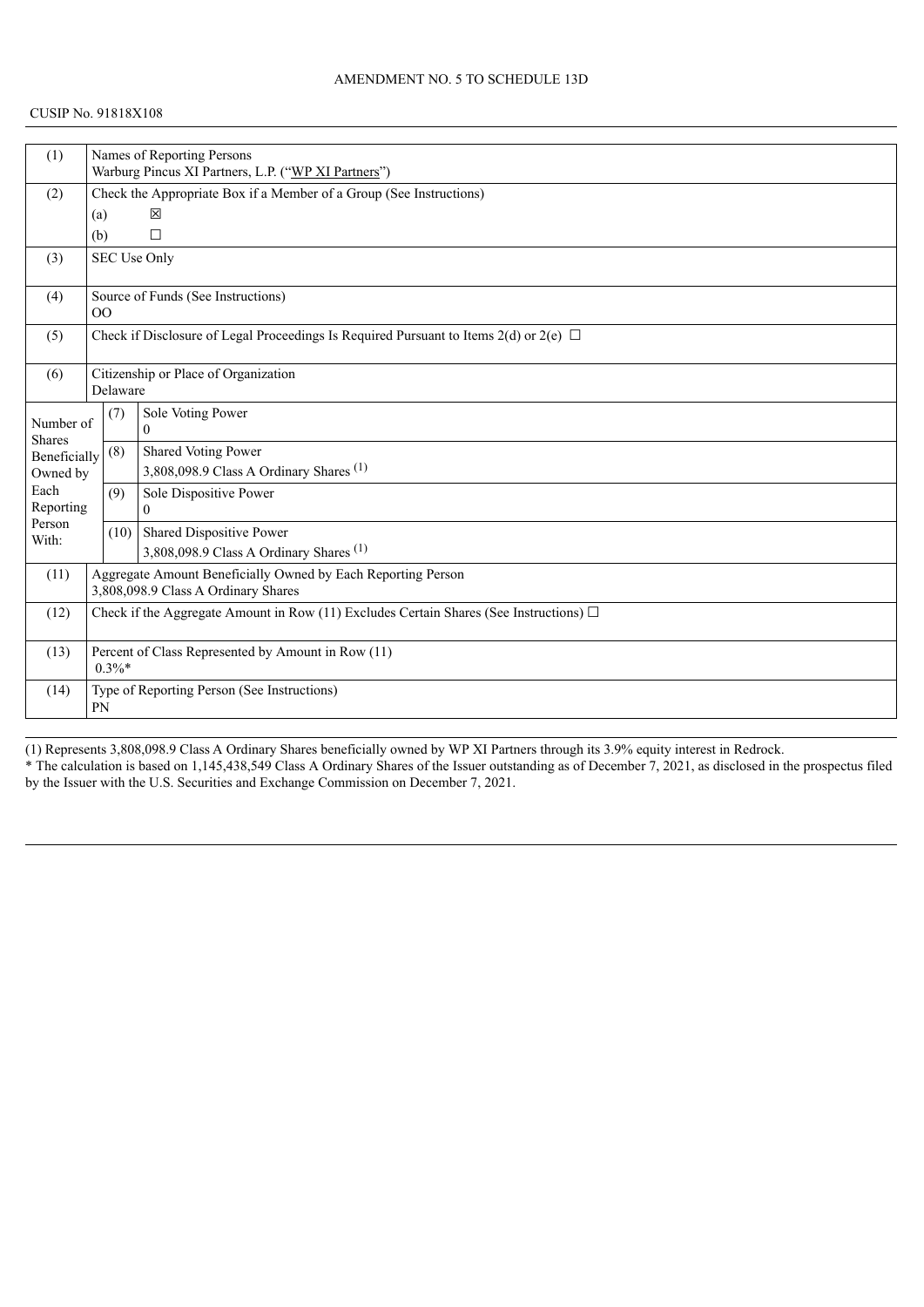#### CUSIP No. 91818X108

| (1)                        |                                                                                                     | Names of Reporting Persons                          |                                                                                            |  |  |  |
|----------------------------|-----------------------------------------------------------------------------------------------------|-----------------------------------------------------|--------------------------------------------------------------------------------------------|--|--|--|
|                            |                                                                                                     | Warburg Pincus XI Partners, L.P. ("WP XI Partners") |                                                                                            |  |  |  |
| (2)                        |                                                                                                     |                                                     | Check the Appropriate Box if a Member of a Group (See Instructions)                        |  |  |  |
|                            | (a)                                                                                                 |                                                     | 区                                                                                          |  |  |  |
|                            | (b)                                                                                                 |                                                     | П                                                                                          |  |  |  |
| (3)                        |                                                                                                     |                                                     | SEC Use Only                                                                               |  |  |  |
| (4)                        | 00                                                                                                  |                                                     | Source of Funds (See Instructions)                                                         |  |  |  |
| (5)                        |                                                                                                     |                                                     | Check if Disclosure of Legal Proceedings Is Required Pursuant to Items 2(d) or 2(e) $\Box$ |  |  |  |
| (6)                        |                                                                                                     | Delaware                                            | Citizenship or Place of Organization                                                       |  |  |  |
| Number of<br><b>Shares</b> |                                                                                                     | (7)                                                 | Sole Voting Power<br>$\Omega$                                                              |  |  |  |
| Beneficially               |                                                                                                     | (8)                                                 | Shared Voting Power                                                                        |  |  |  |
| Owned by                   |                                                                                                     |                                                     | 3,808,098.9 Class A Ordinary Shares $(1)$                                                  |  |  |  |
| Each                       |                                                                                                     | (9)                                                 | Sole Dispositive Power                                                                     |  |  |  |
| Reporting<br>Person        |                                                                                                     |                                                     | $\Omega$                                                                                   |  |  |  |
| With:                      |                                                                                                     | (10)                                                | Shared Dispositive Power                                                                   |  |  |  |
|                            |                                                                                                     |                                                     | 3,808,098.9 Class A Ordinary Shares <sup>(1)</sup>                                         |  |  |  |
| (11)                       | Aggregate Amount Beneficially Owned by Each Reporting Person<br>3,808,098.9 Class A Ordinary Shares |                                                     |                                                                                            |  |  |  |
| (12)                       | Check if the Aggregate Amount in Row (11) Excludes Certain Shares (See Instructions) $\Box$         |                                                     |                                                                                            |  |  |  |
| (13)                       | Percent of Class Represented by Amount in Row (11)<br>$0.3\%*$                                      |                                                     |                                                                                            |  |  |  |
| (14)                       | <b>PN</b>                                                                                           |                                                     | Type of Reporting Person (See Instructions)                                                |  |  |  |
|                            |                                                                                                     |                                                     |                                                                                            |  |  |  |

(1) Represents 3,808,098.9 Class A Ordinary Shares beneficially owned by WP XI Partners through its 3.9% equity interest in Redrock. \* The calculation is based on 1,145,438,549 Class A Ordinary Shares of the Issuer outstanding as of December 7, 2021, as disclosed in the prospectus filed by the Issuer with the U.S. Securities and Exchange Commission on December 7, 2021.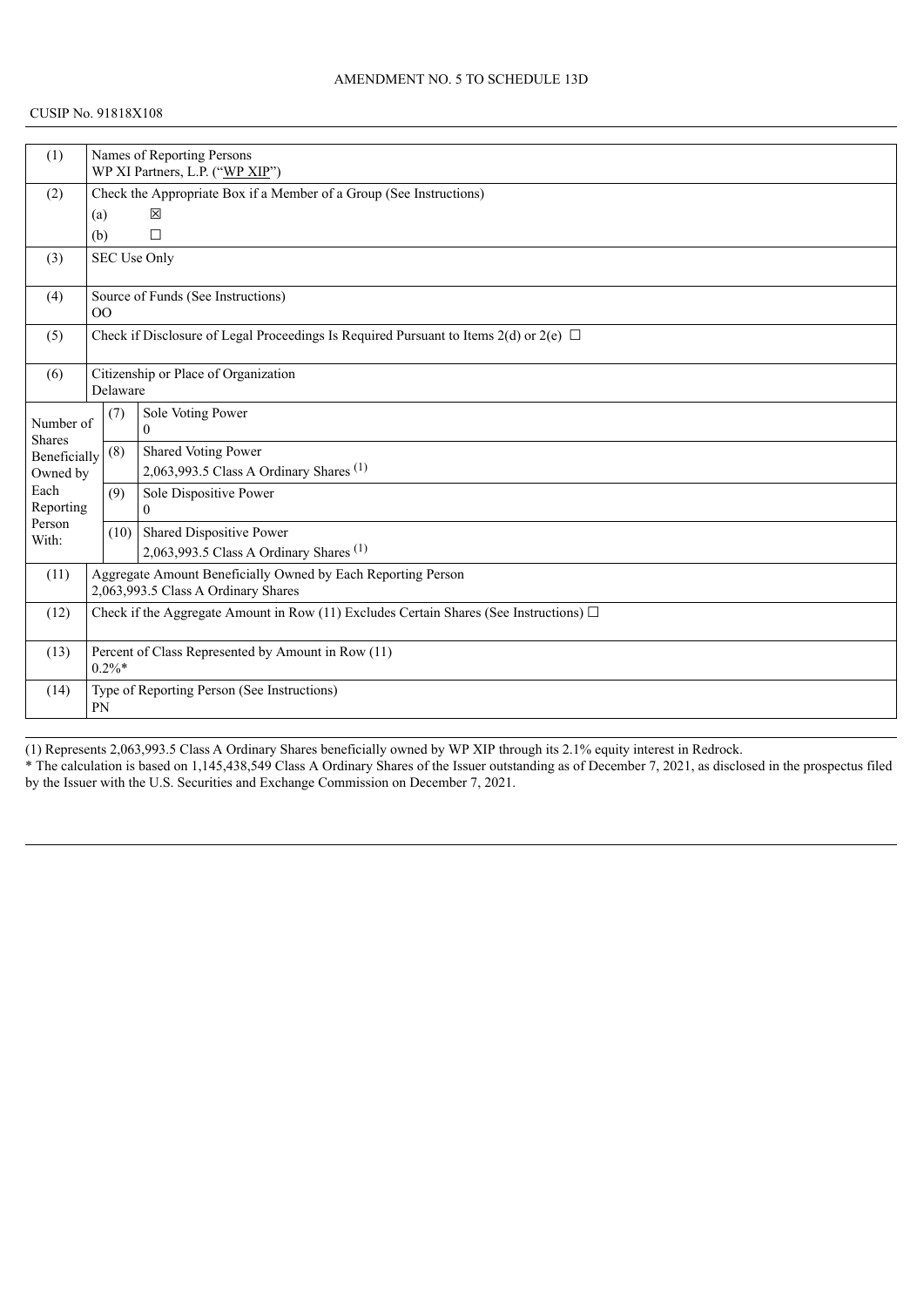#### CUSIP No. 91818X108

| (1)                        |                                                                                                     | Names of Reporting Persons                                          |                                                                                            |  |  |  |
|----------------------------|-----------------------------------------------------------------------------------------------------|---------------------------------------------------------------------|--------------------------------------------------------------------------------------------|--|--|--|
|                            |                                                                                                     | WP XI Partners, L.P. ("WP XIP")                                     |                                                                                            |  |  |  |
| (2)                        |                                                                                                     | Check the Appropriate Box if a Member of a Group (See Instructions) |                                                                                            |  |  |  |
|                            | (a)                                                                                                 |                                                                     | 区                                                                                          |  |  |  |
|                            | (b)                                                                                                 |                                                                     | $\Box$                                                                                     |  |  |  |
| (3)                        |                                                                                                     |                                                                     | SEC Use Only                                                                               |  |  |  |
| (4)                        | 00                                                                                                  |                                                                     | Source of Funds (See Instructions)                                                         |  |  |  |
| (5)                        |                                                                                                     |                                                                     | Check if Disclosure of Legal Proceedings Is Required Pursuant to Items 2(d) or 2(e) $\Box$ |  |  |  |
| (6)                        |                                                                                                     | Delaware                                                            | Citizenship or Place of Organization                                                       |  |  |  |
| Number of<br><b>Shares</b> |                                                                                                     | (7)                                                                 | Sole Voting Power<br>$\Omega$                                                              |  |  |  |
| Beneficially               |                                                                                                     | (8)                                                                 | Shared Voting Power                                                                        |  |  |  |
| Owned by                   |                                                                                                     |                                                                     | 2,063,993.5 Class A Ordinary Shares <sup>(1)</sup>                                         |  |  |  |
| Each                       |                                                                                                     | (9)                                                                 | Sole Dispositive Power                                                                     |  |  |  |
| Reporting<br>Person        |                                                                                                     |                                                                     | $\Omega$                                                                                   |  |  |  |
| With:                      |                                                                                                     | (10)                                                                | Shared Dispositive Power                                                                   |  |  |  |
|                            |                                                                                                     |                                                                     | 2,063,993.5 Class A Ordinary Shares <sup>(1)</sup>                                         |  |  |  |
| (11)                       | Aggregate Amount Beneficially Owned by Each Reporting Person<br>2,063,993.5 Class A Ordinary Shares |                                                                     |                                                                                            |  |  |  |
| (12)                       | Check if the Aggregate Amount in Row (11) Excludes Certain Shares (See Instructions) $\Box$         |                                                                     |                                                                                            |  |  |  |
| (13)                       | Percent of Class Represented by Amount in Row (11)<br>$0.2\%*$                                      |                                                                     |                                                                                            |  |  |  |
| (14)                       |                                                                                                     | Type of Reporting Person (See Instructions)<br><b>PN</b>            |                                                                                            |  |  |  |

(1) Represents 2,063,993.5 Class A Ordinary Shares beneficially owned by WP XIP through its 2.1% equity interest in Redrock. \* The calculation is based on 1,145,438,549 Class A Ordinary Shares of the Issuer outstanding as of December 7, 2021, as disclosed in the prospectus filed by the Issuer with the U.S. Securities and Exchange Commission on December 7, 2021.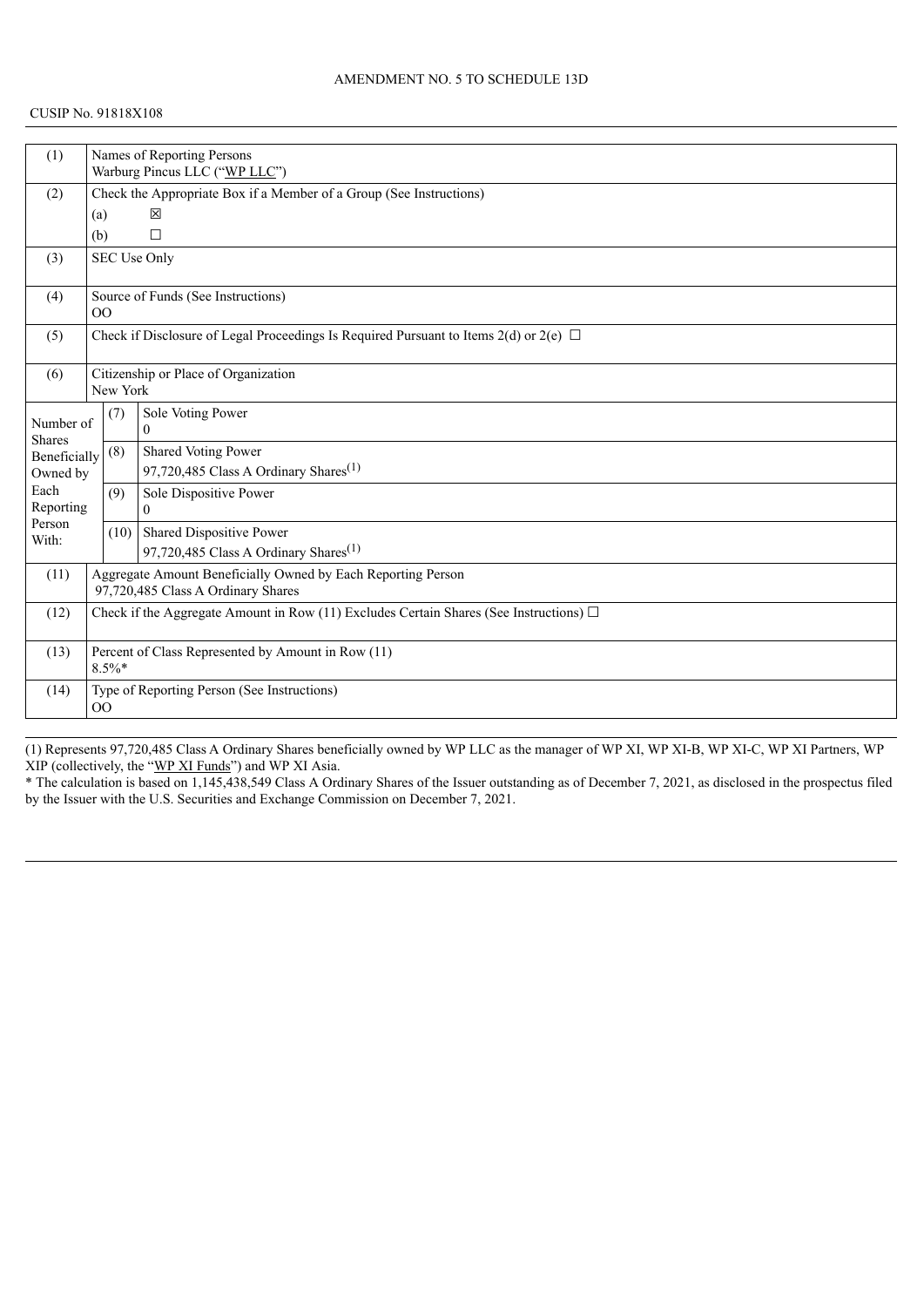## CUSIP No. 91818X108

| (1)                        |                                                                                                    | Names of Reporting Persons    |                                                                                            |  |  |  |
|----------------------------|----------------------------------------------------------------------------------------------------|-------------------------------|--------------------------------------------------------------------------------------------|--|--|--|
|                            |                                                                                                    | Warburg Pincus LLC ("WP LLC") |                                                                                            |  |  |  |
| (2)                        |                                                                                                    |                               | Check the Appropriate Box if a Member of a Group (See Instructions)                        |  |  |  |
|                            | (a)                                                                                                |                               | 区                                                                                          |  |  |  |
|                            | (b)                                                                                                |                               | $\Box$                                                                                     |  |  |  |
| (3)                        |                                                                                                    |                               | SEC Use Only                                                                               |  |  |  |
| (4)                        | 00                                                                                                 |                               | Source of Funds (See Instructions)                                                         |  |  |  |
| (5)                        |                                                                                                    |                               | Check if Disclosure of Legal Proceedings Is Required Pursuant to Items 2(d) or 2(e) $\Box$ |  |  |  |
| (6)                        |                                                                                                    | New York                      | Citizenship or Place of Organization                                                       |  |  |  |
| Number of<br><b>Shares</b> |                                                                                                    | (7)                           | Sole Voting Power<br>$\theta$                                                              |  |  |  |
| Beneficially               |                                                                                                    | (8)                           | Shared Voting Power                                                                        |  |  |  |
| Owned by                   |                                                                                                    |                               | 97,720,485 Class A Ordinary Shares <sup>(1)</sup>                                          |  |  |  |
| Each                       |                                                                                                    | (9)                           | Sole Dispositive Power                                                                     |  |  |  |
| Reporting<br>Person        |                                                                                                    |                               | $\theta$                                                                                   |  |  |  |
| With:                      |                                                                                                    |                               | $(10)$ Shared Dispositive Power                                                            |  |  |  |
|                            |                                                                                                    |                               | 97,720,485 Class A Ordinary Shares <sup>(1)</sup>                                          |  |  |  |
| (11)                       | Aggregate Amount Beneficially Owned by Each Reporting Person<br>97,720,485 Class A Ordinary Shares |                               |                                                                                            |  |  |  |
| (12)                       | Check if the Aggregate Amount in Row (11) Excludes Certain Shares (See Instructions) $\Box$        |                               |                                                                                            |  |  |  |
| (13)                       | Percent of Class Represented by Amount in Row (11)<br>$8.5\%*$                                     |                               |                                                                                            |  |  |  |
| (14)                       | 00                                                                                                 |                               | Type of Reporting Person (See Instructions)                                                |  |  |  |

(1) Represents 97,720,485 Class A Ordinary Shares beneficially owned by WP LLC as the manager of WP XI, WP XI-B, WP XI-C, WP XI Partners, WP XIP (collectively, the "WP XI Funds") and WP XI Asia.

\* The calculation is based on 1,145,438,549 Class A Ordinary Shares of the Issuer outstanding as of December 7, 2021, as disclosed in the prospectus filed by the Issuer with the U.S. Securities and Exchange Commission on December 7, 2021.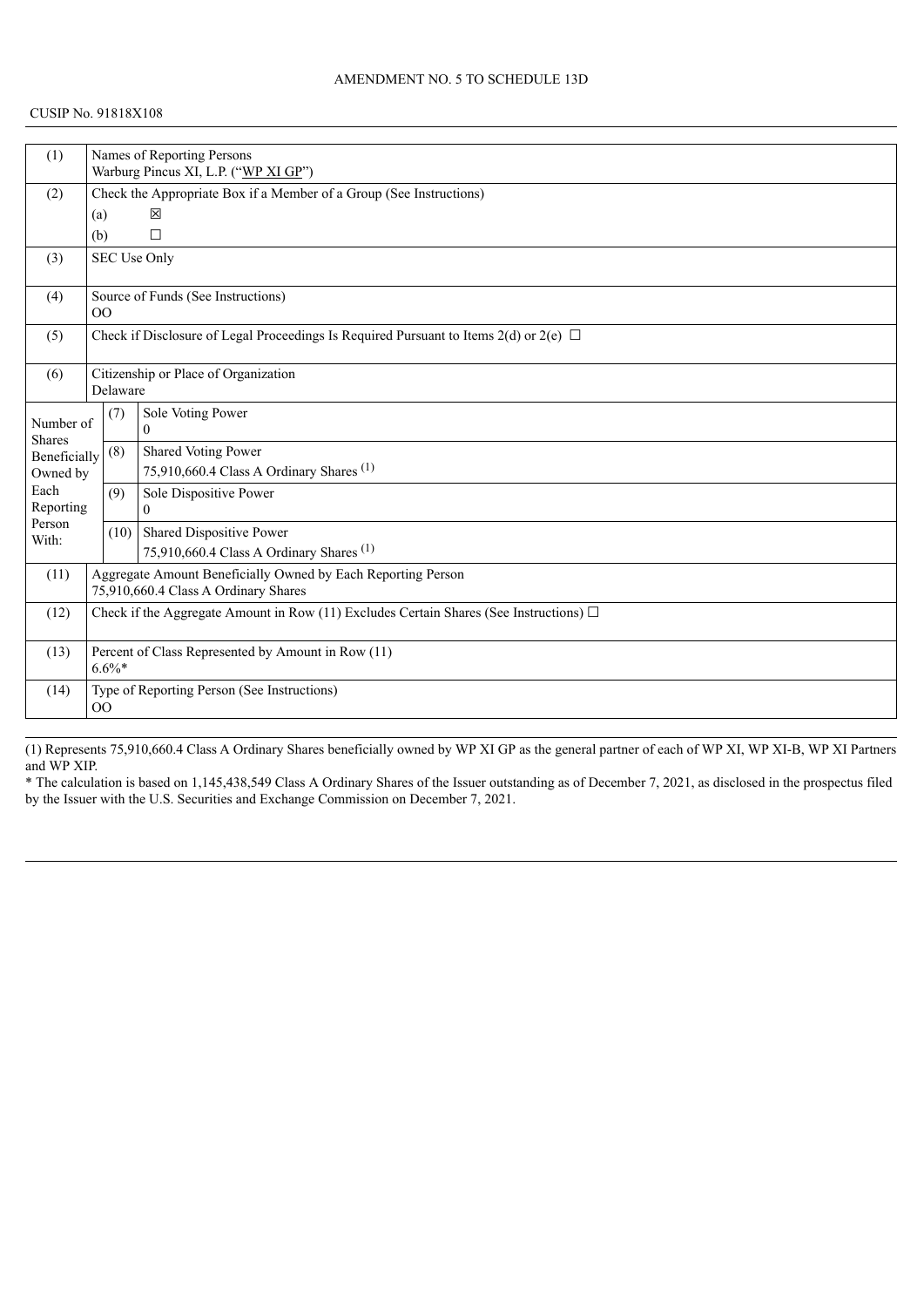#### CUSIP No. 91818X108

| (1)                        |                | Names of Reporting Persons                         |                                                                                             |  |  |  |  |
|----------------------------|----------------|----------------------------------------------------|---------------------------------------------------------------------------------------------|--|--|--|--|
|                            |                | Warburg Pincus XI, L.P. ("WP XI GP")               |                                                                                             |  |  |  |  |
| (2)                        |                |                                                    | Check the Appropriate Box if a Member of a Group (See Instructions)                         |  |  |  |  |
|                            | (a)            |                                                    | 図                                                                                           |  |  |  |  |
|                            | (b)            |                                                    | $\Box$                                                                                      |  |  |  |  |
| (3)                        |                |                                                    | <b>SEC Use Only</b>                                                                         |  |  |  |  |
|                            |                |                                                    |                                                                                             |  |  |  |  |
| (4)                        |                |                                                    | Source of Funds (See Instructions)                                                          |  |  |  |  |
|                            | O <sub>O</sub> |                                                    |                                                                                             |  |  |  |  |
| (5)                        |                |                                                    | Check if Disclosure of Legal Proceedings Is Required Pursuant to Items 2(d) or 2(e) $\Box$  |  |  |  |  |
|                            |                |                                                    |                                                                                             |  |  |  |  |
| (6)                        |                |                                                    | Citizenship or Place of Organization                                                        |  |  |  |  |
|                            |                | Delaware                                           |                                                                                             |  |  |  |  |
|                            |                | (7)                                                | Sole Voting Power                                                                           |  |  |  |  |
| Number of<br><b>Shares</b> |                |                                                    | $\Omega$                                                                                    |  |  |  |  |
| Beneficially               |                | (8)                                                | Shared Voting Power                                                                         |  |  |  |  |
| Owned by                   |                |                                                    | 75,910,660.4 Class A Ordinary Shares <sup>(1)</sup>                                         |  |  |  |  |
| Each                       |                | (9)                                                | Sole Dispositive Power                                                                      |  |  |  |  |
| Reporting                  |                |                                                    | $\theta$                                                                                    |  |  |  |  |
| Person                     |                |                                                    | (10) Shared Dispositive Power                                                               |  |  |  |  |
| With:                      |                |                                                    | 75,910,660.4 Class A Ordinary Shares <sup>(1)</sup>                                         |  |  |  |  |
| (11)                       |                |                                                    | Aggregate Amount Beneficially Owned by Each Reporting Person                                |  |  |  |  |
|                            |                | 75,910,660.4 Class A Ordinary Shares               |                                                                                             |  |  |  |  |
| (12)                       |                |                                                    | Check if the Aggregate Amount in Row (11) Excludes Certain Shares (See Instructions) $\Box$ |  |  |  |  |
|                            |                |                                                    |                                                                                             |  |  |  |  |
| (13)                       |                | Percent of Class Represented by Amount in Row (11) |                                                                                             |  |  |  |  |
|                            |                | $6.6\%*$                                           |                                                                                             |  |  |  |  |
| (14)                       |                |                                                    | Type of Reporting Person (See Instructions)                                                 |  |  |  |  |
|                            | O <sub>O</sub> |                                                    |                                                                                             |  |  |  |  |
|                            |                |                                                    |                                                                                             |  |  |  |  |

(1) Represents 75,910,660.4 Class A Ordinary Shares beneficially owned by WP XI GP as the general partner of each of WP XI, WP XI-B, WP XI Partners and WP XIP.

\* The calculation is based on 1,145,438,549 Class A Ordinary Shares of the Issuer outstanding as of December 7, 2021, as disclosed in the prospectus filed by the Issuer with the U.S. Securities and Exchange Commission on December 7, 2021.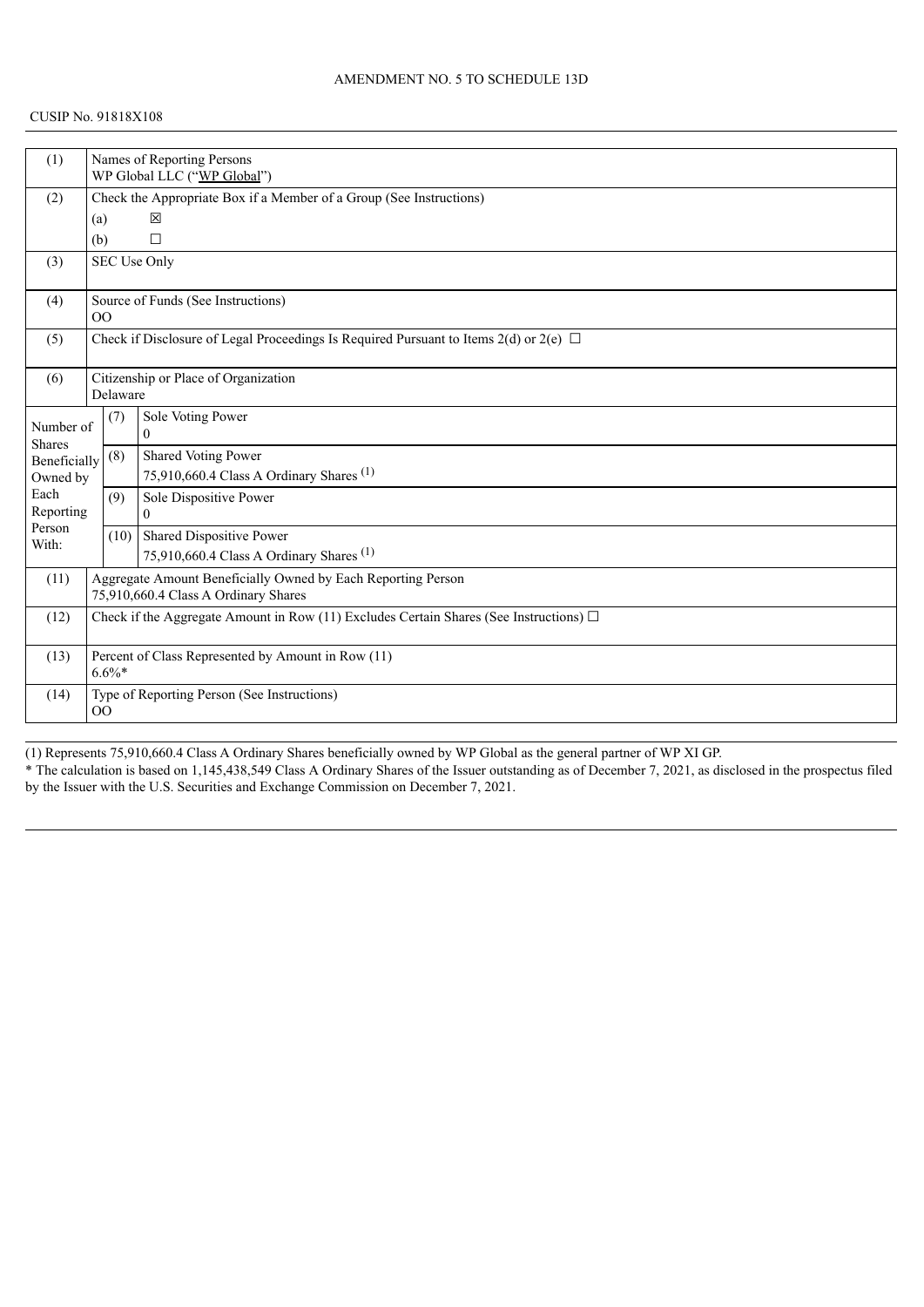#### CUSIP No. 91818X108

| (1)                           |     |                                                                     | Names of Reporting Persons<br>WP Global LLC ("WP Global")                                   |  |  |  |  |
|-------------------------------|-----|---------------------------------------------------------------------|---------------------------------------------------------------------------------------------|--|--|--|--|
| (2)                           |     | Check the Appropriate Box if a Member of a Group (See Instructions) |                                                                                             |  |  |  |  |
|                               |     | 図<br>(a)                                                            |                                                                                             |  |  |  |  |
|                               | (b) |                                                                     | $\Box$                                                                                      |  |  |  |  |
|                               |     |                                                                     | SEC Use Only                                                                                |  |  |  |  |
| (3)                           |     |                                                                     |                                                                                             |  |  |  |  |
| (4)                           |     |                                                                     | Source of Funds (See Instructions)                                                          |  |  |  |  |
|                               | 00  |                                                                     |                                                                                             |  |  |  |  |
| (5)                           |     |                                                                     | Check if Disclosure of Legal Proceedings Is Required Pursuant to Items 2(d) or 2(e) $\Box$  |  |  |  |  |
| (6)                           |     |                                                                     | Citizenship or Place of Organization                                                        |  |  |  |  |
|                               |     | Delaware                                                            |                                                                                             |  |  |  |  |
|                               |     | (7)                                                                 | Sole Voting Power                                                                           |  |  |  |  |
| Number of                     |     |                                                                     | $\Omega$                                                                                    |  |  |  |  |
| <b>Shares</b><br>Beneficially |     | (8)                                                                 | Shared Voting Power                                                                         |  |  |  |  |
| Owned by                      |     |                                                                     | 75,910,660.4 Class A Ordinary Shares <sup>(1)</sup>                                         |  |  |  |  |
| Each                          |     | (9)                                                                 | Sole Dispositive Power                                                                      |  |  |  |  |
| Reporting                     |     |                                                                     | $\theta$                                                                                    |  |  |  |  |
| Person                        |     |                                                                     | (10) Shared Dispositive Power                                                               |  |  |  |  |
| With:                         |     |                                                                     | 75,910,660.4 Class A Ordinary Shares <sup>(1)</sup>                                         |  |  |  |  |
| (11)                          |     |                                                                     | Aggregate Amount Beneficially Owned by Each Reporting Person                                |  |  |  |  |
|                               |     | 75,910,660.4 Class A Ordinary Shares                                |                                                                                             |  |  |  |  |
| (12)                          |     |                                                                     | Check if the Aggregate Amount in Row (11) Excludes Certain Shares (See Instructions) $\Box$ |  |  |  |  |
|                               |     |                                                                     |                                                                                             |  |  |  |  |
| (13)                          |     | Percent of Class Represented by Amount in Row (11)                  |                                                                                             |  |  |  |  |
|                               |     | $6.6\%*$                                                            |                                                                                             |  |  |  |  |
| (14)                          |     |                                                                     | Type of Reporting Person (See Instructions)                                                 |  |  |  |  |
|                               | 00  |                                                                     |                                                                                             |  |  |  |  |

(1) Represents 75,910,660.4 Class A Ordinary Shares beneficially owned by WP Global as the general partner of WP XI GP. \* The calculation is based on 1,145,438,549 Class A Ordinary Shares of the Issuer outstanding as of December 7, 2021, as disclosed in the prospectus filed by the Issuer with the U.S. Securities and Exchange Commission on December 7, 2021.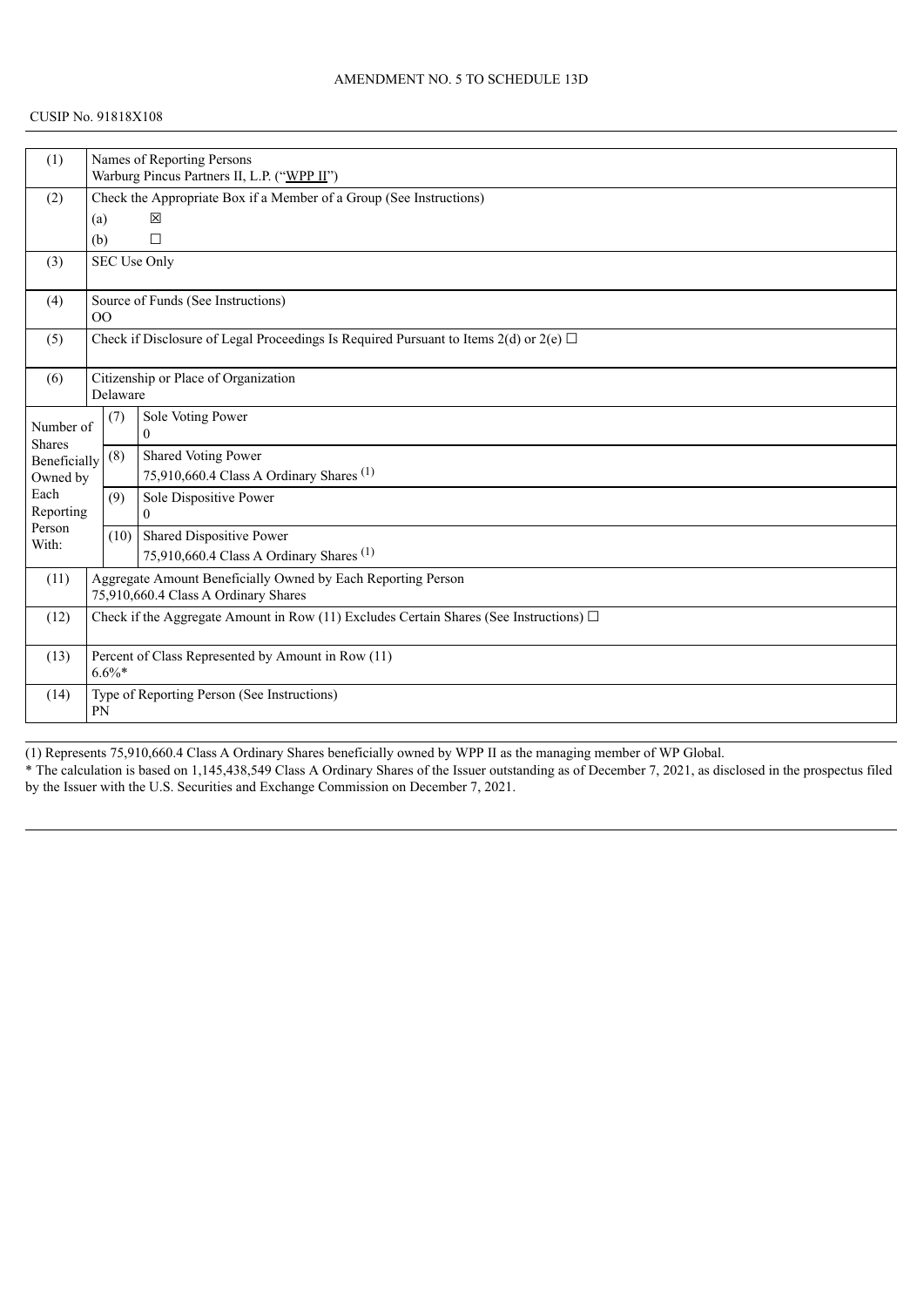#### CUSIP No. 91818X108

| (1)                                                                                                 |                | Names of Reporting Persons<br>Warburg Pincus Partners II, L.P. ("WPP II") |                                                                                            |  |  |  |  |
|-----------------------------------------------------------------------------------------------------|----------------|---------------------------------------------------------------------------|--------------------------------------------------------------------------------------------|--|--|--|--|
|                                                                                                     |                | Check the Appropriate Box if a Member of a Group (See Instructions)       |                                                                                            |  |  |  |  |
| (2)                                                                                                 |                |                                                                           |                                                                                            |  |  |  |  |
|                                                                                                     | (a)            |                                                                           | 図                                                                                          |  |  |  |  |
|                                                                                                     | (b)            |                                                                           | $\Box$                                                                                     |  |  |  |  |
| (3)                                                                                                 |                |                                                                           | SEC Use Only                                                                               |  |  |  |  |
| (4)                                                                                                 | O <sub>O</sub> |                                                                           | Source of Funds (See Instructions)                                                         |  |  |  |  |
|                                                                                                     |                |                                                                           |                                                                                            |  |  |  |  |
| (5)                                                                                                 |                |                                                                           | Check if Disclosure of Legal Proceedings Is Required Pursuant to Items 2(d) or 2(e) $\Box$ |  |  |  |  |
| (6)                                                                                                 |                |                                                                           | Citizenship or Place of Organization                                                       |  |  |  |  |
|                                                                                                     |                | Delaware                                                                  |                                                                                            |  |  |  |  |
|                                                                                                     |                | (7)                                                                       | Sole Voting Power                                                                          |  |  |  |  |
| Number of<br><b>Shares</b>                                                                          |                |                                                                           | $\theta$                                                                                   |  |  |  |  |
| Beneficially                                                                                        |                | (8)                                                                       | Shared Voting Power                                                                        |  |  |  |  |
| Owned by                                                                                            |                |                                                                           | 75,910,660.4 Class A Ordinary Shares <sup>(1)</sup>                                        |  |  |  |  |
| Each                                                                                                |                | (9)                                                                       | Sole Dispositive Power                                                                     |  |  |  |  |
| Reporting                                                                                           |                |                                                                           | $\Omega$                                                                                   |  |  |  |  |
| Person                                                                                              |                |                                                                           | (10) Shared Dispositive Power                                                              |  |  |  |  |
| With:                                                                                               |                |                                                                           | 75,910,660.4 Class A Ordinary Shares <sup>(1)</sup>                                        |  |  |  |  |
| (11)                                                                                                |                |                                                                           | Aggregate Amount Beneficially Owned by Each Reporting Person                               |  |  |  |  |
|                                                                                                     |                | 75,910,660.4 Class A Ordinary Shares                                      |                                                                                            |  |  |  |  |
| Check if the Aggregate Amount in Row (11) Excludes Certain Shares (See Instructions) $\Box$<br>(12) |                |                                                                           |                                                                                            |  |  |  |  |
|                                                                                                     |                |                                                                           |                                                                                            |  |  |  |  |
| (13)                                                                                                |                |                                                                           | Percent of Class Represented by Amount in Row (11)                                         |  |  |  |  |
|                                                                                                     |                | $6.6\%*$                                                                  |                                                                                            |  |  |  |  |
| (14)                                                                                                |                |                                                                           | Type of Reporting Person (See Instructions)                                                |  |  |  |  |
|                                                                                                     | <b>PN</b>      |                                                                           |                                                                                            |  |  |  |  |

(1) Represents 75,910,660.4 Class A Ordinary Shares beneficially owned by WPP II as the managing member of WP Global. \* The calculation is based on 1,145,438,549 Class A Ordinary Shares of the Issuer outstanding as of December 7, 2021, as disclosed in the prospectus filed by the Issuer with the U.S. Securities and Exchange Commission on December 7, 2021.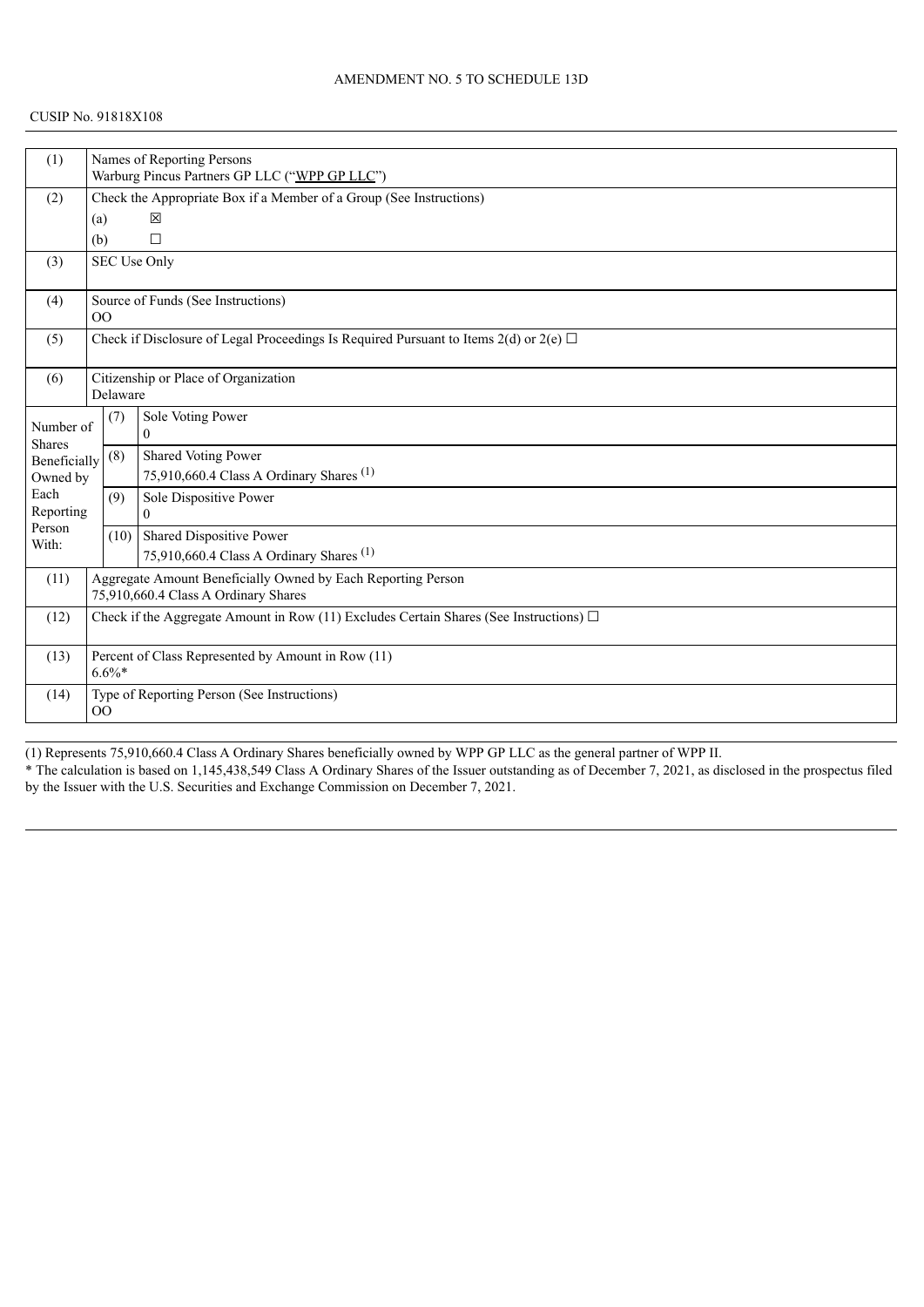| (1)                                                                  |                                                                                             |                                                                     | Names of Reporting Persons<br>Warburg Pincus Partners GP LLC ("WPP GP LLC")                |  |  |  |
|----------------------------------------------------------------------|---------------------------------------------------------------------------------------------|---------------------------------------------------------------------|--------------------------------------------------------------------------------------------|--|--|--|
| (2)                                                                  |                                                                                             | Check the Appropriate Box if a Member of a Group (See Instructions) |                                                                                            |  |  |  |
|                                                                      | (a)                                                                                         |                                                                     | 区                                                                                          |  |  |  |
|                                                                      |                                                                                             |                                                                     |                                                                                            |  |  |  |
|                                                                      | (b)                                                                                         |                                                                     | $\Box$                                                                                     |  |  |  |
| (3)                                                                  |                                                                                             |                                                                     | SEC Use Only                                                                               |  |  |  |
| (4)                                                                  | OO                                                                                          |                                                                     | Source of Funds (See Instructions)                                                         |  |  |  |
|                                                                      |                                                                                             |                                                                     |                                                                                            |  |  |  |
| (5)                                                                  |                                                                                             |                                                                     | Check if Disclosure of Legal Proceedings Is Required Pursuant to Items 2(d) or 2(e) $\Box$ |  |  |  |
| (6)                                                                  |                                                                                             |                                                                     | Citizenship or Place of Organization                                                       |  |  |  |
|                                                                      |                                                                                             | Delaware                                                            |                                                                                            |  |  |  |
|                                                                      |                                                                                             | (7)                                                                 | Sole Voting Power                                                                          |  |  |  |
| Number of                                                            |                                                                                             |                                                                     | $\Omega$                                                                                   |  |  |  |
| <b>Shares</b><br>Beneficially                                        |                                                                                             | (8)                                                                 | Shared Voting Power                                                                        |  |  |  |
| Owned by                                                             |                                                                                             |                                                                     | 75,910,660.4 Class A Ordinary Shares <sup>(1)</sup>                                        |  |  |  |
| Each                                                                 |                                                                                             | (9)                                                                 | Sole Dispositive Power                                                                     |  |  |  |
| Reporting                                                            |                                                                                             |                                                                     | $\Omega$                                                                                   |  |  |  |
| Person                                                               |                                                                                             | (10)                                                                | Shared Dispositive Power                                                                   |  |  |  |
| With:                                                                |                                                                                             |                                                                     | 75,910,660.4 Class A Ordinary Shares <sup>(1)</sup>                                        |  |  |  |
|                                                                      |                                                                                             |                                                                     |                                                                                            |  |  |  |
| Aggregate Amount Beneficially Owned by Each Reporting Person<br>(11) |                                                                                             |                                                                     |                                                                                            |  |  |  |
|                                                                      |                                                                                             |                                                                     | 75,910,660.4 Class A Ordinary Shares                                                       |  |  |  |
| (12)                                                                 | Check if the Aggregate Amount in Row (11) Excludes Certain Shares (See Instructions) $\Box$ |                                                                     |                                                                                            |  |  |  |
| (13)                                                                 | Percent of Class Represented by Amount in Row (11)<br>$6.6\%*$                              |                                                                     |                                                                                            |  |  |  |
|                                                                      |                                                                                             |                                                                     |                                                                                            |  |  |  |
| (14)                                                                 |                                                                                             |                                                                     | Type of Reporting Person (See Instructions)                                                |  |  |  |
|                                                                      | OO                                                                                          |                                                                     |                                                                                            |  |  |  |

(1) Represents 75,910,660.4 Class A Ordinary Shares beneficially owned by WPP GP LLC as the general partner of WPP II. \* The calculation is based on 1,145,438,549 Class A Ordinary Shares of the Issuer outstanding as of December 7, 2021, as disclosed in the prospectus filed by the Issuer with the U.S. Securities and Exchange Commission on December 7, 2021.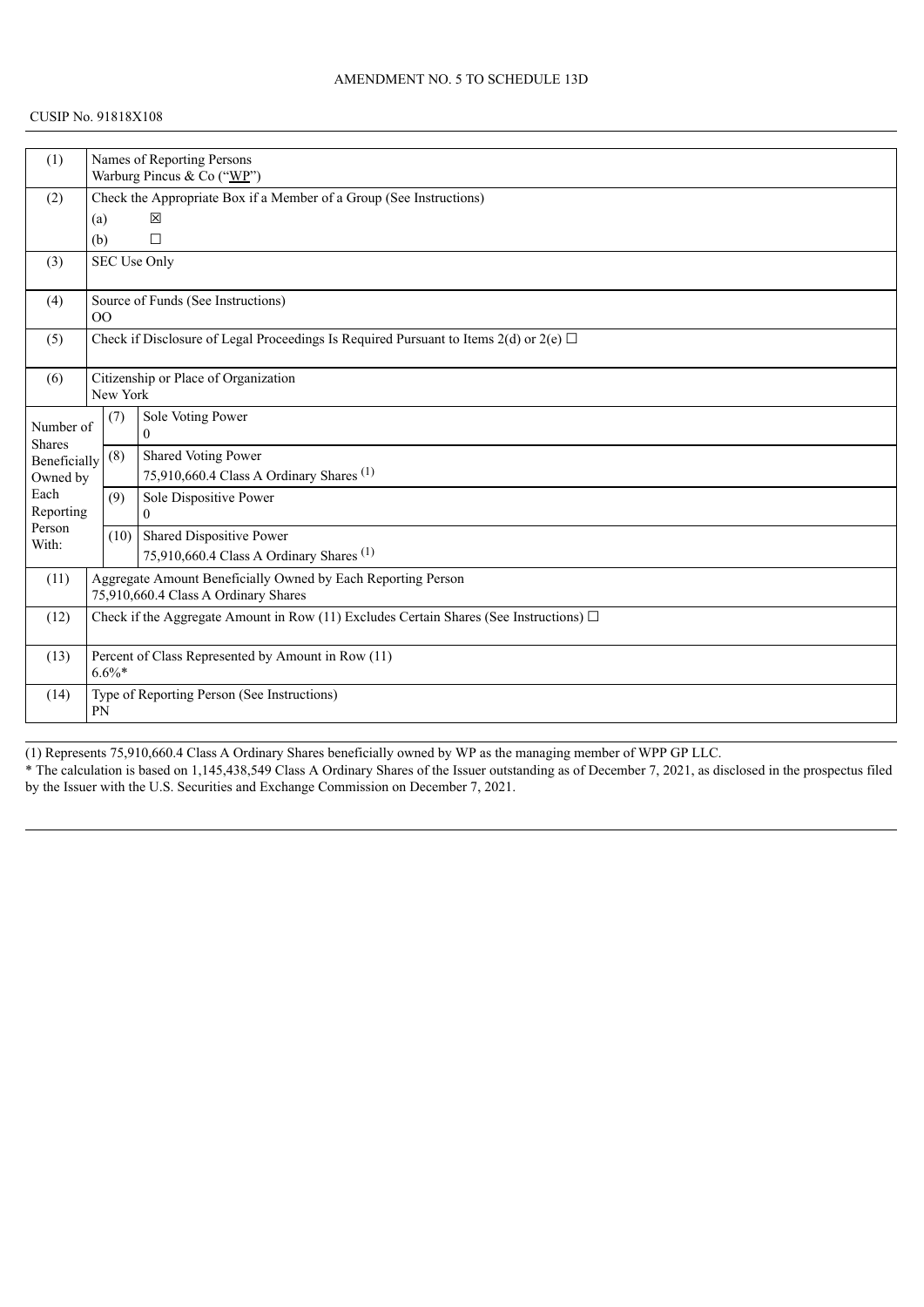#### CUSIP No. 91818X108

| (1)                                                     | Names of Reporting Persons<br>Warburg Pincus & Co ("WP")                                       |                                                                     |                                                     |  |  |  |
|---------------------------------------------------------|------------------------------------------------------------------------------------------------|---------------------------------------------------------------------|-----------------------------------------------------|--|--|--|
|                                                         |                                                                                                |                                                                     |                                                     |  |  |  |
| (2)                                                     |                                                                                                | Check the Appropriate Box if a Member of a Group (See Instructions) |                                                     |  |  |  |
|                                                         | (a)                                                                                            |                                                                     | 冈                                                   |  |  |  |
|                                                         | (b)                                                                                            |                                                                     | $\Box$                                              |  |  |  |
| (3)                                                     |                                                                                                |                                                                     | <b>SEC Use Only</b>                                 |  |  |  |
| (4)                                                     | 00                                                                                             |                                                                     | Source of Funds (See Instructions)                  |  |  |  |
| (5)                                                     | Check if Disclosure of Legal Proceedings Is Required Pursuant to Items $2(d)$ or $2(e)$ $\Box$ |                                                                     |                                                     |  |  |  |
| Citizenship or Place of Organization<br>(6)<br>New York |                                                                                                |                                                                     |                                                     |  |  |  |
| Number of<br><b>Shares</b>                              |                                                                                                | (7)                                                                 | Sole Voting Power<br>$\Omega$                       |  |  |  |
| Beneficially                                            |                                                                                                | (8)                                                                 | Shared Voting Power                                 |  |  |  |
| Owned by                                                |                                                                                                |                                                                     | 75,910,660.4 Class A Ordinary Shares <sup>(1)</sup> |  |  |  |
| Each                                                    |                                                                                                | (9)                                                                 | Sole Dispositive Power                              |  |  |  |
| Reporting                                               |                                                                                                |                                                                     | $\overline{0}$                                      |  |  |  |
| Person<br>With:                                         |                                                                                                | (10)                                                                | Shared Dispositive Power                            |  |  |  |
|                                                         |                                                                                                |                                                                     | 75,910,660.4 Class A Ordinary Shares <sup>(1)</sup> |  |  |  |
| (11)                                                    |                                                                                                | Aggregate Amount Beneficially Owned by Each Reporting Person        |                                                     |  |  |  |
|                                                         |                                                                                                |                                                                     | 75,910,660.4 Class A Ordinary Shares                |  |  |  |
| (12)                                                    | Check if the Aggregate Amount in Row (11) Excludes Certain Shares (See Instructions) $\Box$    |                                                                     |                                                     |  |  |  |
| (13)                                                    | Percent of Class Represented by Amount in Row (11)<br>$6.6\%$ *                                |                                                                     |                                                     |  |  |  |
| (14)                                                    | Type of Reporting Person (See Instructions)<br>PN                                              |                                                                     |                                                     |  |  |  |

(1) Represents 75,910,660.4 Class A Ordinary Shares beneficially owned by WP as the managing member of WPP GP LLC. \* The calculation is based on 1,145,438,549 Class A Ordinary Shares of the Issuer outstanding as of December 7, 2021, as disclosed in the prospectus filed by the Issuer with the U.S. Securities and Exchange Commission on December 7, 2021.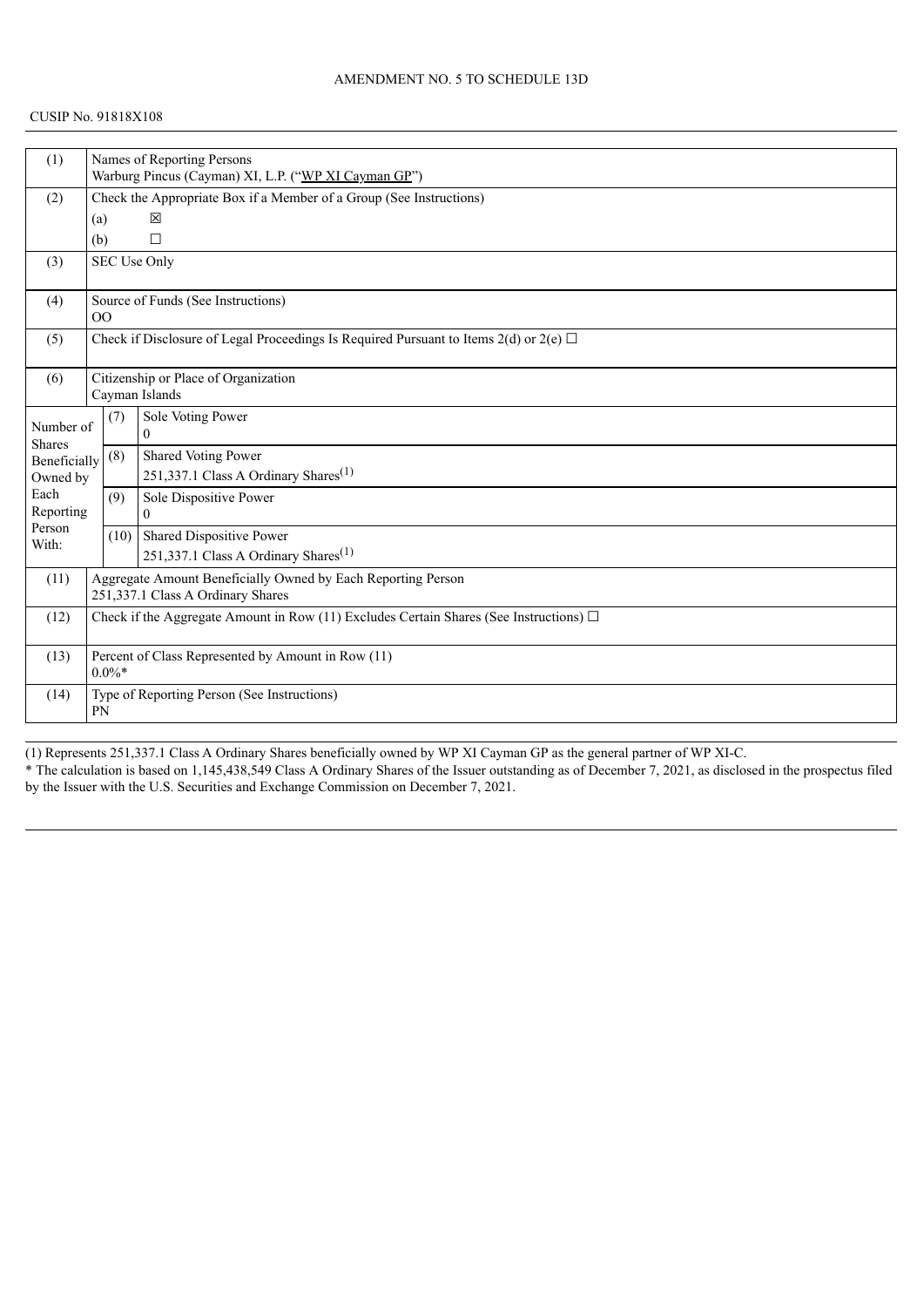| (1)                                                                  |                                                                                             | Names of Reporting Persons                                          |                                                                                            |  |  |  |  |
|----------------------------------------------------------------------|---------------------------------------------------------------------------------------------|---------------------------------------------------------------------|--------------------------------------------------------------------------------------------|--|--|--|--|
|                                                                      |                                                                                             | Warburg Pincus (Cayman) XI, L.P. ("WP XI Cayman GP")                |                                                                                            |  |  |  |  |
| (2)                                                                  |                                                                                             | Check the Appropriate Box if a Member of a Group (See Instructions) |                                                                                            |  |  |  |  |
|                                                                      |                                                                                             | 区<br>(a)                                                            |                                                                                            |  |  |  |  |
|                                                                      | (b)                                                                                         |                                                                     | $\Box$                                                                                     |  |  |  |  |
| (3)                                                                  |                                                                                             |                                                                     | <b>SEC Use Only</b>                                                                        |  |  |  |  |
| (4)                                                                  | 0 <sup>0</sup>                                                                              |                                                                     | Source of Funds (See Instructions)                                                         |  |  |  |  |
| (5)                                                                  |                                                                                             |                                                                     | Check if Disclosure of Legal Proceedings Is Required Pursuant to Items 2(d) or 2(e) $\Box$ |  |  |  |  |
| (6)                                                                  | Citizenship or Place of Organization<br>Cayman Islands                                      |                                                                     |                                                                                            |  |  |  |  |
| Number of<br><b>Shares</b>                                           |                                                                                             | (7)                                                                 | Sole Voting Power<br>$\theta$                                                              |  |  |  |  |
| Beneficially                                                         |                                                                                             | (8)                                                                 | Shared Voting Power                                                                        |  |  |  |  |
| Owned by                                                             |                                                                                             |                                                                     | 251,337.1 Class A Ordinary Shares <sup>(1)</sup>                                           |  |  |  |  |
| Each                                                                 |                                                                                             | (9)                                                                 | Sole Dispositive Power                                                                     |  |  |  |  |
| Reporting                                                            |                                                                                             |                                                                     | $\Omega$                                                                                   |  |  |  |  |
| Person<br>With:                                                      |                                                                                             | (10)                                                                | Shared Dispositive Power                                                                   |  |  |  |  |
|                                                                      |                                                                                             |                                                                     | 251,337.1 Class A Ordinary Shares <sup>(1)</sup>                                           |  |  |  |  |
| Aggregate Amount Beneficially Owned by Each Reporting Person<br>(11) |                                                                                             |                                                                     |                                                                                            |  |  |  |  |
|                                                                      |                                                                                             |                                                                     | 251,337.1 Class A Ordinary Shares                                                          |  |  |  |  |
| (12)                                                                 | Check if the Aggregate Amount in Row (11) Excludes Certain Shares (See Instructions) $\Box$ |                                                                     |                                                                                            |  |  |  |  |
| (13)                                                                 | Percent of Class Represented by Amount in Row (11)<br>$0.0\%$ *                             |                                                                     |                                                                                            |  |  |  |  |
| (14)                                                                 | Type of Reporting Person (See Instructions)<br><b>PN</b>                                    |                                                                     |                                                                                            |  |  |  |  |

(1) Represents 251,337.1 Class A Ordinary Shares beneficially owned by WP XI Cayman GP as the general partner of WP XI-C. \* The calculation is based on 1,145,438,549 Class A Ordinary Shares of the Issuer outstanding as of December 7, 2021, as disclosed in the prospectus filed by the Issuer with the U.S. Securities and Exchange Commission on December 7, 2021.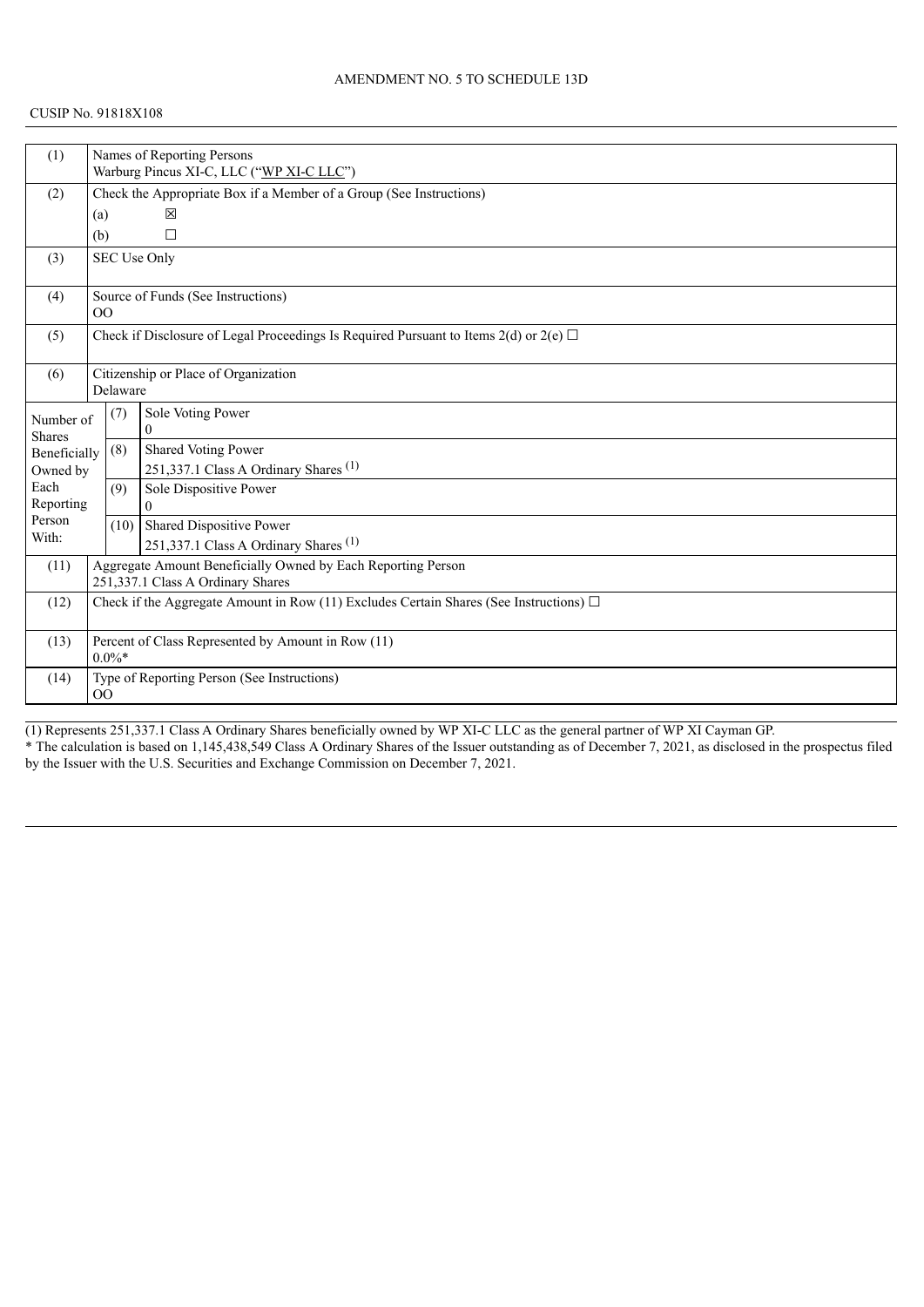| (1)                                                        |                                                                     | Names of Reporting Persons                        |                                                                                             |  |  |  |  |
|------------------------------------------------------------|---------------------------------------------------------------------|---------------------------------------------------|---------------------------------------------------------------------------------------------|--|--|--|--|
|                                                            |                                                                     | Warburg Pincus XI-C, LLC ("WP XI-C LLC")          |                                                                                             |  |  |  |  |
| (2)                                                        | Check the Appropriate Box if a Member of a Group (See Instructions) |                                                   |                                                                                             |  |  |  |  |
|                                                            |                                                                     | 図<br>(a)                                          |                                                                                             |  |  |  |  |
|                                                            | (b)                                                                 |                                                   | П                                                                                           |  |  |  |  |
| (3)                                                        |                                                                     |                                                   | SEC Use Only                                                                                |  |  |  |  |
|                                                            |                                                                     |                                                   |                                                                                             |  |  |  |  |
| (4)                                                        |                                                                     |                                                   | Source of Funds (See Instructions)                                                          |  |  |  |  |
|                                                            |                                                                     | 0 <sup>0</sup>                                    |                                                                                             |  |  |  |  |
| (5)                                                        |                                                                     |                                                   | Check if Disclosure of Legal Proceedings Is Required Pursuant to Items 2(d) or 2(e) $\Box$  |  |  |  |  |
|                                                            |                                                                     |                                                   |                                                                                             |  |  |  |  |
| (6)                                                        |                                                                     | Citizenship or Place of Organization              |                                                                                             |  |  |  |  |
|                                                            |                                                                     | Delaware                                          |                                                                                             |  |  |  |  |
| Number of                                                  |                                                                     | (7)                                               | Sole Voting Power                                                                           |  |  |  |  |
| <b>Shares</b>                                              |                                                                     |                                                   | $\theta$                                                                                    |  |  |  |  |
| Beneficially                                               |                                                                     | (8)                                               | Shared Voting Power                                                                         |  |  |  |  |
| Owned by                                                   |                                                                     |                                                   | 251,337.1 Class A Ordinary Shares <sup>(1)</sup>                                            |  |  |  |  |
| Each                                                       |                                                                     | (9)                                               | Sole Dispositive Power                                                                      |  |  |  |  |
| Reporting                                                  |                                                                     |                                                   | $\Omega$                                                                                    |  |  |  |  |
| Person<br>With:                                            |                                                                     | (10)                                              | Shared Dispositive Power                                                                    |  |  |  |  |
|                                                            |                                                                     |                                                   | 251,337.1 Class A Ordinary Shares <sup>(1)</sup>                                            |  |  |  |  |
| (11)                                                       | Aggregate Amount Beneficially Owned by Each Reporting Person        |                                                   |                                                                                             |  |  |  |  |
|                                                            |                                                                     |                                                   | 251,337.1 Class A Ordinary Shares                                                           |  |  |  |  |
| (12)                                                       |                                                                     |                                                   | Check if the Aggregate Amount in Row (11) Excludes Certain Shares (See Instructions) $\Box$ |  |  |  |  |
|                                                            |                                                                     |                                                   |                                                                                             |  |  |  |  |
| Percent of Class Represented by Amount in Row (11)<br>(13) |                                                                     |                                                   |                                                                                             |  |  |  |  |
|                                                            | $0.0\%$ *                                                           |                                                   |                                                                                             |  |  |  |  |
| (14)                                                       |                                                                     | Type of Reporting Person (See Instructions)<br>00 |                                                                                             |  |  |  |  |
|                                                            |                                                                     |                                                   |                                                                                             |  |  |  |  |

(1) Represents 251,337.1 Class A Ordinary Shares beneficially owned by WP XI-C LLC as the general partner of WP XI Cayman GP. \* The calculation is based on 1,145,438,549 Class A Ordinary Shares of the Issuer outstanding as of December 7, 2021, as disclosed in the prospectus filed by the Issuer with the U.S. Securities and Exchange Commission on December 7, 2021.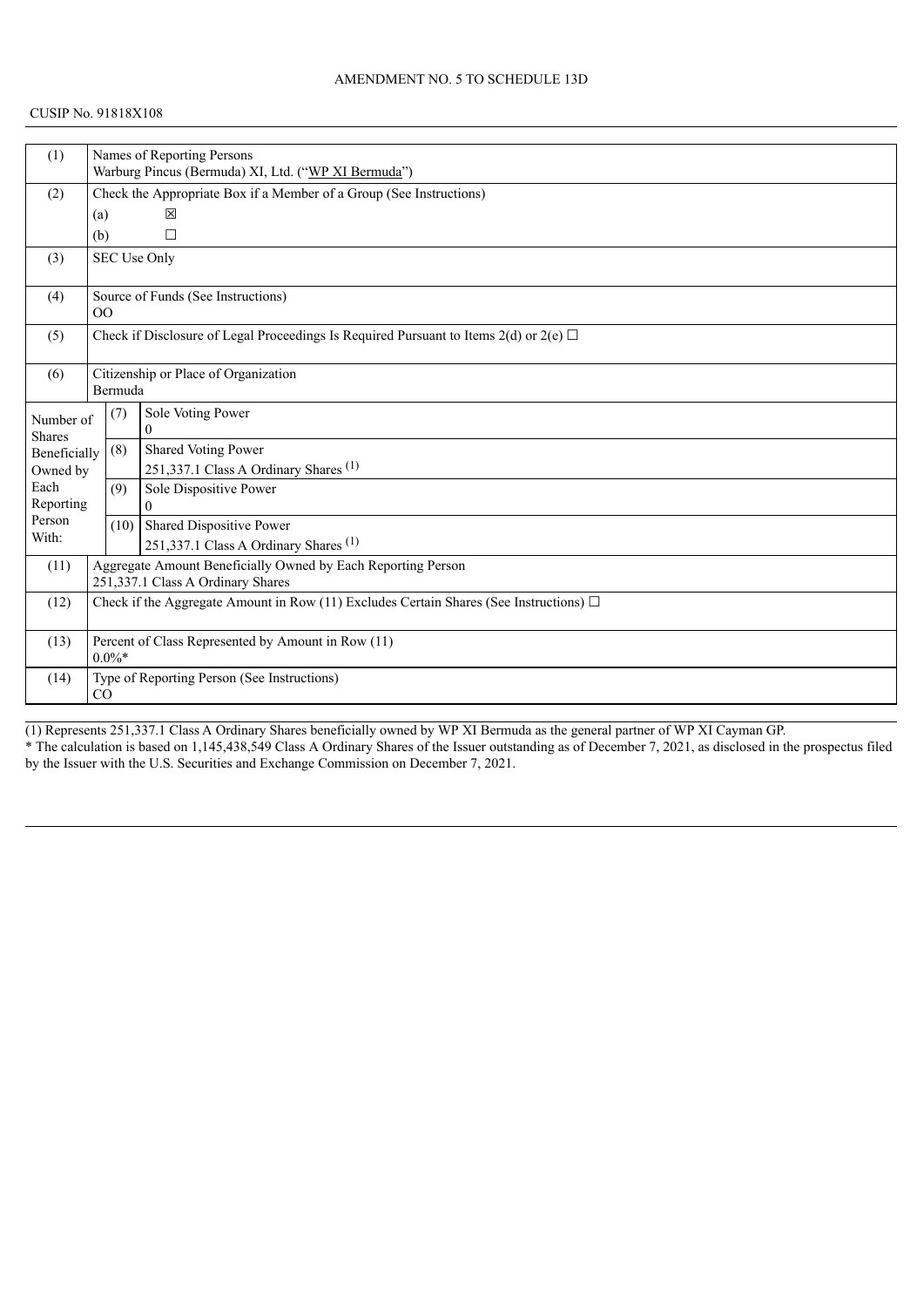| (1)                 |                                                                                             | Names of Reporting Persons                                          |                                                  |  |  |  |
|---------------------|---------------------------------------------------------------------------------------------|---------------------------------------------------------------------|--------------------------------------------------|--|--|--|
|                     |                                                                                             | Warburg Pincus (Bermuda) XI, Ltd. ("WP XI Bermuda")                 |                                                  |  |  |  |
| (2)                 |                                                                                             | Check the Appropriate Box if a Member of a Group (See Instructions) |                                                  |  |  |  |
|                     | (a)                                                                                         |                                                                     | 図                                                |  |  |  |
|                     | (b)                                                                                         |                                                                     | П                                                |  |  |  |
| (3)                 |                                                                                             |                                                                     | SEC Use Only                                     |  |  |  |
| (4)                 | 0 <sup>0</sup>                                                                              |                                                                     | Source of Funds (See Instructions)               |  |  |  |
| (5)                 | Check if Disclosure of Legal Proceedings Is Required Pursuant to Items 2(d) or 2(e) $\Box$  |                                                                     |                                                  |  |  |  |
| (6)                 |                                                                                             |                                                                     | Citizenship or Place of Organization             |  |  |  |
|                     | Bermuda                                                                                     |                                                                     |                                                  |  |  |  |
| Number of           |                                                                                             | (7)                                                                 | Sole Voting Power                                |  |  |  |
| <b>Shares</b>       |                                                                                             |                                                                     | $\theta$                                         |  |  |  |
| Beneficially        |                                                                                             | (8)                                                                 | Shared Voting Power                              |  |  |  |
| Owned by            |                                                                                             |                                                                     | 251,337.1 Class A Ordinary Shares <sup>(1)</sup> |  |  |  |
| Each                |                                                                                             | (9)                                                                 | Sole Dispositive Power                           |  |  |  |
| Reporting<br>Person |                                                                                             |                                                                     | $\Omega$                                         |  |  |  |
| With:               |                                                                                             | (10)                                                                | Shared Dispositive Power                         |  |  |  |
|                     |                                                                                             |                                                                     | 251,337.1 Class A Ordinary Shares <sup>(1)</sup> |  |  |  |
| (11)                | Aggregate Amount Beneficially Owned by Each Reporting Person                                |                                                                     |                                                  |  |  |  |
|                     | 251,337.1 Class A Ordinary Shares                                                           |                                                                     |                                                  |  |  |  |
| (12)                | Check if the Aggregate Amount in Row (11) Excludes Certain Shares (See Instructions) $\Box$ |                                                                     |                                                  |  |  |  |
| (13)                | Percent of Class Represented by Amount in Row (11)<br>$0.0\%$ *                             |                                                                     |                                                  |  |  |  |
| (14)                | Type of Reporting Person (See Instructions)<br>CO                                           |                                                                     |                                                  |  |  |  |
|                     |                                                                                             |                                                                     |                                                  |  |  |  |

(1) Represents 251,337.1 Class A Ordinary Shares beneficially owned by WP XI Bermuda as the general partner of WP XI Cayman GP. \* The calculation is based on 1,145,438,549 Class A Ordinary Shares of the Issuer outstanding as of December 7, 2021, as disclosed in the prospectus filed by the Issuer with the U.S. Securities and Exchange Commission on December 7, 2021.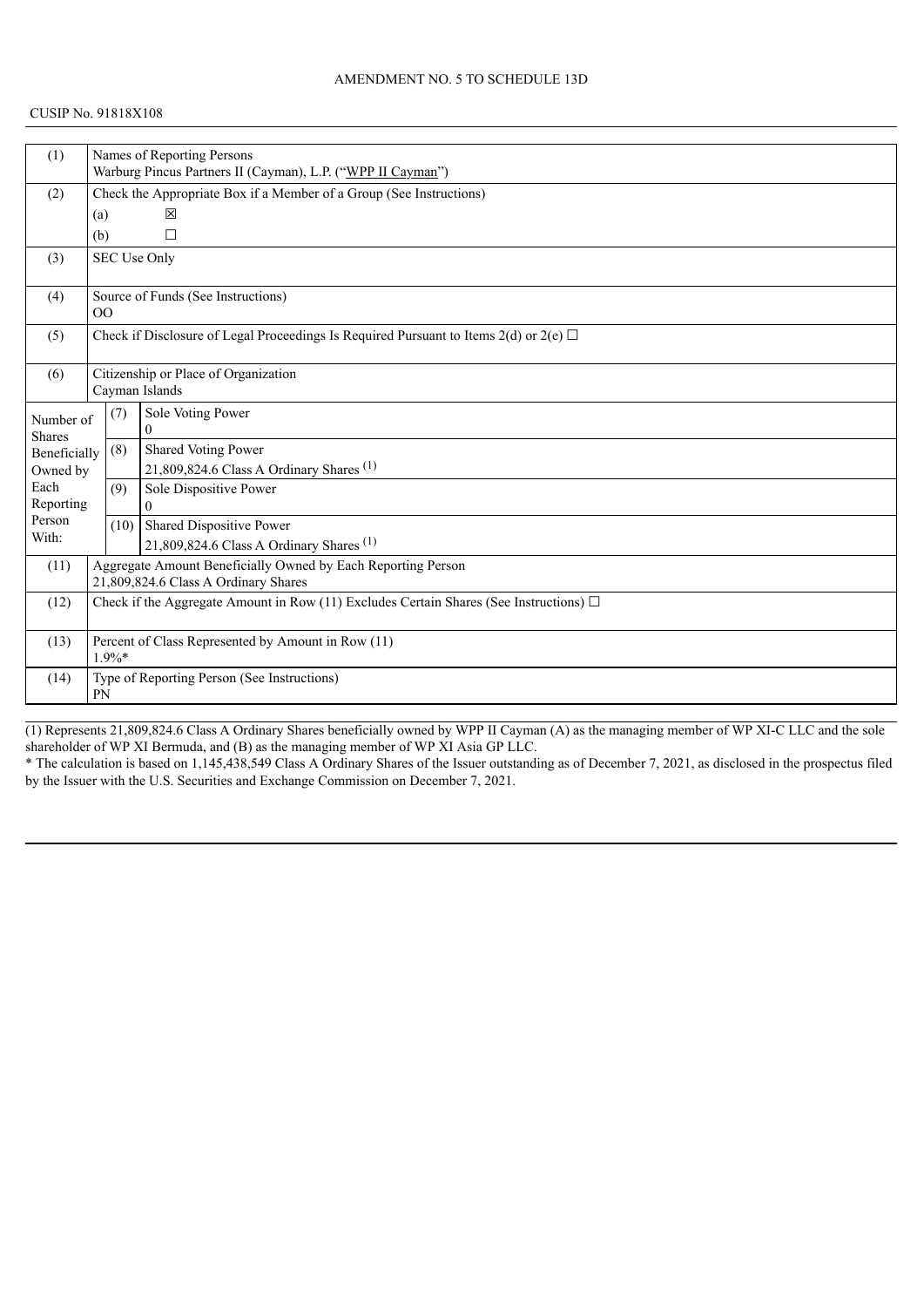| (1)                                                 |     | Names of Reporting Persons                                                                  |                                                                                            |  |  |  |
|-----------------------------------------------------|-----|---------------------------------------------------------------------------------------------|--------------------------------------------------------------------------------------------|--|--|--|
|                                                     |     | Warburg Pincus Partners II (Cayman), L.P. ("WPP II Cayman")                                 |                                                                                            |  |  |  |
| (2)                                                 |     | Check the Appropriate Box if a Member of a Group (See Instructions)                         |                                                                                            |  |  |  |
|                                                     | (a) |                                                                                             | 冈                                                                                          |  |  |  |
|                                                     | (b) |                                                                                             | □                                                                                          |  |  |  |
| (3)                                                 |     |                                                                                             | SEC Use Only                                                                               |  |  |  |
|                                                     |     |                                                                                             |                                                                                            |  |  |  |
| (4)                                                 |     |                                                                                             | Source of Funds (See Instructions)                                                         |  |  |  |
|                                                     |     | O <sub>O</sub>                                                                              |                                                                                            |  |  |  |
| (5)                                                 |     |                                                                                             | Check if Disclosure of Legal Proceedings Is Required Pursuant to Items 2(d) or 2(e) $\Box$ |  |  |  |
|                                                     |     |                                                                                             |                                                                                            |  |  |  |
| (6)                                                 |     | Citizenship or Place of Organization                                                        |                                                                                            |  |  |  |
|                                                     |     |                                                                                             | Cayman Islands                                                                             |  |  |  |
| Number of                                           |     | (7)                                                                                         | Sole Voting Power                                                                          |  |  |  |
| <b>Shares</b>                                       |     |                                                                                             | $\theta$                                                                                   |  |  |  |
| Beneficially                                        |     | (8)                                                                                         | Shared Voting Power                                                                        |  |  |  |
| Owned by                                            |     |                                                                                             | 21,809,824.6 Class A Ordinary Shares <sup>(1)</sup>                                        |  |  |  |
| Each                                                |     | (9)                                                                                         | Sole Dispositive Power                                                                     |  |  |  |
| Reporting                                           |     |                                                                                             | $\Omega$                                                                                   |  |  |  |
| Person<br>With:                                     |     | (10)                                                                                        | Shared Dispositive Power                                                                   |  |  |  |
|                                                     |     |                                                                                             | 21,809,824.6 Class A Ordinary Shares <sup>(1)</sup>                                        |  |  |  |
| (11)                                                |     |                                                                                             | Aggregate Amount Beneficially Owned by Each Reporting Person                               |  |  |  |
| 21,809,824.6 Class A Ordinary Shares                |     |                                                                                             |                                                                                            |  |  |  |
| (12)                                                |     | Check if the Aggregate Amount in Row (11) Excludes Certain Shares (See Instructions) $\Box$ |                                                                                            |  |  |  |
|                                                     |     |                                                                                             |                                                                                            |  |  |  |
| (13)                                                |     |                                                                                             | Percent of Class Represented by Amount in Row (11)                                         |  |  |  |
|                                                     |     | $1.9\%*$                                                                                    |                                                                                            |  |  |  |
| Type of Reporting Person (See Instructions)<br>(14) |     |                                                                                             |                                                                                            |  |  |  |
|                                                     | PN  |                                                                                             |                                                                                            |  |  |  |

(1) Represents 21,809,824.6 Class A Ordinary Shares beneficially owned by WPP II Cayman (A) as the managing member of WP XI-C LLC and the sole shareholder of WP XI Bermuda, and (B) as the managing member of WP XI Asia GP LLC.

\* The calculation is based on 1,145,438,549 Class A Ordinary Shares of the Issuer outstanding as of December 7, 2021, as disclosed in the prospectus filed by the Issuer with the U.S. Securities and Exchange Commission on December 7, 2021.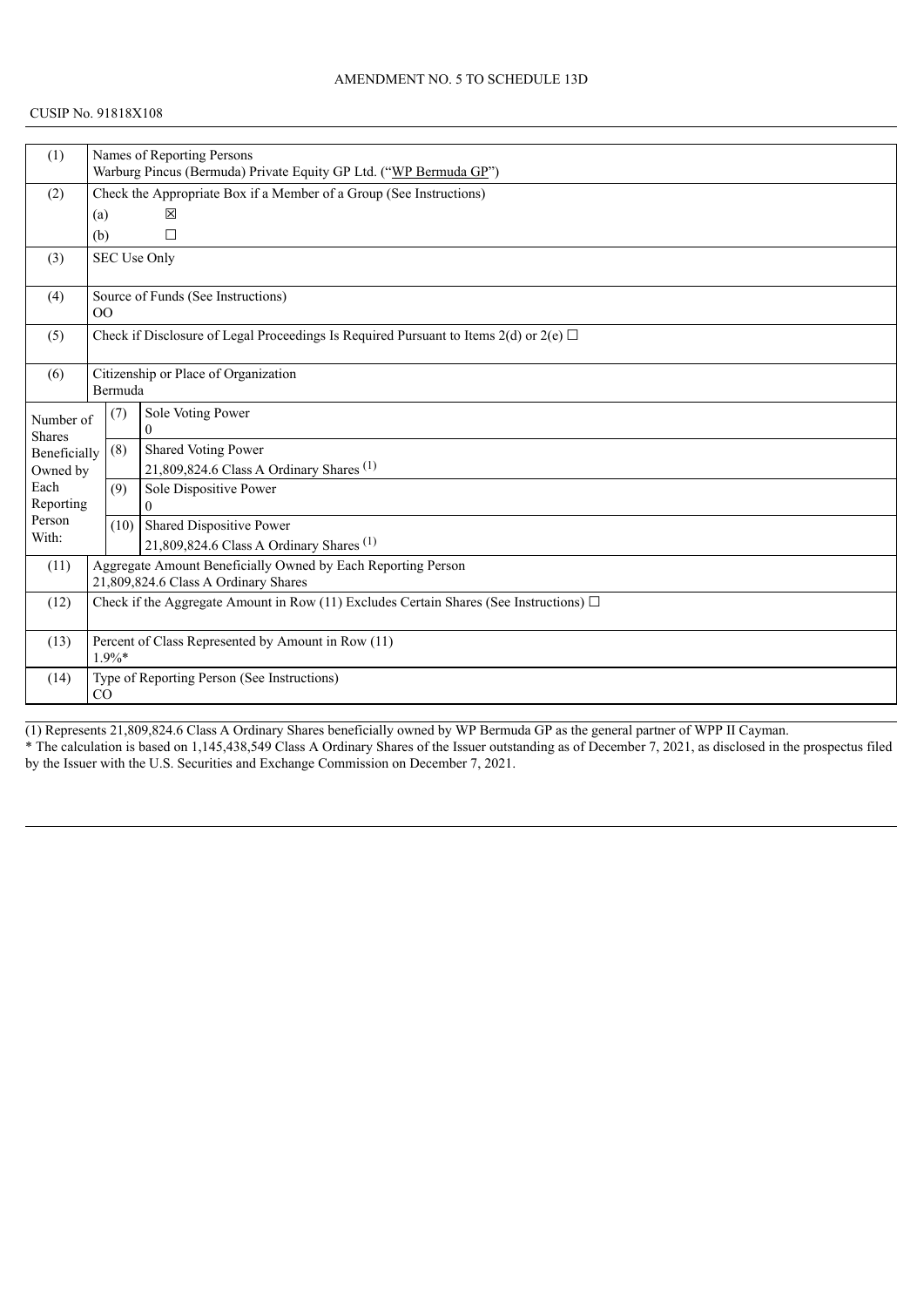| (1)                        |                                                                                             | Names of Reporting Persons                                          |                                                                                            |  |  |  |
|----------------------------|---------------------------------------------------------------------------------------------|---------------------------------------------------------------------|--------------------------------------------------------------------------------------------|--|--|--|
|                            |                                                                                             |                                                                     | Warburg Pincus (Bermuda) Private Equity GP Ltd. ("WP Bermuda GP")                          |  |  |  |
| (2)                        |                                                                                             | Check the Appropriate Box if a Member of a Group (See Instructions) |                                                                                            |  |  |  |
|                            | (a)                                                                                         |                                                                     | 冈                                                                                          |  |  |  |
|                            | (b)                                                                                         |                                                                     | □                                                                                          |  |  |  |
| (3)                        |                                                                                             |                                                                     | SEC Use Only                                                                               |  |  |  |
| (4)                        | 0 <sup>0</sup>                                                                              |                                                                     | Source of Funds (See Instructions)                                                         |  |  |  |
| (5)                        |                                                                                             |                                                                     | Check if Disclosure of Legal Proceedings Is Required Pursuant to Items 2(d) or 2(e) $\Box$ |  |  |  |
| (6)                        | Citizenship or Place of Organization<br>Bermuda                                             |                                                                     |                                                                                            |  |  |  |
| Number of<br><b>Shares</b> |                                                                                             | (7)                                                                 | Sole Voting Power<br>$\Omega$                                                              |  |  |  |
| Beneficially               |                                                                                             | (8)                                                                 | Shared Voting Power                                                                        |  |  |  |
| Owned by                   |                                                                                             |                                                                     | 21,809,824.6 Class A Ordinary Shares <sup>(1)</sup>                                        |  |  |  |
| Each                       |                                                                                             | (9)                                                                 | Sole Dispositive Power                                                                     |  |  |  |
| Reporting<br>Person        |                                                                                             |                                                                     | $\Omega$                                                                                   |  |  |  |
| With:                      |                                                                                             | (10)                                                                | Shared Dispositive Power                                                                   |  |  |  |
|                            |                                                                                             |                                                                     | 21,809,824.6 Class A Ordinary Shares <sup>(1)</sup>                                        |  |  |  |
| (11)                       | Aggregate Amount Beneficially Owned by Each Reporting Person                                |                                                                     |                                                                                            |  |  |  |
|                            | 21,809,824.6 Class A Ordinary Shares                                                        |                                                                     |                                                                                            |  |  |  |
| (12)                       | Check if the Aggregate Amount in Row (11) Excludes Certain Shares (See Instructions) $\Box$ |                                                                     |                                                                                            |  |  |  |
| (13)                       | Percent of Class Represented by Amount in Row (11)<br>$1.9\%*$                              |                                                                     |                                                                                            |  |  |  |
| (14)                       | Type of Reporting Person (See Instructions)<br>CO                                           |                                                                     |                                                                                            |  |  |  |

(1) Represents 21,809,824.6 Class A Ordinary Shares beneficially owned by WP Bermuda GP as the general partner of WPP II Cayman. \* The calculation is based on 1,145,438,549 Class A Ordinary Shares of the Issuer outstanding as of December 7, 2021, as disclosed in the prospectus filed by the Issuer with the U.S. Securities and Exchange Commission on December 7, 2021.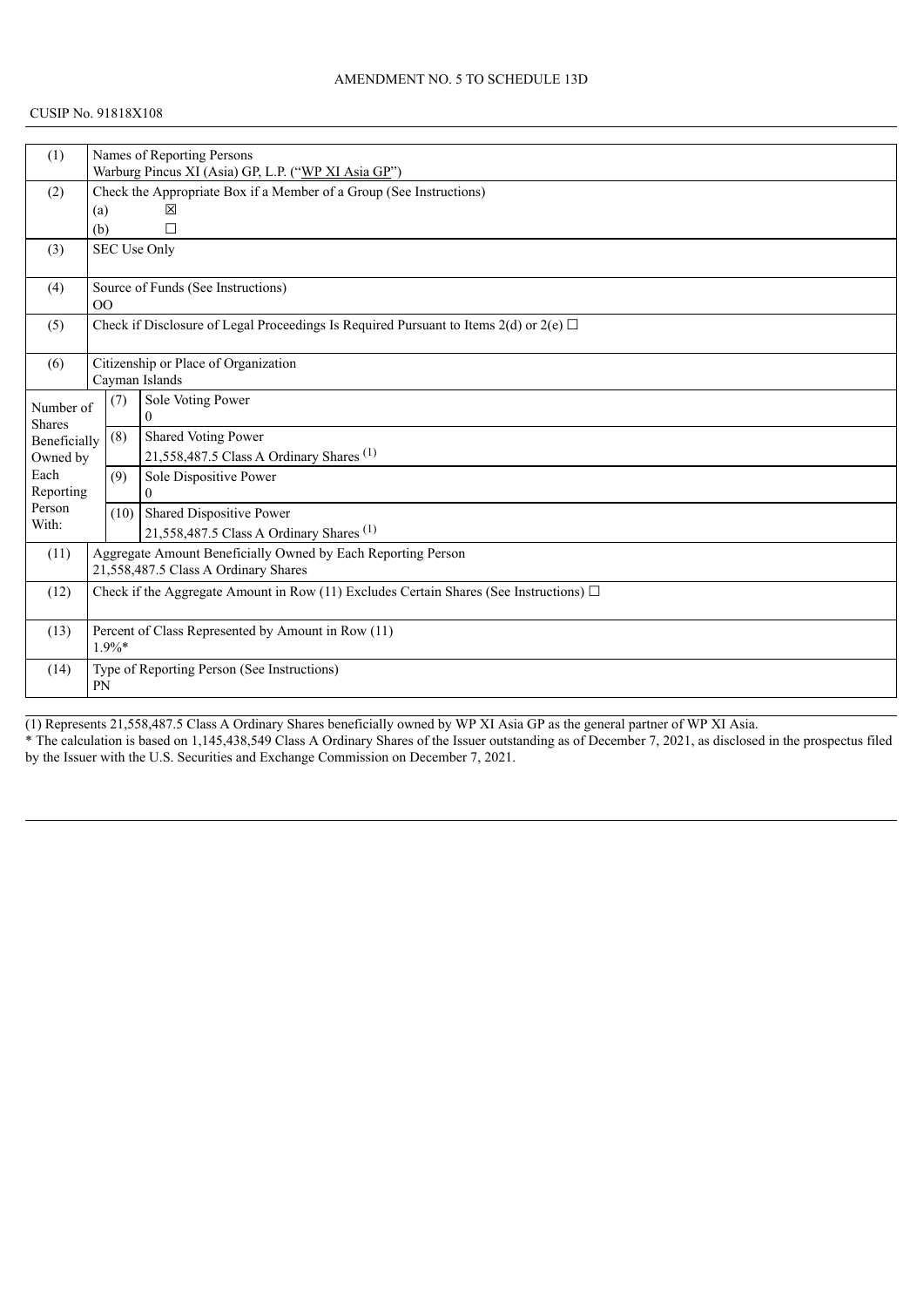| (1)                                                        | Names of Reporting Persons           |                                                                     |                                                                                             |  |  |  |
|------------------------------------------------------------|--------------------------------------|---------------------------------------------------------------------|---------------------------------------------------------------------------------------------|--|--|--|
|                                                            |                                      | Warburg Pincus XI (Asia) GP, L.P. ("WP XI Asia GP")                 |                                                                                             |  |  |  |
| (2)                                                        |                                      | Check the Appropriate Box if a Member of a Group (See Instructions) |                                                                                             |  |  |  |
|                                                            |                                      | 冈<br>(a)                                                            |                                                                                             |  |  |  |
|                                                            | (b)                                  |                                                                     | □                                                                                           |  |  |  |
| (3)                                                        |                                      |                                                                     | SEC Use Only                                                                                |  |  |  |
|                                                            |                                      |                                                                     |                                                                                             |  |  |  |
| (4)                                                        |                                      |                                                                     | Source of Funds (See Instructions)                                                          |  |  |  |
|                                                            |                                      | 0 <sup>0</sup>                                                      |                                                                                             |  |  |  |
| (5)                                                        |                                      |                                                                     | Check if Disclosure of Legal Proceedings Is Required Pursuant to Items 2(d) or 2(e) $\Box$  |  |  |  |
|                                                            |                                      |                                                                     |                                                                                             |  |  |  |
| (6)                                                        |                                      | Citizenship or Place of Organization                                |                                                                                             |  |  |  |
|                                                            |                                      |                                                                     | Cayman Islands                                                                              |  |  |  |
| Number of                                                  |                                      | (7)                                                                 | Sole Voting Power                                                                           |  |  |  |
| <b>Shares</b>                                              |                                      |                                                                     | $\theta$                                                                                    |  |  |  |
| Beneficially                                               |                                      | (8)                                                                 | Shared Voting Power                                                                         |  |  |  |
| Owned by                                                   |                                      |                                                                     | 21,558,487.5 Class A Ordinary Shares <sup>(1)</sup>                                         |  |  |  |
| Each                                                       |                                      | (9)                                                                 | Sole Dispositive Power                                                                      |  |  |  |
| Reporting                                                  |                                      |                                                                     | $\Omega$                                                                                    |  |  |  |
| Person                                                     |                                      | (10)                                                                | Shared Dispositive Power                                                                    |  |  |  |
| With:                                                      |                                      |                                                                     | 21,558,487.5 Class A Ordinary Shares <sup>(1)</sup>                                         |  |  |  |
| (11)                                                       |                                      |                                                                     | Aggregate Amount Beneficially Owned by Each Reporting Person                                |  |  |  |
|                                                            | 21,558,487.5 Class A Ordinary Shares |                                                                     |                                                                                             |  |  |  |
| (12)                                                       |                                      |                                                                     | Check if the Aggregate Amount in Row (11) Excludes Certain Shares (See Instructions) $\Box$ |  |  |  |
|                                                            |                                      |                                                                     |                                                                                             |  |  |  |
| Percent of Class Represented by Amount in Row (11)<br>(13) |                                      |                                                                     |                                                                                             |  |  |  |
|                                                            |                                      | $1.9\%*$                                                            |                                                                                             |  |  |  |
| (14)                                                       |                                      | Type of Reporting Person (See Instructions)                         |                                                                                             |  |  |  |
| PN                                                         |                                      |                                                                     |                                                                                             |  |  |  |
|                                                            |                                      |                                                                     |                                                                                             |  |  |  |

(1) Represents 21,558,487.5 Class A Ordinary Shares beneficially owned by WP XI Asia GP as the general partner of WP XI Asia.

\* The calculation is based on 1,145,438,549 Class A Ordinary Shares of the Issuer outstanding as of December 7, 2021, as disclosed in the prospectus filed by the Issuer with the U.S. Securities and Exchange Commission on December 7, 2021.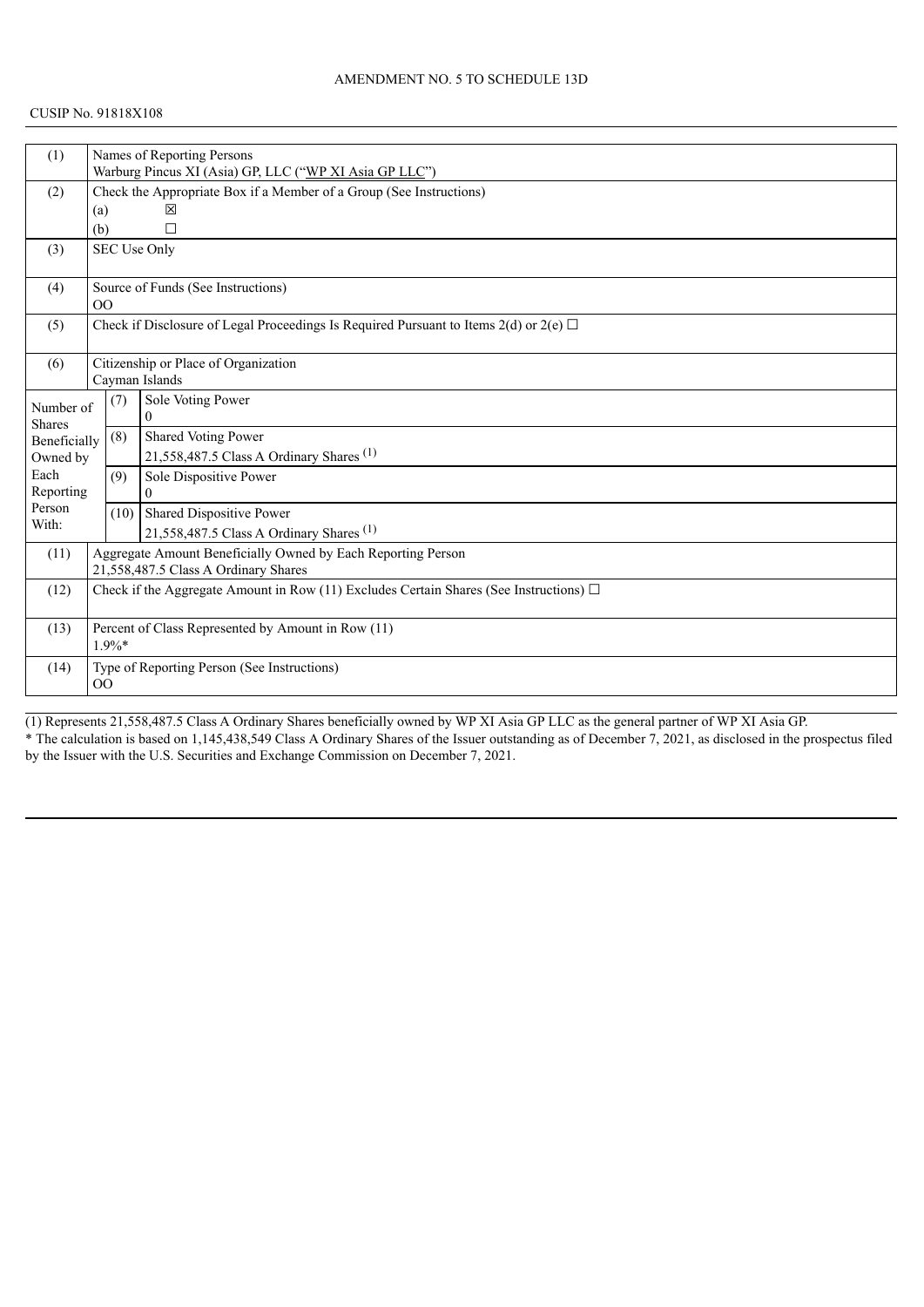| (1)                                                                                                 | Names of Reporting Persons           |                                                                     |                                                                                            |  |  |  |
|-----------------------------------------------------------------------------------------------------|--------------------------------------|---------------------------------------------------------------------|--------------------------------------------------------------------------------------------|--|--|--|
|                                                                                                     |                                      | Warburg Pincus XI (Asia) GP, LLC ("WP XI Asia GP LLC")              |                                                                                            |  |  |  |
| (2)                                                                                                 |                                      | Check the Appropriate Box if a Member of a Group (See Instructions) |                                                                                            |  |  |  |
|                                                                                                     | (a)                                  |                                                                     | 冈                                                                                          |  |  |  |
|                                                                                                     | (b)                                  |                                                                     | $\Box$                                                                                     |  |  |  |
| (3)                                                                                                 |                                      |                                                                     | SEC Use Only                                                                               |  |  |  |
|                                                                                                     |                                      |                                                                     |                                                                                            |  |  |  |
| (4)                                                                                                 |                                      |                                                                     | Source of Funds (See Instructions)                                                         |  |  |  |
|                                                                                                     | O <sub>O</sub>                       |                                                                     |                                                                                            |  |  |  |
| (5)                                                                                                 |                                      |                                                                     | Check if Disclosure of Legal Proceedings Is Required Pursuant to Items 2(d) or 2(e) $\Box$ |  |  |  |
|                                                                                                     |                                      |                                                                     |                                                                                            |  |  |  |
| (6)                                                                                                 |                                      |                                                                     | Citizenship or Place of Organization                                                       |  |  |  |
|                                                                                                     |                                      |                                                                     | Cayman Islands                                                                             |  |  |  |
| Number of                                                                                           |                                      | (7)                                                                 | Sole Voting Power                                                                          |  |  |  |
| <b>Shares</b>                                                                                       |                                      |                                                                     | $\theta$                                                                                   |  |  |  |
| Beneficially                                                                                        |                                      | (8)                                                                 | Shared Voting Power                                                                        |  |  |  |
| Owned by                                                                                            |                                      |                                                                     | 21,558,487.5 Class A Ordinary Shares <sup>(1)</sup>                                        |  |  |  |
| Each                                                                                                |                                      | (9)                                                                 | Sole Dispositive Power                                                                     |  |  |  |
| Reporting                                                                                           |                                      |                                                                     | 0                                                                                          |  |  |  |
| Person                                                                                              |                                      | (10)                                                                | Shared Dispositive Power                                                                   |  |  |  |
| With:                                                                                               |                                      |                                                                     | 21,558,487.5 Class A Ordinary Shares <sup>(1)</sup>                                        |  |  |  |
| (11)                                                                                                |                                      |                                                                     | Aggregate Amount Beneficially Owned by Each Reporting Person                               |  |  |  |
|                                                                                                     | 21,558,487.5 Class A Ordinary Shares |                                                                     |                                                                                            |  |  |  |
| Check if the Aggregate Amount in Row (11) Excludes Certain Shares (See Instructions) $\Box$<br>(12) |                                      |                                                                     |                                                                                            |  |  |  |
|                                                                                                     |                                      |                                                                     |                                                                                            |  |  |  |
| Percent of Class Represented by Amount in Row (11)<br>(13)                                          |                                      |                                                                     |                                                                                            |  |  |  |
| $1.9\%*$                                                                                            |                                      |                                                                     |                                                                                            |  |  |  |
| (14)                                                                                                |                                      | Type of Reporting Person (See Instructions)                         |                                                                                            |  |  |  |
| 0 <sup>0</sup>                                                                                      |                                      |                                                                     |                                                                                            |  |  |  |
|                                                                                                     |                                      |                                                                     |                                                                                            |  |  |  |

(1) Represents 21,558,487.5 Class A Ordinary Shares beneficially owned by WP XI Asia GP LLC as the general partner of WP XI Asia GP. \* The calculation is based on 1,145,438,549 Class A Ordinary Shares of the Issuer outstanding as of December 7, 2021, as disclosed in the prospectus filed by the Issuer with the U.S. Securities and Exchange Commission on December 7, 2021.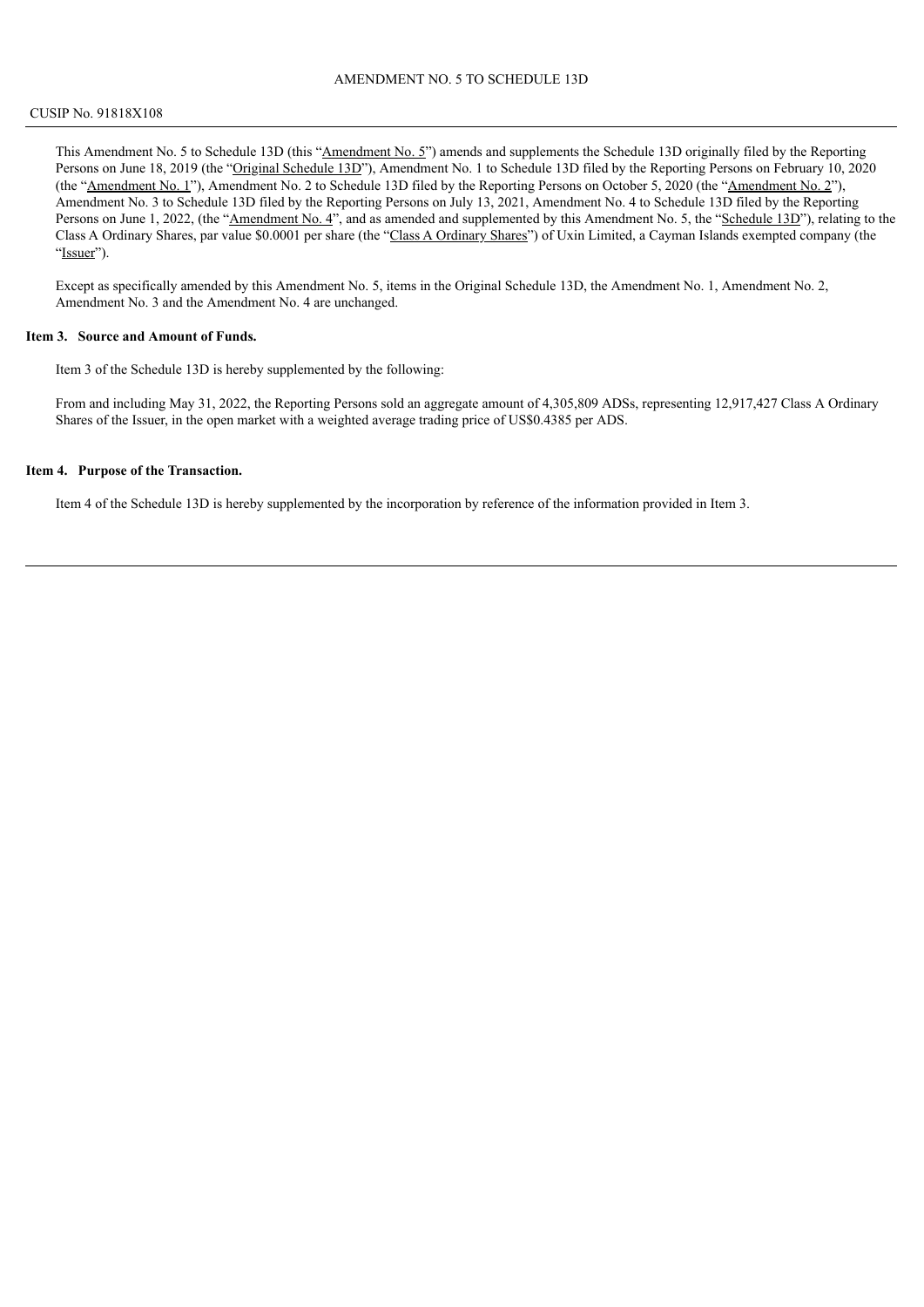This Amendment No. 5 to Schedule 13D (this "Amendment No. 5") amends and supplements the Schedule 13D originally filed by the Reporting Persons on June 18, 2019 (the "Original Schedule 13D"), Amendment No. 1 to Schedule 13D filed by the Reporting Persons on February 10, 2020 (the "Amendment No. 1"), Amendment No. 2 to Schedule 13D filed by the Reporting Persons on October 5, 2020 (the "Amendment No. 2"), Amendment No. 3 to Schedule 13D filed by the Reporting Persons on July 13, 2021, Amendment No. 4 to Schedule 13D filed by the Reporting Persons on June 1, 2022, (the "Amendment No. 4", and as amended and supplemented by this Amendment No. 5, the "Schedule 13D"), relating to the Class A Ordinary Shares, par value \$0.0001 per share (the "Class A Ordinary Shares") of Uxin Limited, a Cayman Islands exempted company (the "Issuer").

Except as specifically amended by this Amendment No. 5, items in the Original Schedule 13D, the Amendment No. 1, Amendment No. 2, Amendment No. 3 and the Amendment No. 4 are unchanged.

#### **Item 3. Source and Amount of Funds.**

Item 3 of the Schedule 13D is hereby supplemented by the following:

From and including May 31, 2022, the Reporting Persons sold an aggregate amount of 4,305,809 ADSs, representing 12,917,427 Class A Ordinary Shares of the Issuer, in the open market with a weighted average trading price of US\$0.4385 per ADS.

#### **Item 4. Purpose of the Transaction.**

Item 4 of the Schedule 13D is hereby supplemented by the incorporation by reference of the information provided in Item 3.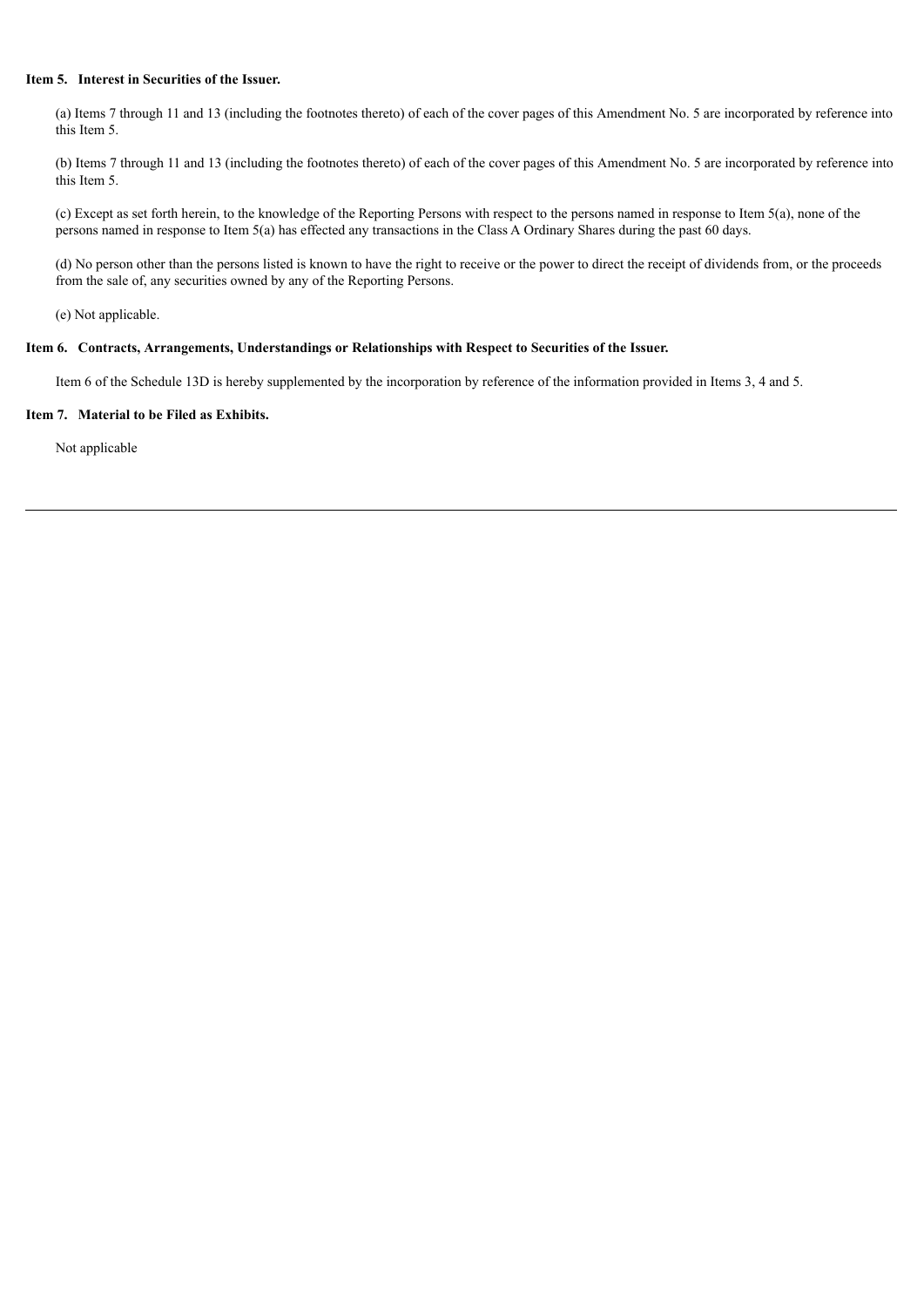## **Item 5. Interest in Securities of the Issuer.**

(a) Items 7 through 11 and 13 (including the footnotes thereto) of each of the cover pages of this Amendment No. 5 are incorporated by reference into this Item 5.

(b) Items 7 through 11 and 13 (including the footnotes thereto) of each of the cover pages of this Amendment No. 5 are incorporated by reference into this Item 5.

(c) Except as set forth herein, to the knowledge of the Reporting Persons with respect to the persons named in response to Item 5(a), none of the persons named in response to Item 5(a) has effected any transactions in the Class A Ordinary Shares during the past 60 days.

(d) No person other than the persons listed is known to have the right to receive or the power to direct the receipt of dividends from, or the proceeds from the sale of, any securities owned by any of the Reporting Persons.

(e) Not applicable.

## **Item 6. Contracts, Arrangements, Understandings or Relationships with Respect to Securities of the Issuer.**

Item 6 of the Schedule 13D is hereby supplemented by the incorporation by reference of the information provided in Items 3, 4 and 5.

#### **Item 7. Material to be Filed as Exhibits.**

Not applicable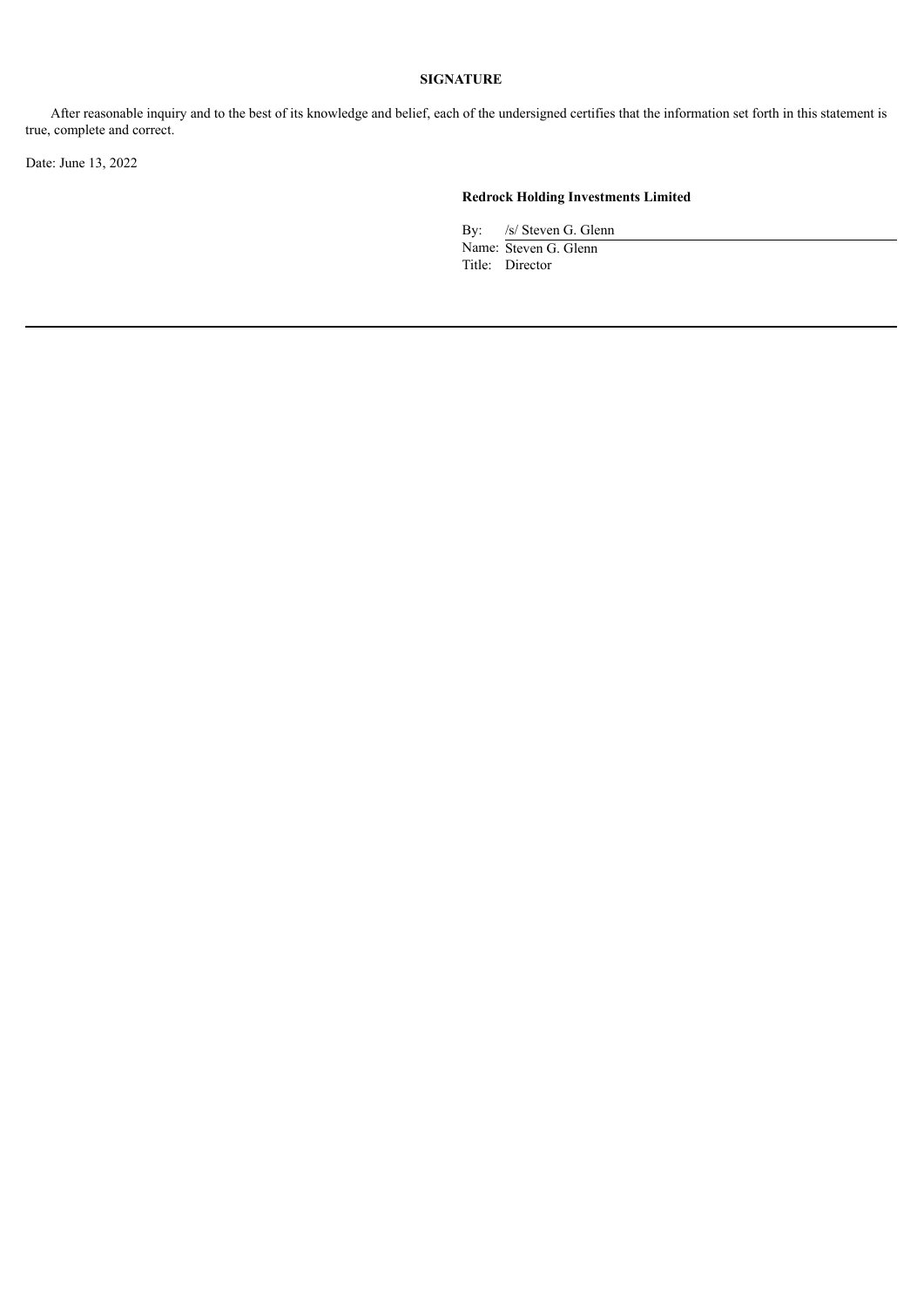After reasonable inquiry and to the best of its knowledge and belief, each of the undersigned certifies that the information set forth in this statement is true, complete and correct.

Date: June 13, 2022

# **Redrock Holding Investments Limited**

By: /s/ Steven G. Glenn

Name: Steven G. Glenn Title: Director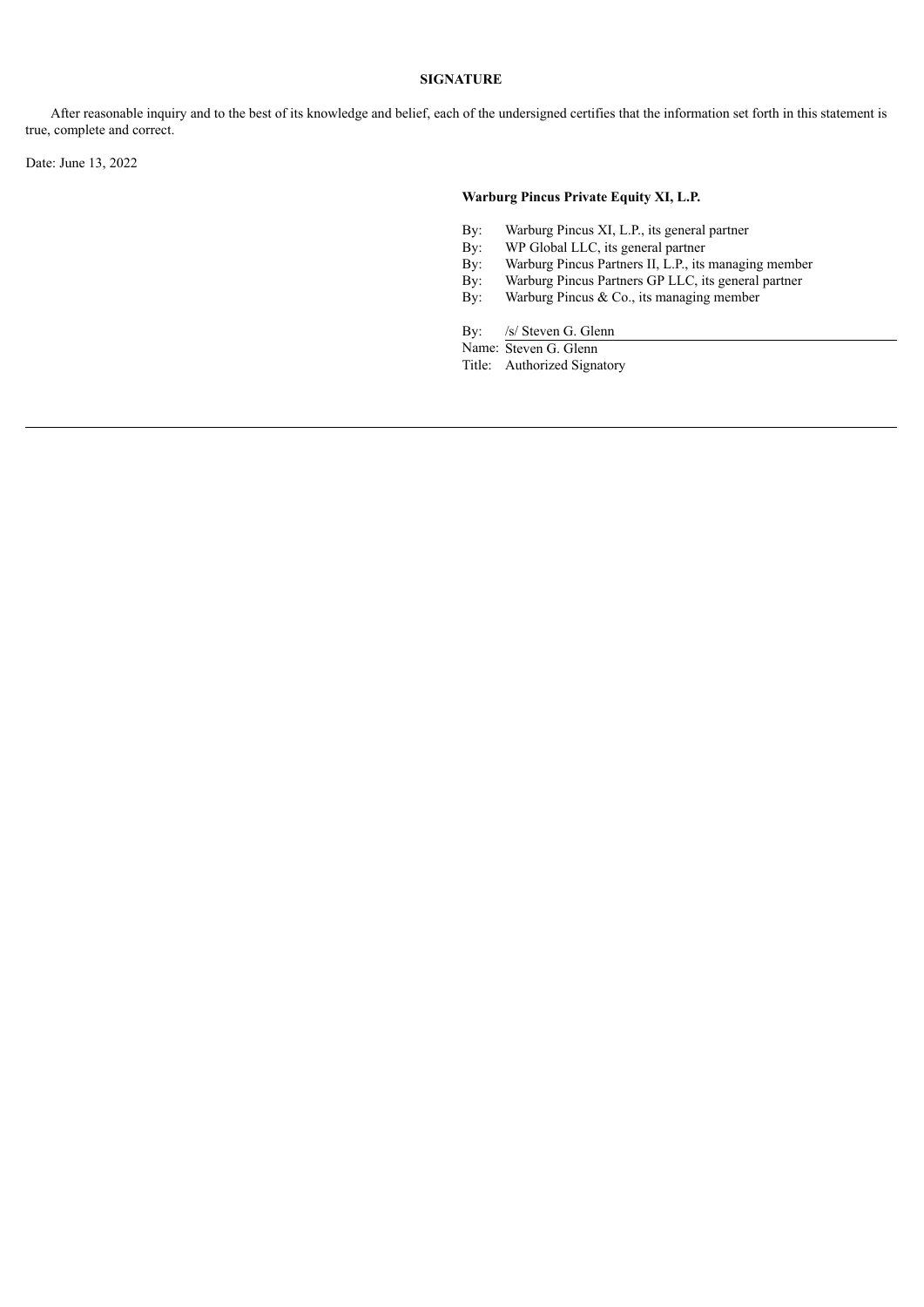After reasonable inquiry and to the best of its knowledge and belief, each of the undersigned certifies that the information set forth in this statement is true, complete and correct.

Date: June 13, 2022

## **Warburg Pincus Private Equity XI, L.P.**

- By: Warburg Pincus XI, L.P., its general partner
- By: WP Global LLC, its general partner<br>By: Warburg Pincus Partners II, L.P., its
- By: Warburg Pincus Partners II, L.P., its managing member<br>By: Warburg Pincus Partners GP LLC, its general partner
- By: Warburg Pincus Partners GP LLC, its general partner<br>By: Warburg Pincus & Co., its managing member
- Warburg Pincus & Co., its managing member

By: /s/ Steven G. Glenn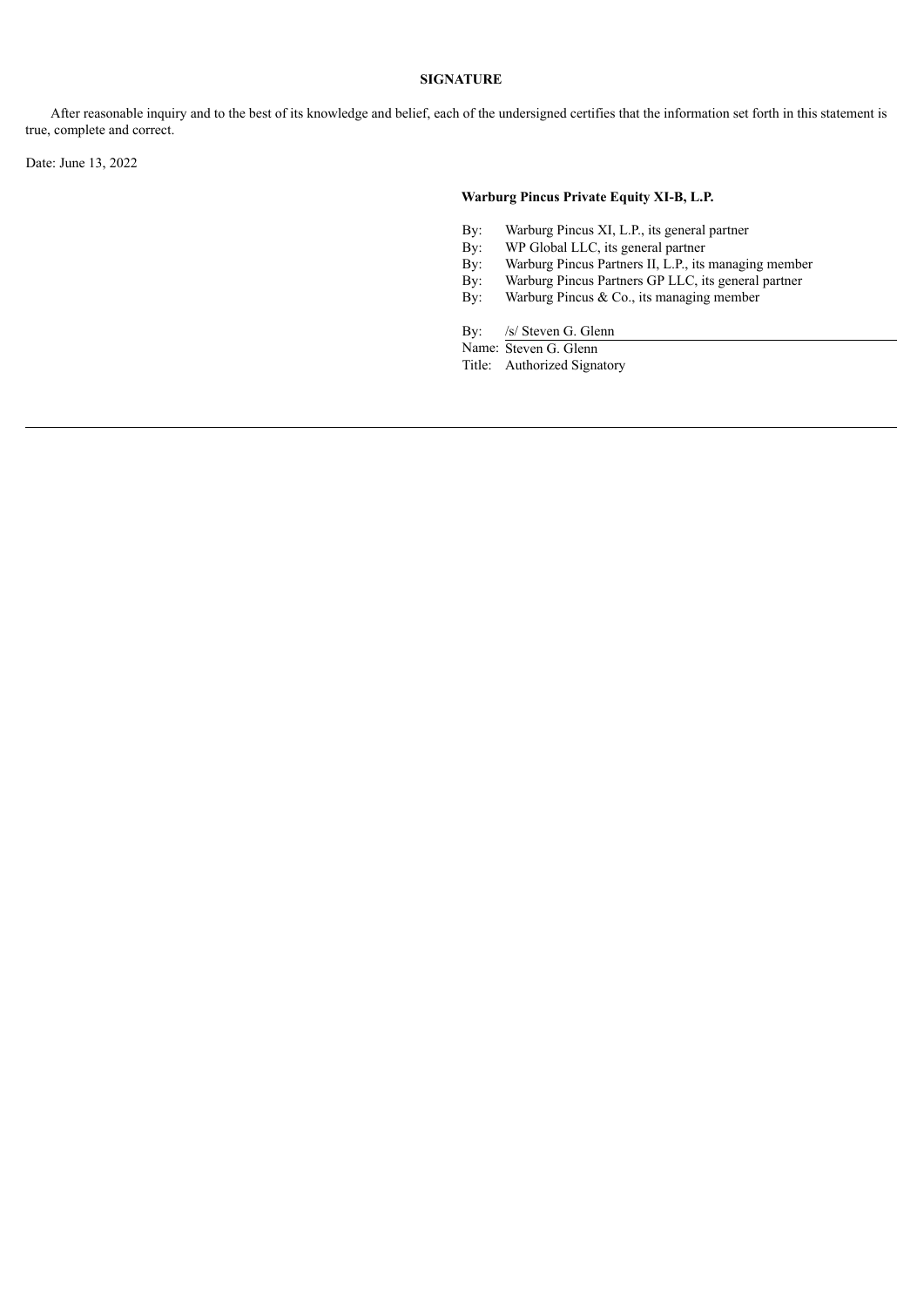After reasonable inquiry and to the best of its knowledge and belief, each of the undersigned certifies that the information set forth in this statement is true, complete and correct.

Date: June 13, 2022

## **Warburg Pincus Private Equity XI-B, L.P.**

- By: Warburg Pincus XI, L.P., its general partner
- By: WP Global LLC, its general partner<br>By: Warburg Pincus Partners II, L.P., its
- By: Warburg Pincus Partners II, L.P., its managing member<br>By: Warburg Pincus Partners GP LLC, its general partner
- By: Warburg Pincus Partners GP LLC, its general partner<br>By: Warburg Pincus & Co., its managing member
- Warburg Pincus & Co., its managing member

By: /s/ Steven G. Glenn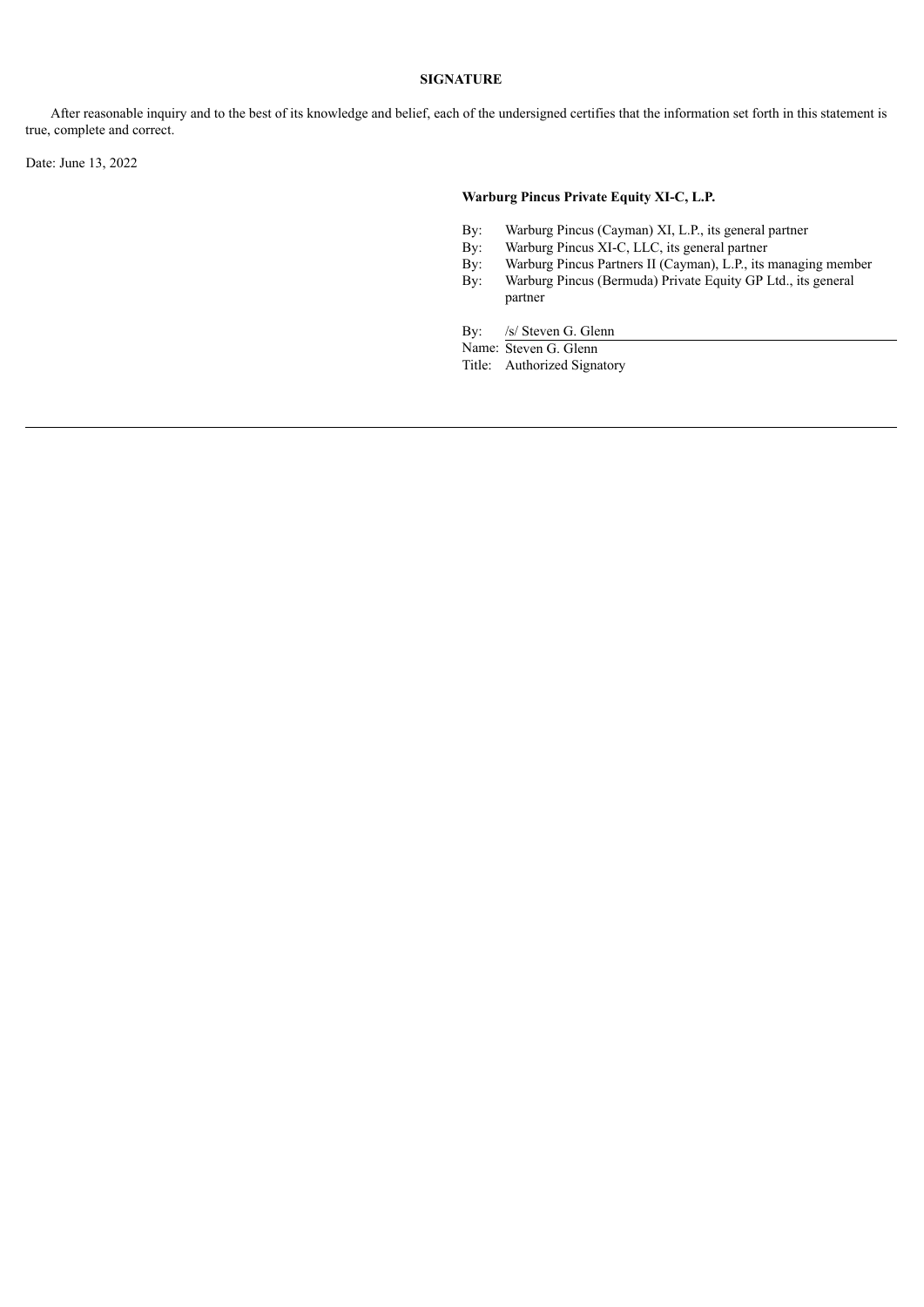After reasonable inquiry and to the best of its knowledge and belief, each of the undersigned certifies that the information set forth in this statement is true, complete and correct.

Date: June 13, 2022

## **Warburg Pincus Private Equity XI-C, L.P.**

- By: Warburg Pincus (Cayman) XI, L.P., its general partner
- 
- By: Warburg Pincus XI-C, LLC, its general partner<br>By: Warburg Pincus Partners II (Cayman), L.P., its i By: Warburg Pincus Partners II (Cayman), L.P., its managing member<br>By: Warburg Pincus (Bermuda) Private Equity GP Ltd., its general
- Warburg Pincus (Bermuda) Private Equity GP Ltd., its general partner

By: /s/ Steven G. Glenn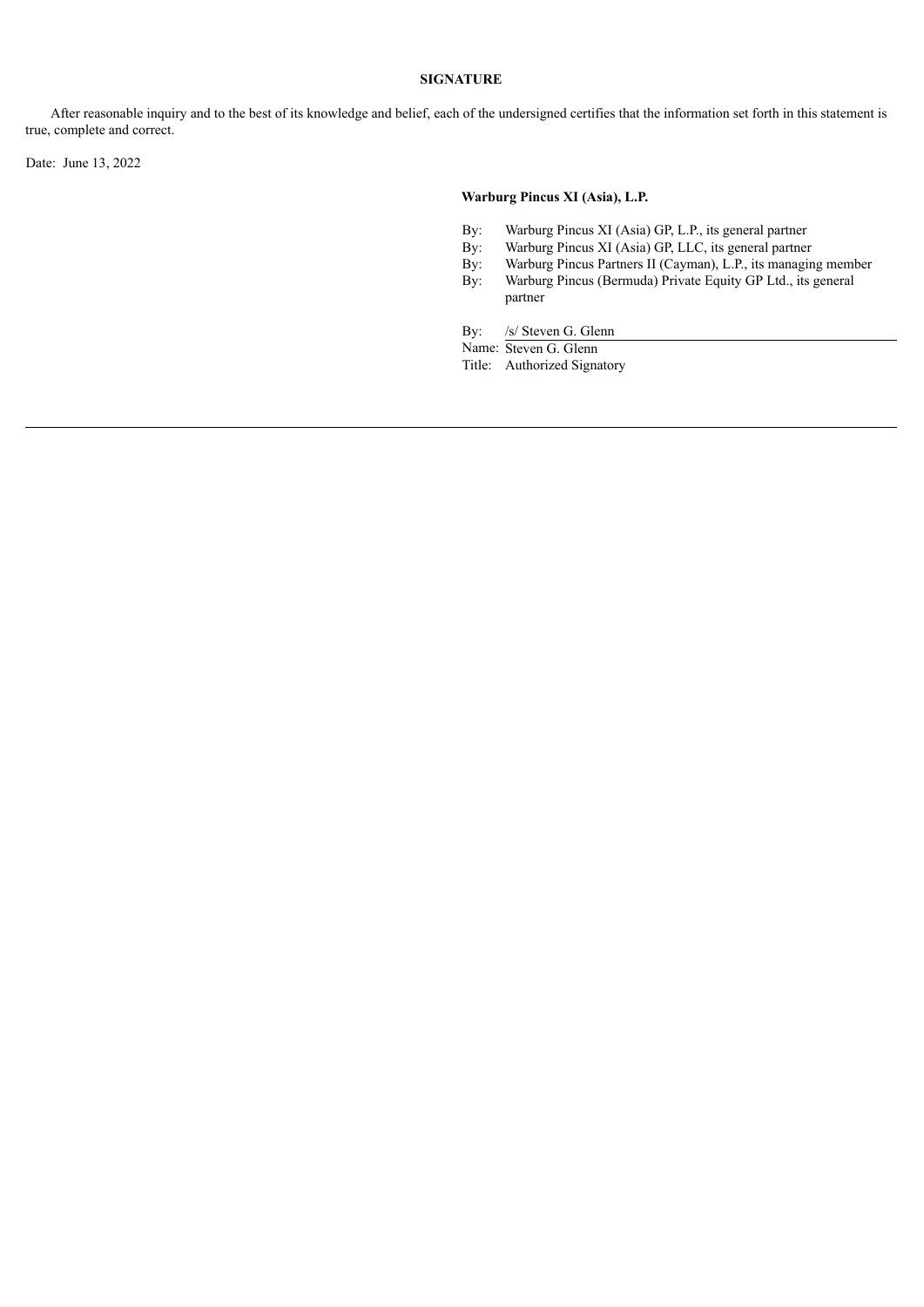After reasonable inquiry and to the best of its knowledge and belief, each of the undersigned certifies that the information set forth in this statement is true, complete and correct.

Date: June 13, 2022

## **Warburg Pincus XI (Asia), L.P.**

- By: Warburg Pincus XI (Asia) GP, L.P., its general partner
- By: Warburg Pincus XI (Asia) GP, LLC, its general partner<br>By: Warburg Pincus Partners II (Cayman), L.P., its managin
- By: Warburg Pincus Partners II (Cayman), L.P., its managing member<br>By: Warburg Pincus (Bermuda) Private Equity GP Ltd., its general
- Warburg Pincus (Bermuda) Private Equity GP Ltd., its general partner

By: /s/ Steven G. Glenn

Name: Steven G. Glenn

Title: Authorized Signatory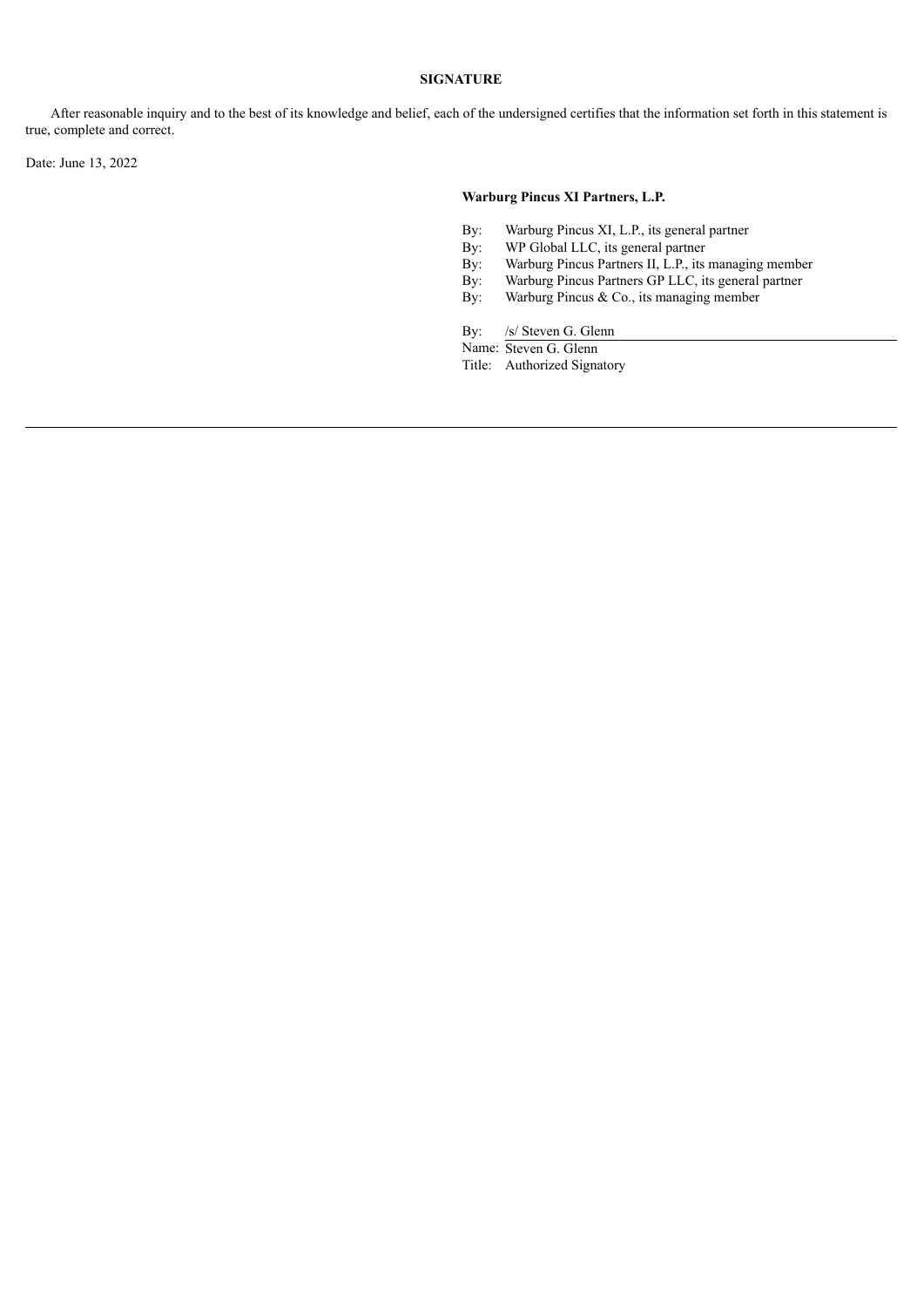After reasonable inquiry and to the best of its knowledge and belief, each of the undersigned certifies that the information set forth in this statement is true, complete and correct.

Date: June 13, 2022

## **Warburg Pincus XI Partners, L.P.**

- By: Warburg Pincus XI, L.P., its general partner
- By: WP Global LLC, its general partner<br>By: Warburg Pincus Partners II, L.P., its
- By: Warburg Pincus Partners II, L.P., its managing member<br>By: Warburg Pincus Partners GP LLC, its general partner
- By: Warburg Pincus Partners GP LLC, its general partner<br>By: Warburg Pincus & Co., its managing member
- Warburg Pincus & Co., its managing member

By: /s/ Steven G. Glenn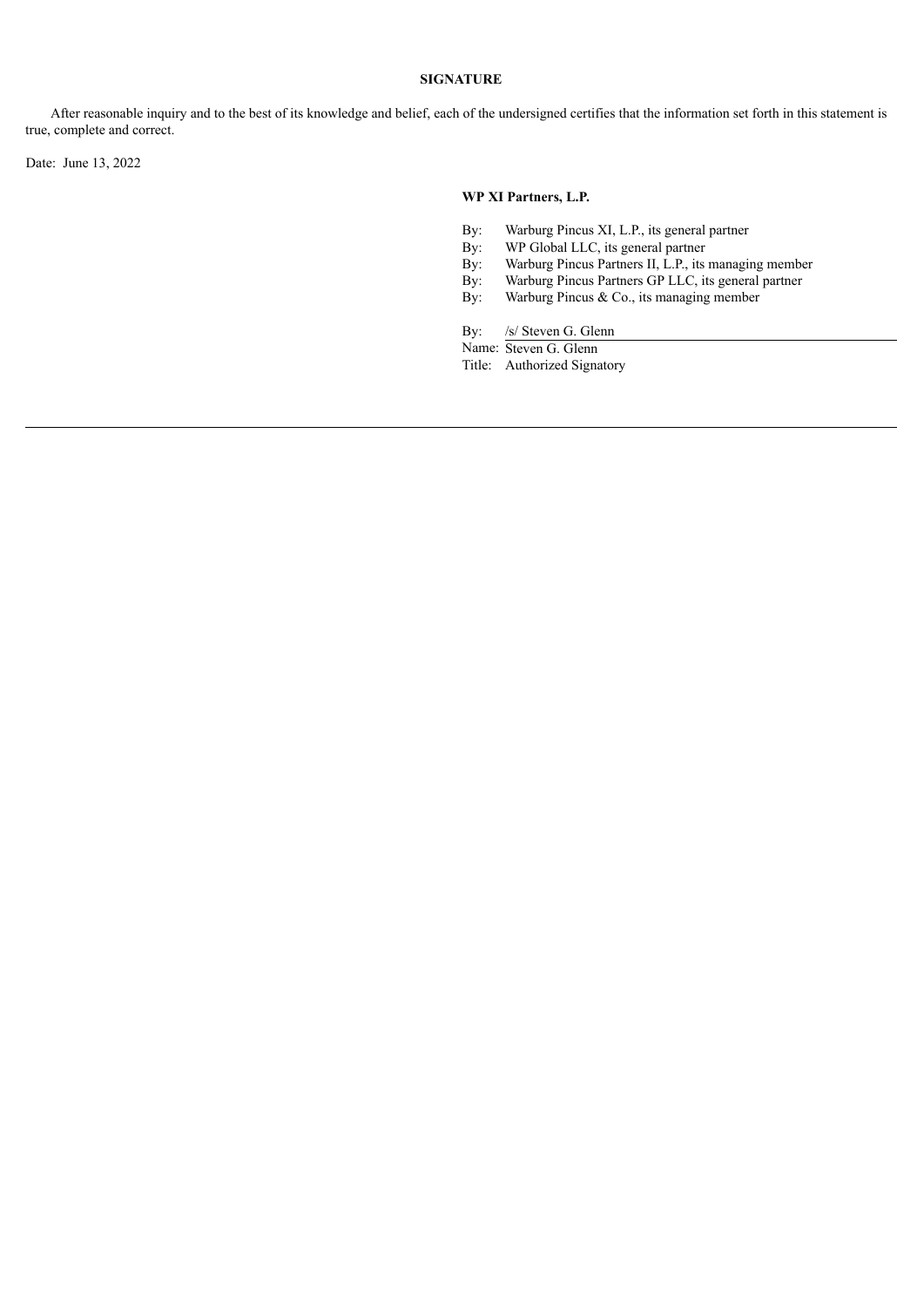After reasonable inquiry and to the best of its knowledge and belief, each of the undersigned certifies that the information set forth in this statement is true, complete and correct.

Date: June 13, 2022

## **WP XI Partners, L.P.**

- By: Warburg Pincus XI, L.P., its general partner
- 
- By: WP Global LLC, its general partner<br>By: Warburg Pincus Partners II, L.P., its By: Warburg Pincus Partners II, L.P., its managing member<br>By: Warburg Pincus Partners GP LLC, its general partner
- By: Warburg Pincus Partners GP LLC, its general partner<br>By: Warburg Pincus & Co., its managing member
- Warburg Pincus & Co., its managing member

By: /s/ Steven G. Glenn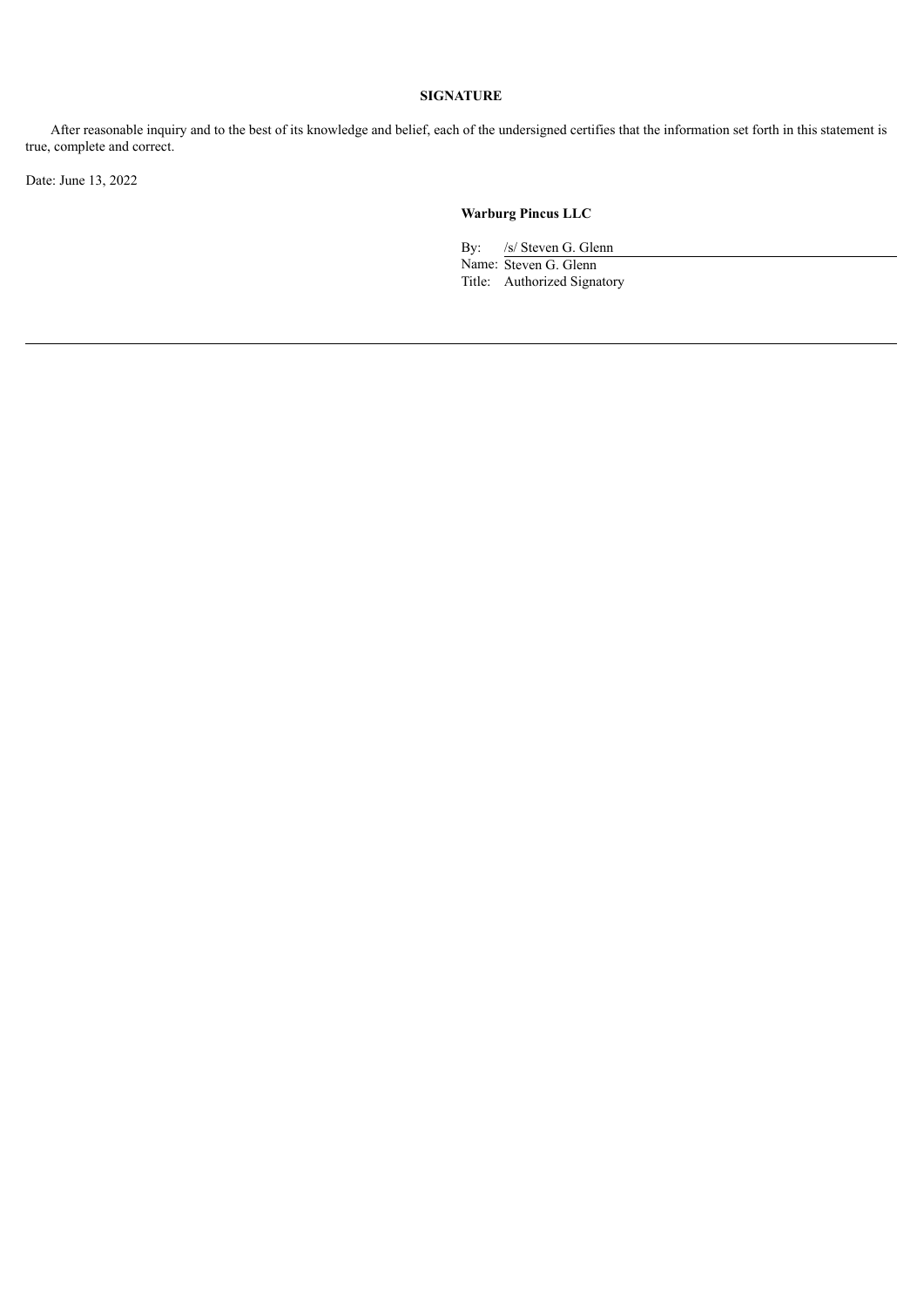After reasonable inquiry and to the best of its knowledge and belief, each of the undersigned certifies that the information set forth in this statement is true, complete and correct.

Date: June 13, 2022

# **Warburg Pincus LLC**

By: /s/ Steven G. Glenn Name: Steven G. Glenn Title: Authorized Signatory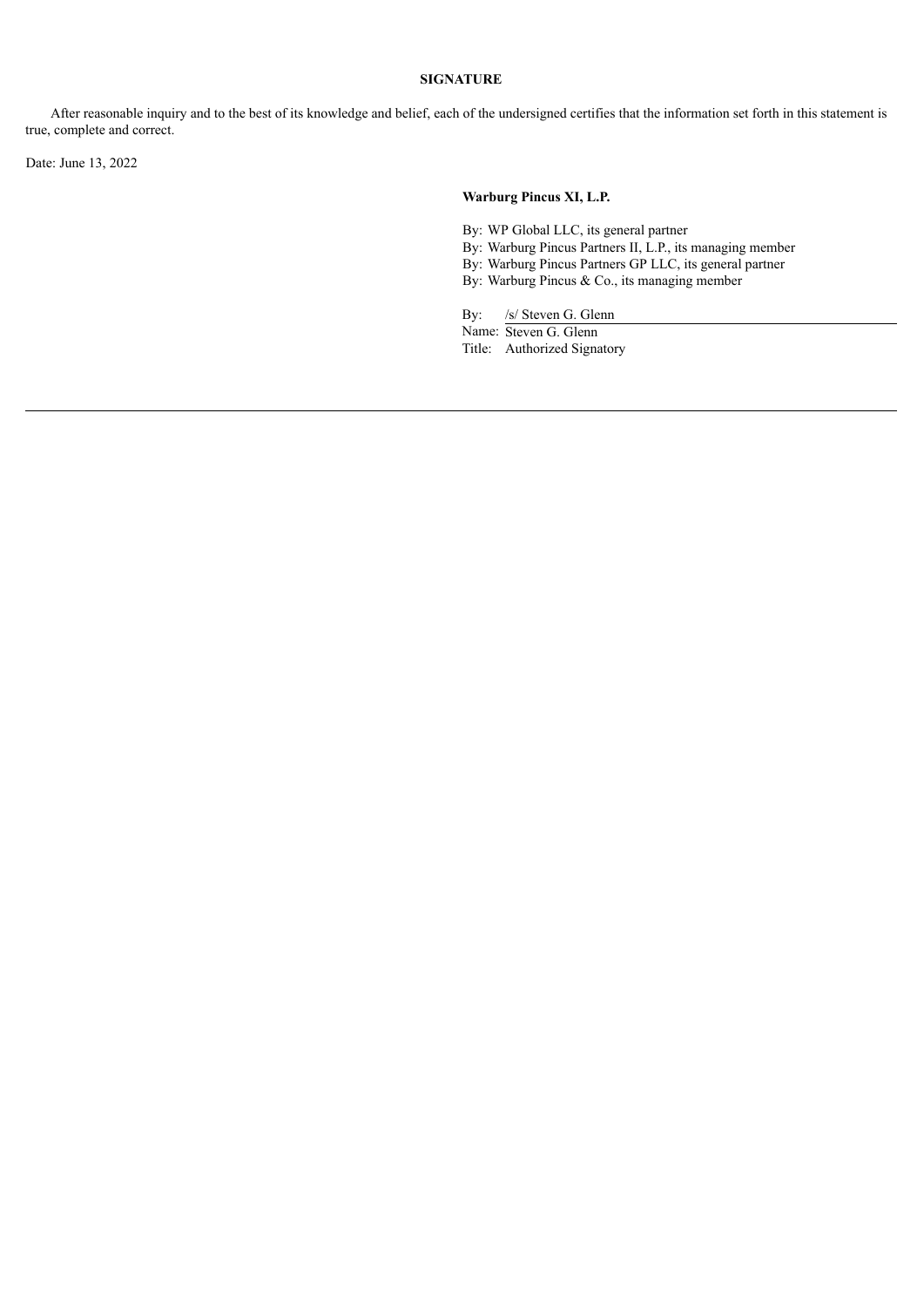After reasonable inquiry and to the best of its knowledge and belief, each of the undersigned certifies that the information set forth in this statement is true, complete and correct.

Date: June 13, 2022

## **Warburg Pincus XI, L.P.**

By: WP Global LLC, its general partner

- By: Warburg Pincus Partners II, L.P., its managing member
- By: Warburg Pincus Partners GP LLC, its general partner
- By: Warburg Pincus & Co., its managing member

By: /s/ Steven G. Glenn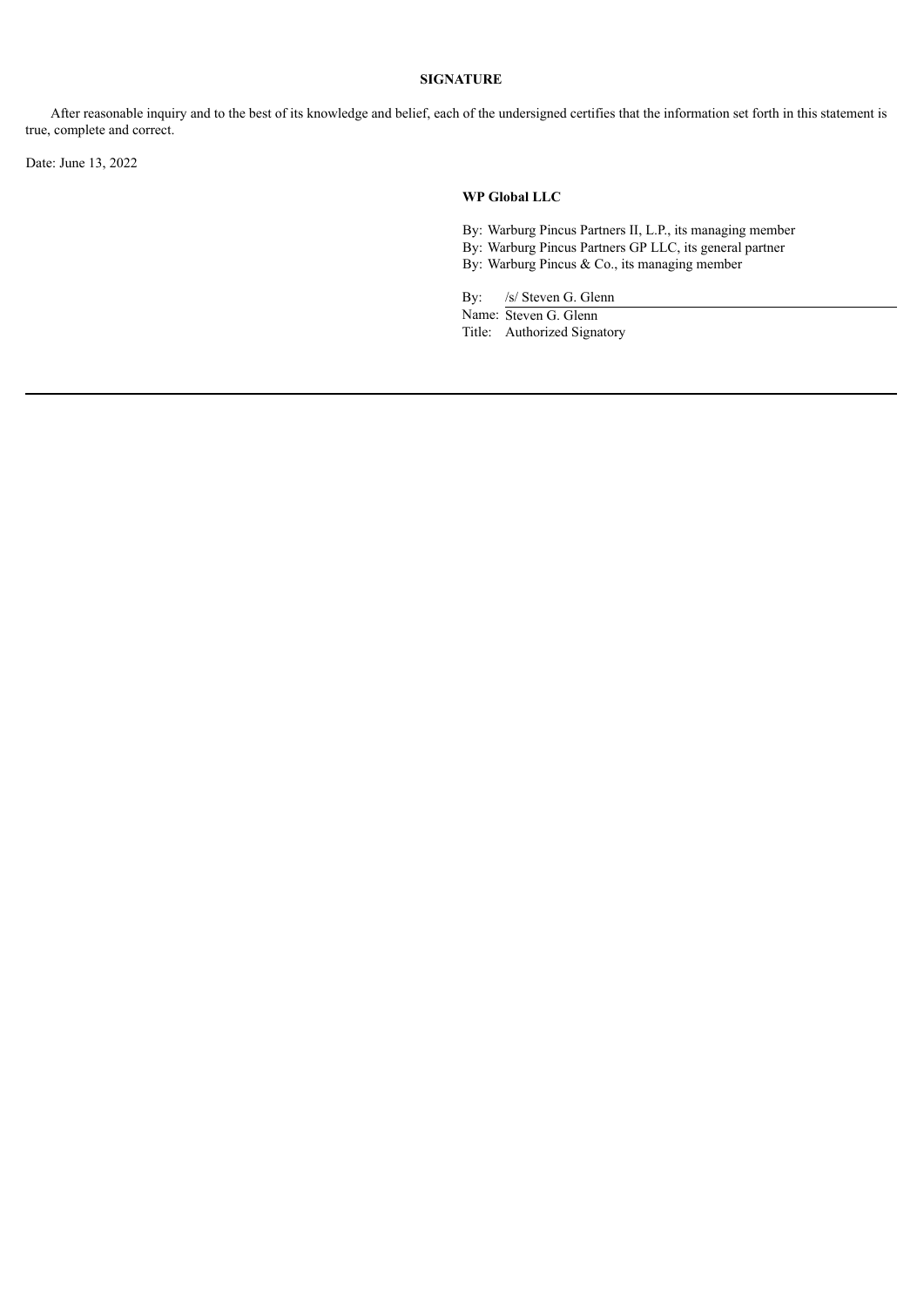After reasonable inquiry and to the best of its knowledge and belief, each of the undersigned certifies that the information set forth in this statement is true, complete and correct.

Date: June 13, 2022

#### **WP Global LLC**

- By: Warburg Pincus Partners II, L.P., its managing member By: Warburg Pincus Partners GP LLC, its general partner
- By: Warburg Pincus & Co., its managing member

By: /s/ Steven G. Glenn Name: Steven G. Glenn Title: Authorized Signatory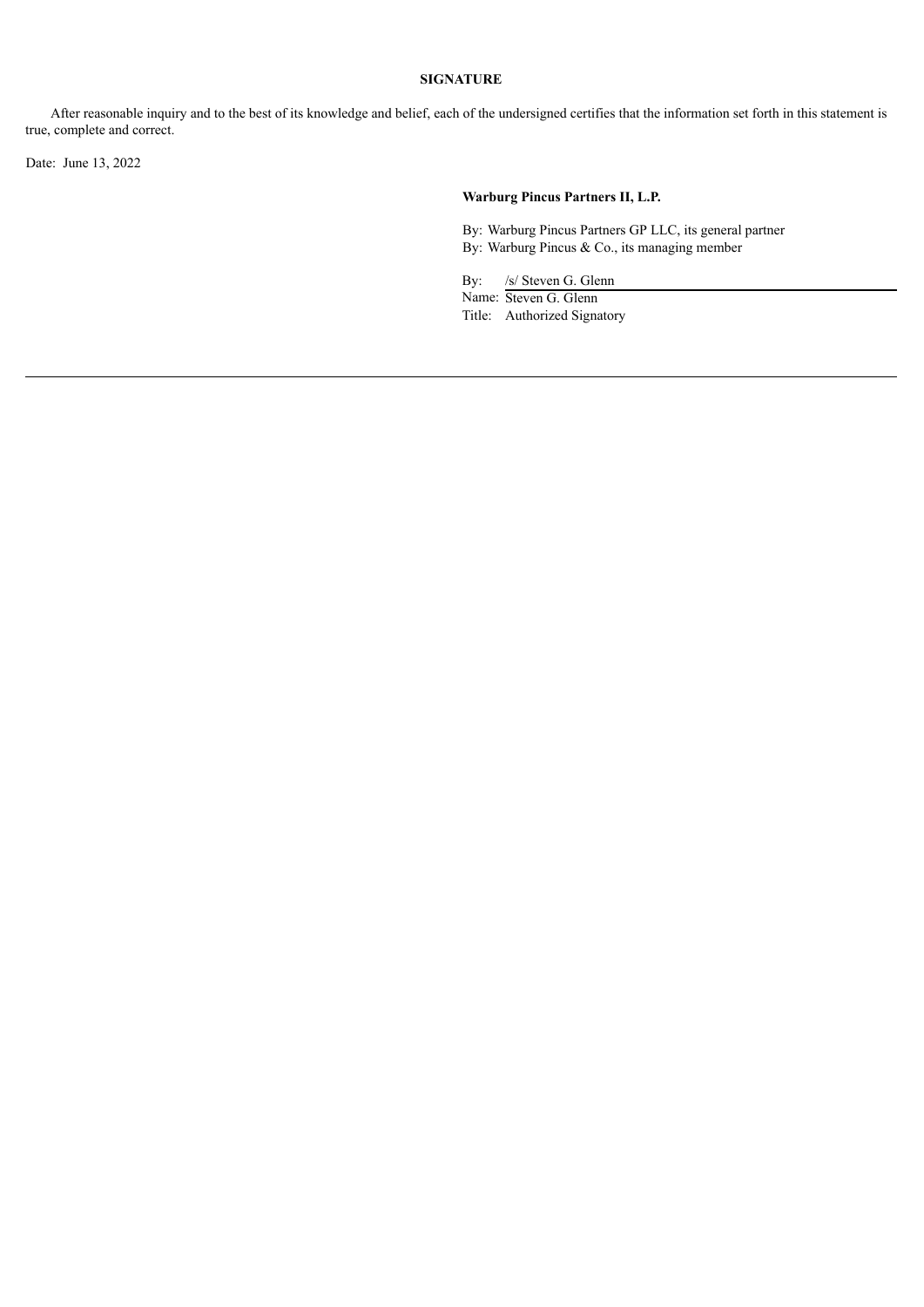After reasonable inquiry and to the best of its knowledge and belief, each of the undersigned certifies that the information set forth in this statement is true, complete and correct.

Date: June 13, 2022

# **Warburg Pincus Partners II, L.P.**

By: Warburg Pincus Partners GP LLC, its general partner By: Warburg Pincus & Co., its managing member

By: /s/ Steven G. Glenn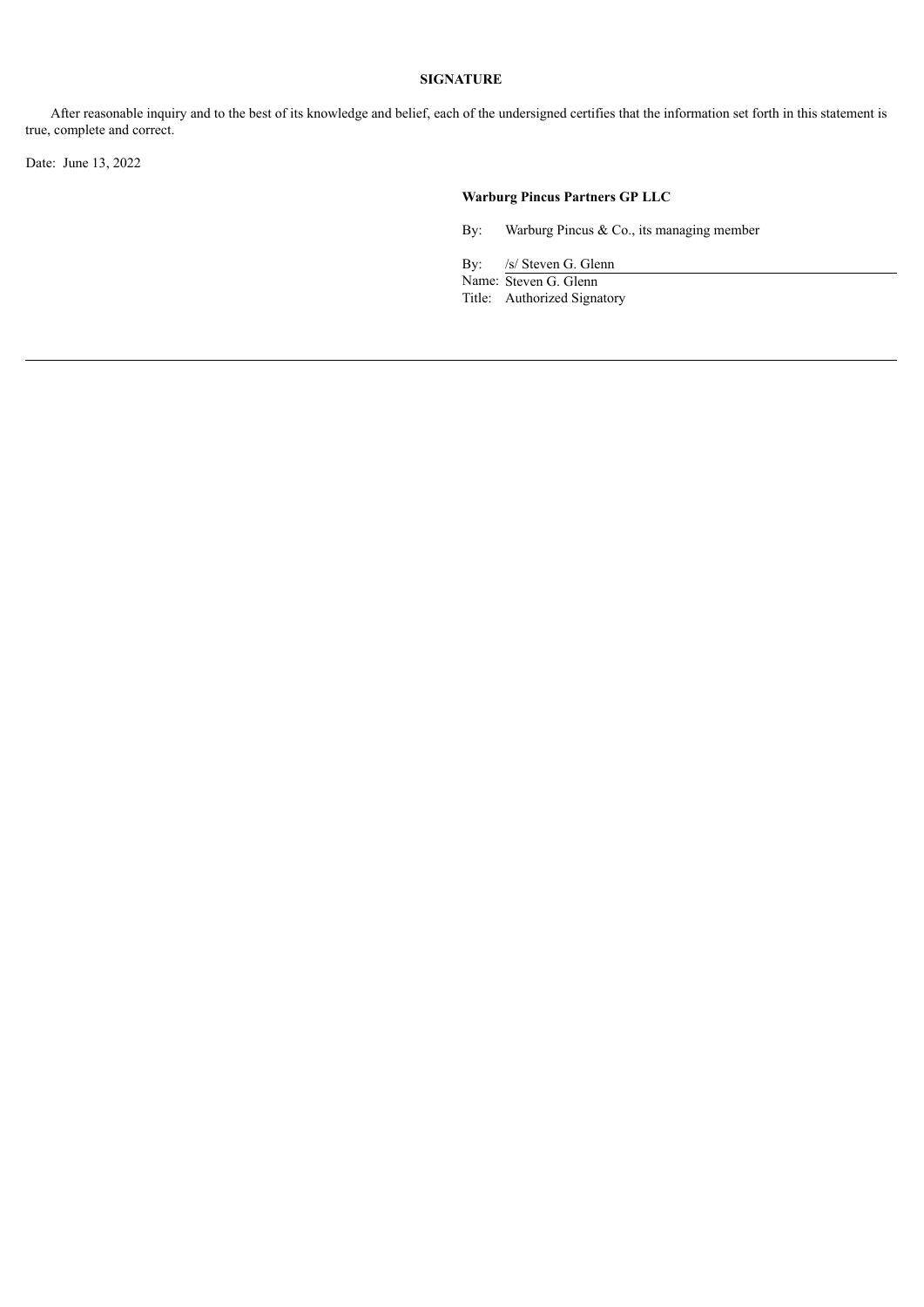After reasonable inquiry and to the best of its knowledge and belief, each of the undersigned certifies that the information set forth in this statement is true, complete and correct.

Date: June 13, 2022

# **Warburg Pincus Partners GP LLC**

By: Warburg Pincus & Co., its managing member

By: /s/ Steven G. Glenn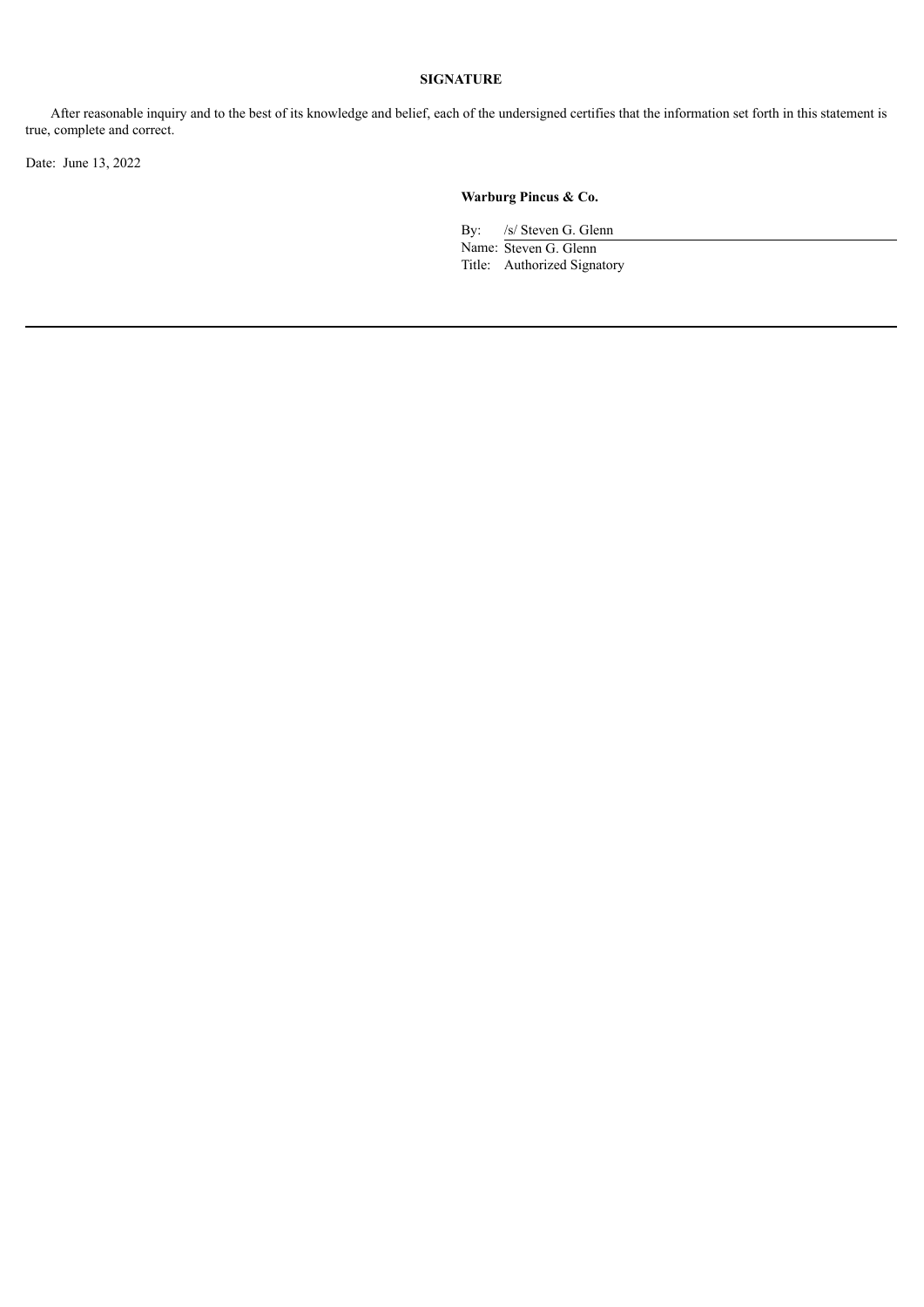After reasonable inquiry and to the best of its knowledge and belief, each of the undersigned certifies that the information set forth in this statement is true, complete and correct.

Date: June 13, 2022

# **Warburg Pincus & Co.**

By: /s/ Steven G. Glenn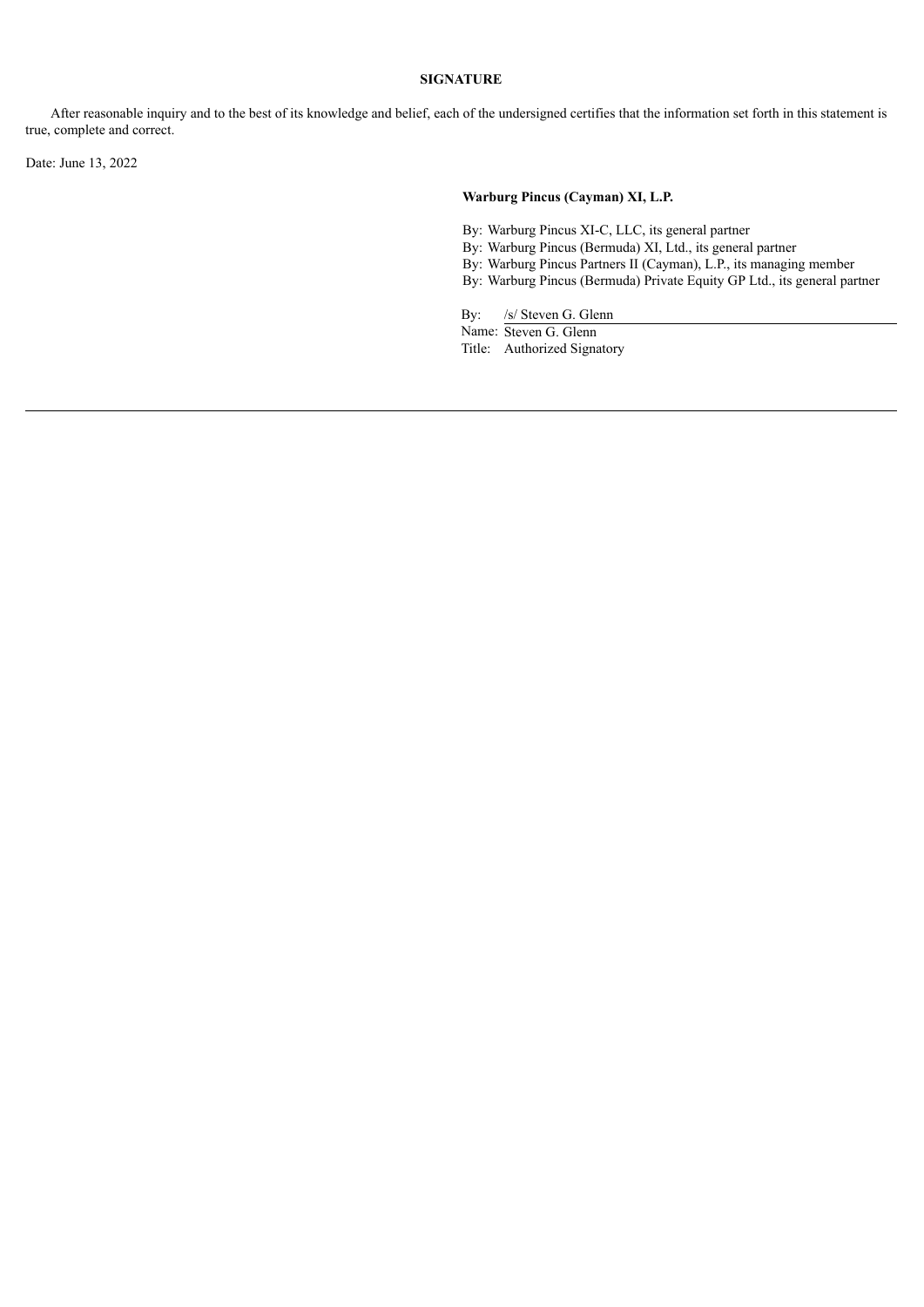After reasonable inquiry and to the best of its knowledge and belief, each of the undersigned certifies that the information set forth in this statement is true, complete and correct.

Date: June 13, 2022

## **Warburg Pincus (Cayman) XI, L.P.**

- By: Warburg Pincus XI-C, LLC, its general partner
- By: Warburg Pincus (Bermuda) XI, Ltd., its general partner
- By: Warburg Pincus Partners II (Cayman), L.P., its managing member
- By: Warburg Pincus (Bermuda) Private Equity GP Ltd., its general partner

By: /s/ Steven G. Glenn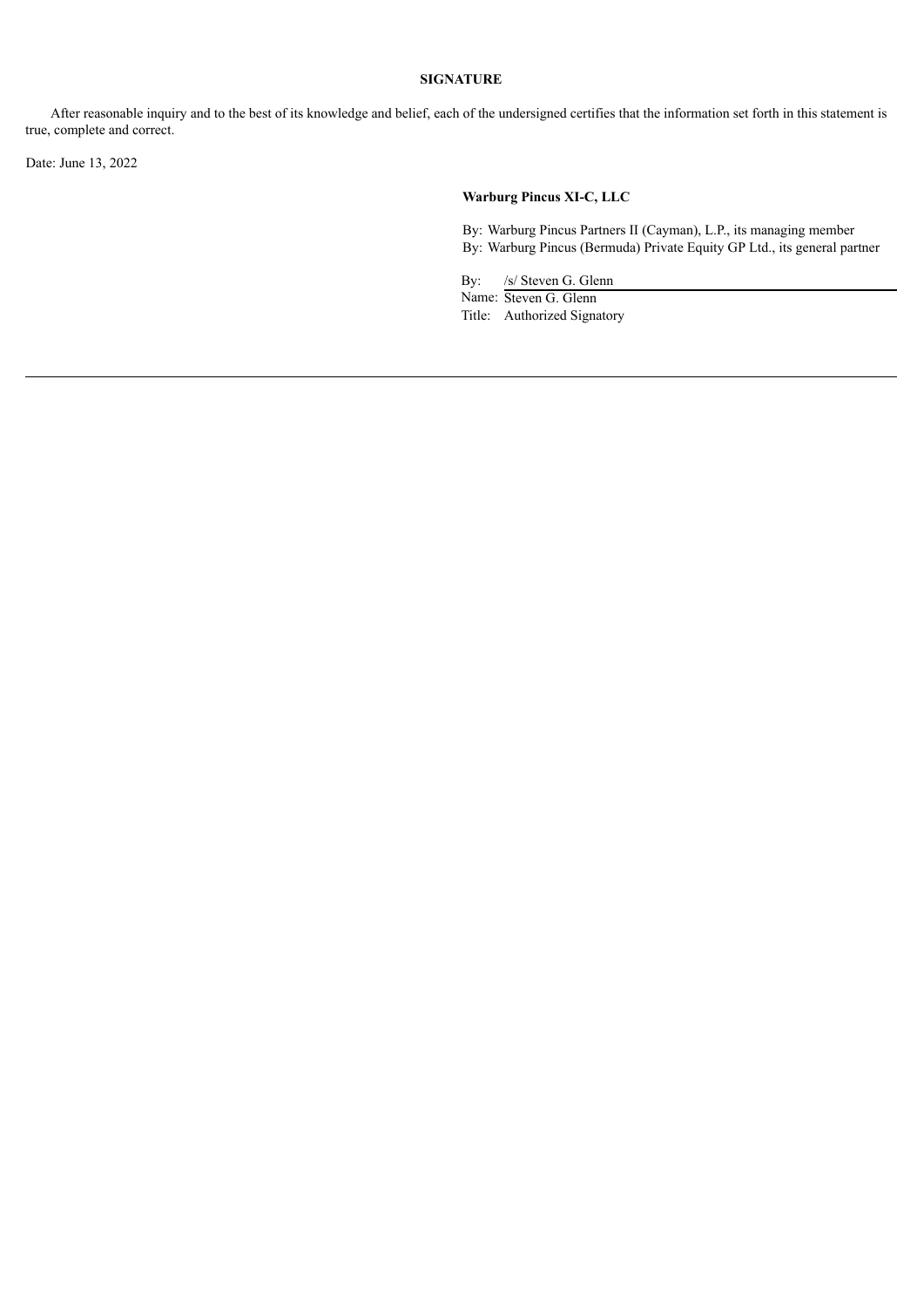After reasonable inquiry and to the best of its knowledge and belief, each of the undersigned certifies that the information set forth in this statement is true, complete and correct.

Date: June 13, 2022

# **Warburg Pincus XI-C, LLC**

By: Warburg Pincus Partners II (Cayman), L.P., its managing member By: Warburg Pincus (Bermuda) Private Equity GP Ltd., its general partner

By: /s/ Steven G. Glenn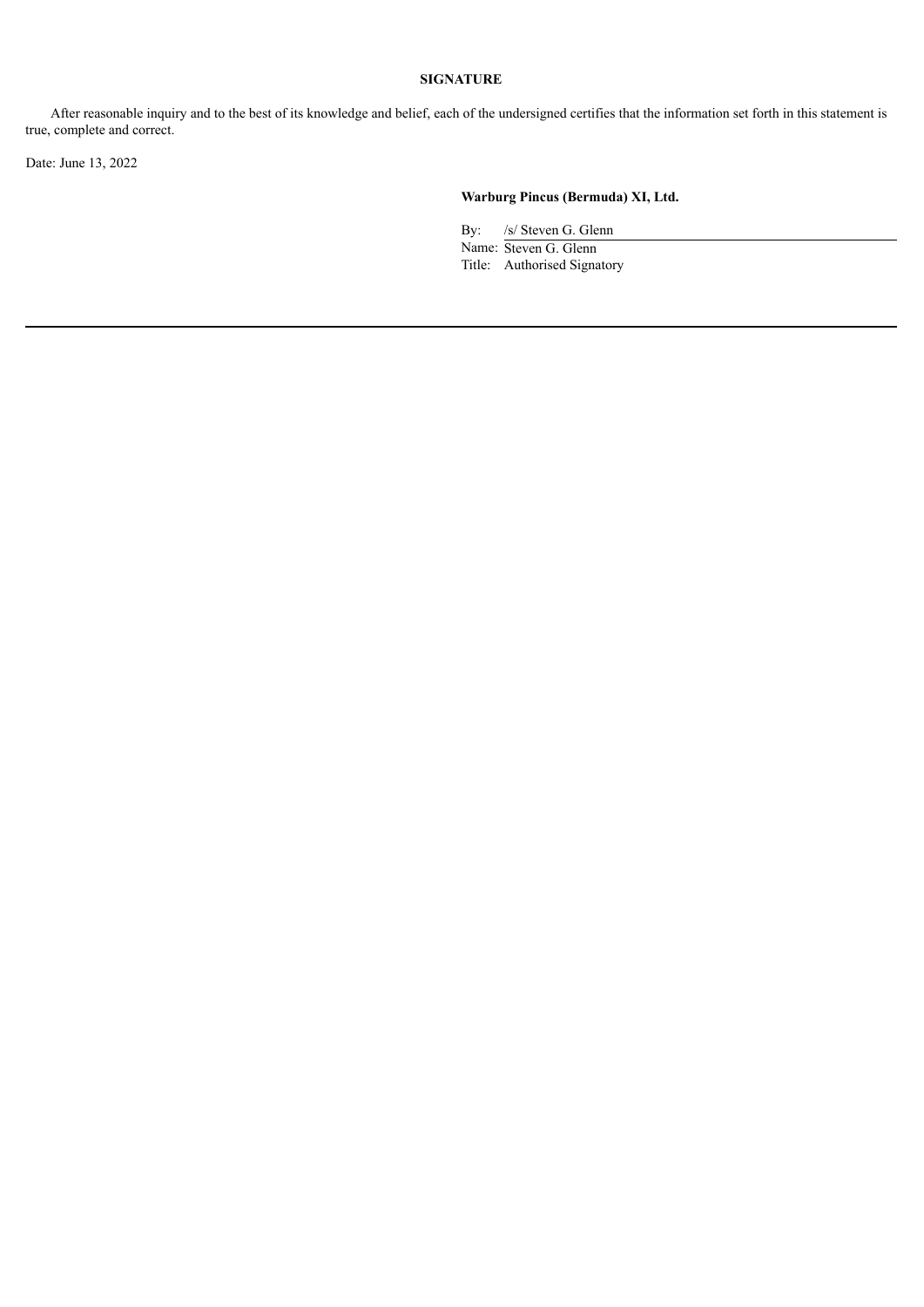After reasonable inquiry and to the best of its knowledge and belief, each of the undersigned certifies that the information set forth in this statement is true, complete and correct.

Date: June 13, 2022

# **Warburg Pincus (Bermuda) XI, Ltd.**

By: /s/ Steven G. Glenn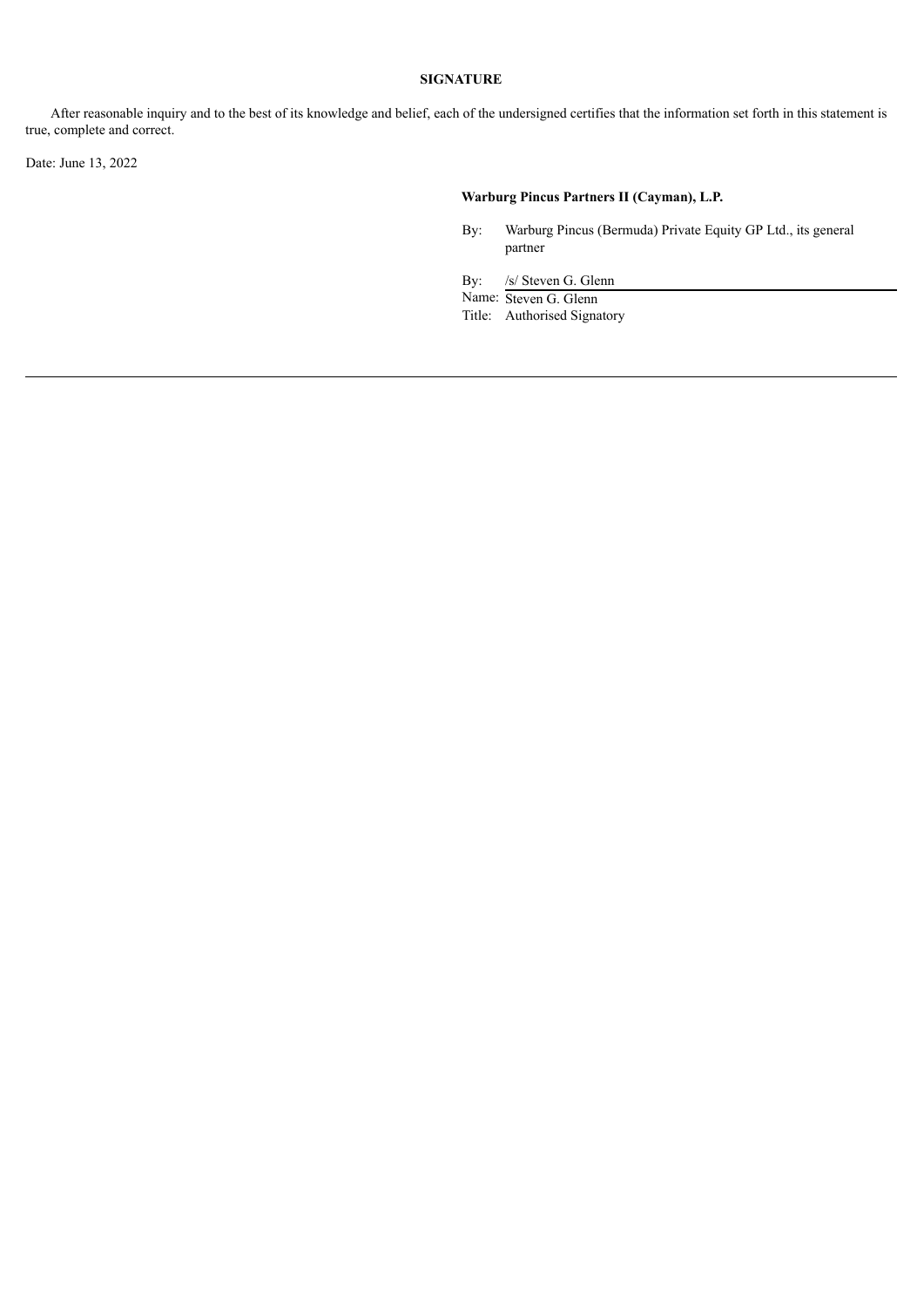After reasonable inquiry and to the best of its knowledge and belief, each of the undersigned certifies that the information set forth in this statement is true, complete and correct.

Date: June 13, 2022

# **Warburg Pincus Partners II (Cayman), L.P.**

By: Warburg Pincus (Bermuda) Private Equity GP Ltd., its general partner

By: /s/ Steven G. Glenn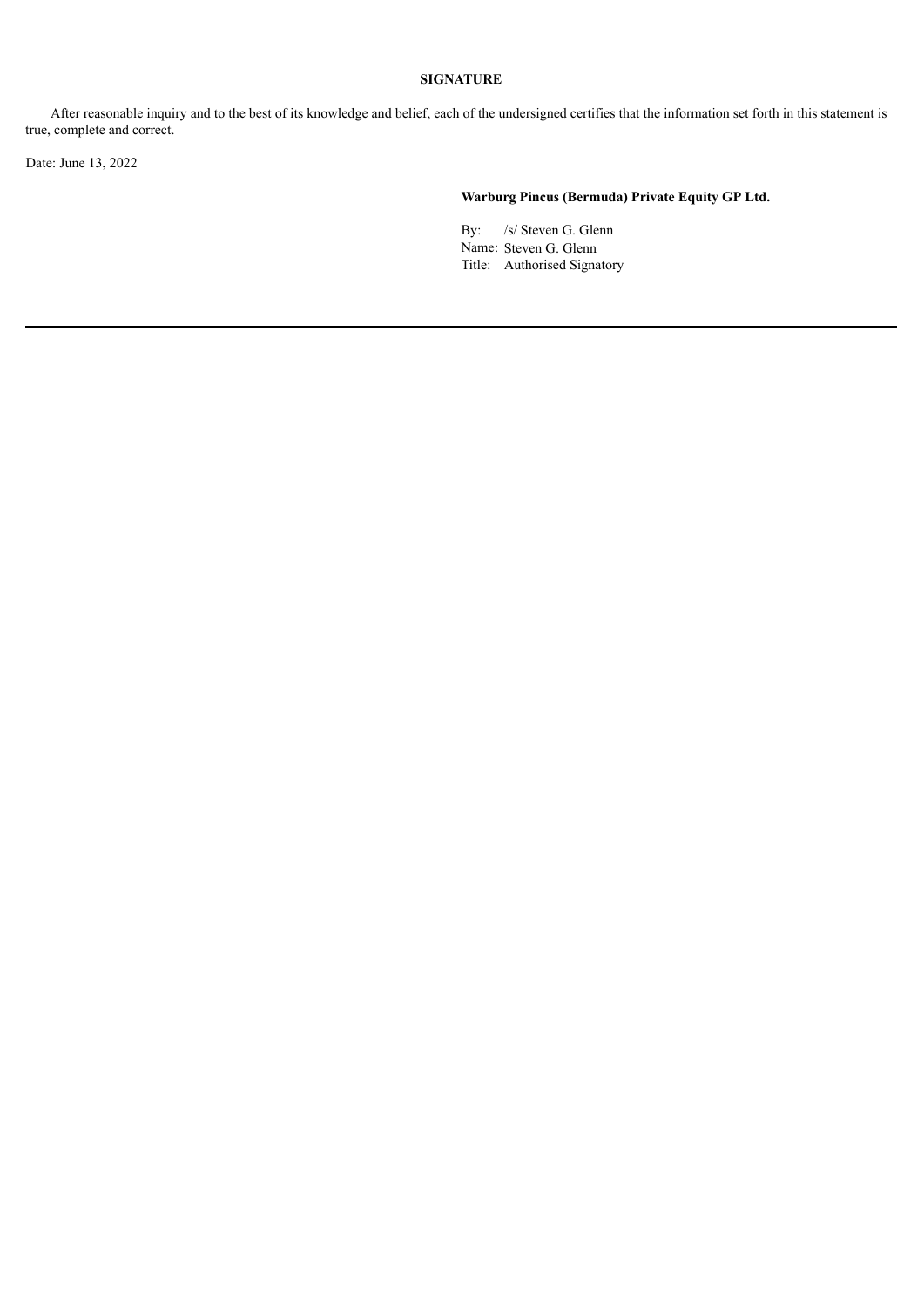After reasonable inquiry and to the best of its knowledge and belief, each of the undersigned certifies that the information set forth in this statement is true, complete and correct.

Date: June 13, 2022

# **Warburg Pincus (Bermuda) Private Equity GP Ltd.**

By: /s/ Steven G. Glenn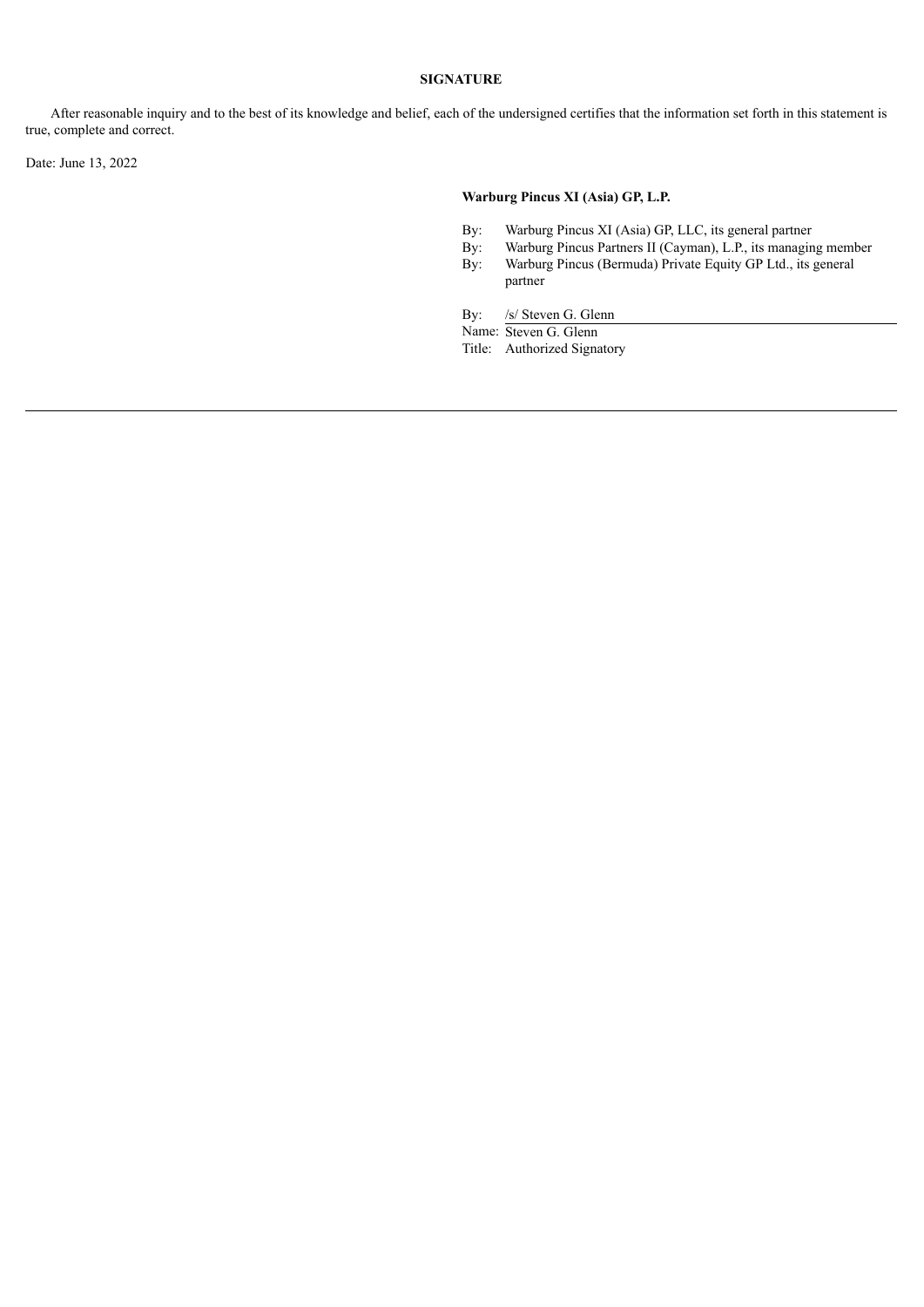After reasonable inquiry and to the best of its knowledge and belief, each of the undersigned certifies that the information set forth in this statement is true, complete and correct.

Date: June 13, 2022

# **Warburg Pincus XI (Asia) GP, L.P.**

- By: Warburg Pincus XI (Asia) GP, LLC, its general partner
- By: Warburg Pincus Partners II (Cayman), L.P., its managing member<br>By: Warburg Pincus (Bermuda) Private Equity GP Ltd., its general
- Warburg Pincus (Bermuda) Private Equity GP Ltd., its general partner
- By: /s/ Steven G. Glenn
- Name: Steven G. Glenn

Title: Authorized Signatory